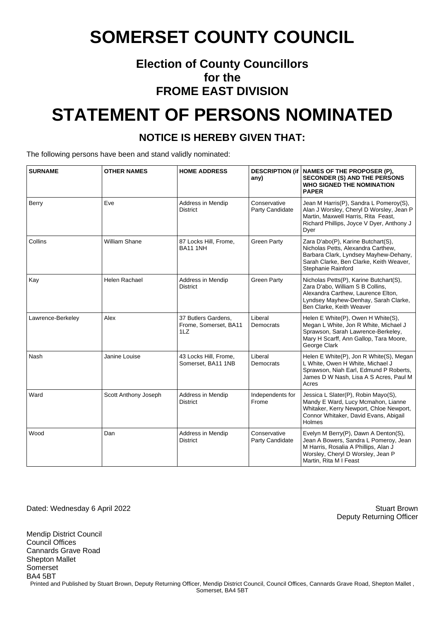#### **Election of County Councillors for the FROME EAST DIVISION**

## **STATEMENT OF PERSONS NOMINATED**

#### **NOTICE IS HEREBY GIVEN THAT:**

The following persons have been and stand validly nominated:

| <b>SURNAME</b>    | <b>OTHER NAMES</b>   | <b>HOME ADDRESS</b>                                 | any)                            | DESCRIPTION (if NAMES OF THE PROPOSER (P),<br><b>SECONDER (S) AND THE PERSONS</b><br><b>WHO SIGNED THE NOMINATION</b><br><b>PAPER</b>                                                |
|-------------------|----------------------|-----------------------------------------------------|---------------------------------|--------------------------------------------------------------------------------------------------------------------------------------------------------------------------------------|
| Berry             | Eve                  | Address in Mendip<br><b>District</b>                | Conservative<br>Party Candidate | Jean M Harris(P), Sandra L Pomeroy(S),<br>Alan J Worsley, Cheryl D Worsley, Jean P<br>Martin, Maxwell Harris, Rita Feast,<br>Richard Phillips, Joyce V Dyer, Anthony J<br>Dyer       |
| Collins           | <b>William Shane</b> | 87 Locks Hill, Frome,<br><b>BA11 1NH</b>            | <b>Green Party</b>              | Zara D'abo(P), Karine Butchart(S),<br>Nicholas Petts, Alexandra Carthew,<br>Barbara Clark, Lyndsey Mayhew-Dehany,<br>Sarah Clarke, Ben Clarke, Keith Weaver,<br>Stephanie Rainford   |
| Kay               | Helen Rachael        | Address in Mendip<br><b>District</b>                | <b>Green Party</b>              | Nicholas Petts(P), Karine Butchart(S),<br>Zara D'abo, William S B Collins,<br>Alexandra Carthew, Laurence Elton,<br>Lyndsey Mayhew-Denhay, Sarah Clarke,<br>Ben Clarke, Keith Weaver |
| Lawrence-Berkeley | Alex                 | 37 Butlers Gardens,<br>Frome, Somerset, BA11<br>1LZ | Liberal<br>Democrats            | Helen E White(P), Owen H White(S),<br>Megan L White, Jon R White, Michael J<br>Sprawson, Sarah Lawrence-Berkeley,<br>Mary H Scarff, Ann Gallop, Tara Moore,<br>George Clark          |
| Nash              | Janine Louise        | 43 Locks Hill, Frome,<br>Somerset, BA11 1NB         | Liberal<br>Democrats            | Helen E White(P), Jon R White(S), Megan<br>L White, Owen H White, Michael J<br>Sprawson, Niah Earl, Edmund P Roberts,<br>James D W Nash, Lisa A S Acres, Paul M<br>Acres             |
| Ward              | Scott Anthony Joseph | Address in Mendip<br><b>District</b>                | Independents for<br>Frome       | Jessica L Slater(P), Robin Mayo(S),<br>Mandy E Ward, Lucy Mcmahon, Lianne<br>Whitaker, Kerry Newport, Chloe Newport,<br>Connor Whitaker, David Evans, Abigail<br>Holmes              |
| Wood              | Dan                  | Address in Mendip<br><b>District</b>                | Conservative<br>Party Candidate | Evelyn M Berry(P), Dawn A Denton(S),<br>Jean A Bowers, Sandra L Pomeroy, Jean<br>M Harris, Rosalia A Phillips, Alan J<br>Worsley, Cheryl D Worsley, Jean P<br>Martin, Rita M I Feast |

Dated: Wednesday 6 April 2022 Stuart Brown

Mendip District Council

Deputy Returning Officer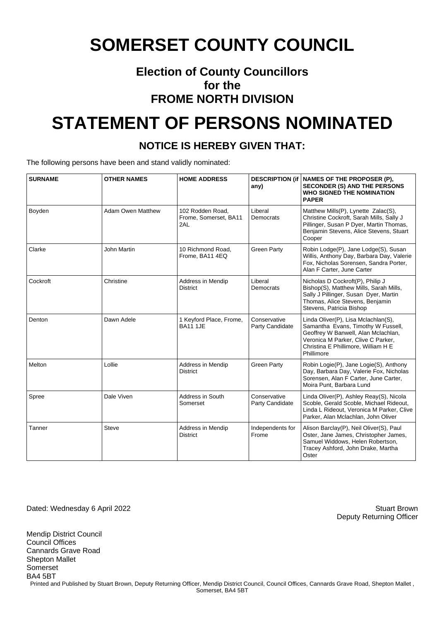#### **Election of County Councillors for the FROME NORTH DIVISION**

## **STATEMENT OF PERSONS NOMINATED**

#### **NOTICE IS HEREBY GIVEN THAT:**

The following persons have been and stand validly nominated:

| <b>SURNAME</b> | <b>OTHER NAMES</b>       | <b>HOME ADDRESS</b>                              | any)                            | DESCRIPTION (if   NAMES OF THE PROPOSER (P),<br><b>SECONDER (S) AND THE PERSONS</b><br><b>WHO SIGNED THE NOMINATION</b><br><b>PAPER</b>                                                                     |
|----------------|--------------------------|--------------------------------------------------|---------------------------------|-------------------------------------------------------------------------------------------------------------------------------------------------------------------------------------------------------------|
| Boyden         | <b>Adam Owen Matthew</b> | 102 Rodden Road.<br>Frome, Somerset, BA11<br>2AL | Liberal<br>Democrats            | Matthew Mills(P), Lynette Zalac(S),<br>Christine Cockroft, Sarah Mills, Sally J<br>Pillinger, Susan P Dyer, Martin Thomas,<br>Benjamin Stevens, Alice Stevens, Stuart<br>Cooper                             |
| Clarke         | <b>John Martin</b>       | 10 Richmond Road.<br>Frome, BA11 4EQ             | <b>Green Party</b>              | Robin Lodge(P), Jane Lodge(S), Susan<br>Willis, Anthony Day, Barbara Day, Valerie<br>Fox, Nicholas Sorensen, Sandra Porter,<br>Alan F Carter, June Carter                                                   |
| Cockroft       | Christine                | Address in Mendip<br><b>District</b>             | Liberal<br>Democrats            | Nicholas D Cockroft(P), Philip J<br>Bishop(S), Matthew Mills, Sarah Mills,<br>Sally J Pillinger, Susan Dyer, Martin<br>Thomas, Alice Stevens, Benjamin<br>Stevens, Patricia Bishop                          |
| Denton         | Dawn Adele               | 1 Keyford Place, Frome,<br><b>BA11 1JE</b>       | Conservative<br>Party Candidate | Linda Oliver(P), Lisa Mclachlan(S),<br>Samantha Evans, Timothy W Fussell,<br>Geoffrey W Banwell, Alan Mclachlan,<br>Veronica M Parker, Clive C Parker,<br>Christina E Phillimore, William H E<br>Phillimore |
| Melton         | Lollie                   | Address in Mendip<br><b>District</b>             | <b>Green Party</b>              | Robin Logie(P), Jane Logie(S), Anthony<br>Day, Barbara Day, Valerie Fox, Nicholas<br>Sorensen, Alan F Carter, June Carter,<br>Moira Punt, Barbara Lund                                                      |
| Spree          | Dale Viven               | Address in South<br>Somerset                     | Conservative<br>Party Candidate | Linda Oliver(P), Ashley Reay(S), Nicola<br>Scoble, Gerald Scoble, Michael Rideout,<br>Linda L Rideout, Veronica M Parker, Clive<br>Parker, Alan Mclachlan, John Oliver                                      |
| Tanner         | <b>Steve</b>             | Address in Mendip<br><b>District</b>             | Independents for<br>Frome       | Alison Barclay(P), Neil Oliver(S), Paul<br>Oster, Jane James, Christopher James,<br>Samuel Widdows, Helen Robertson,<br>Tracey Ashford, John Drake, Martha<br>Oster                                         |

Dated: Wednesday 6 April 2022 Stuart Brown

Mendip District Council

Deputy Returning Officer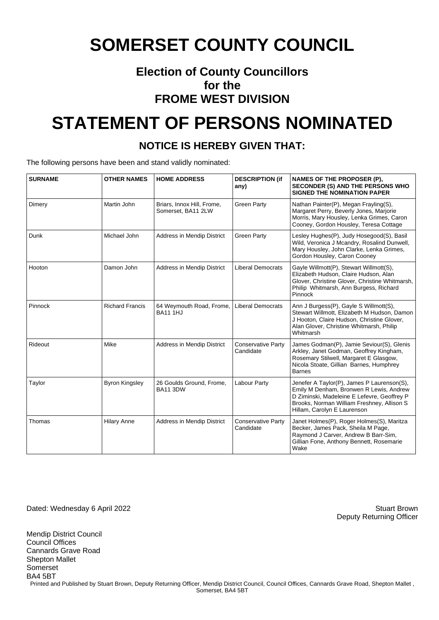#### **Election of County Councillors for the FROME WEST DIVISION**

## **STATEMENT OF PERSONS NOMINATED**

#### **NOTICE IS HEREBY GIVEN THAT:**

The following persons have been and stand validly nominated:

| <b>SURNAME</b> | <b>OTHER NAMES</b>     | <b>HOME ADDRESS</b>                              | <b>DESCRIPTION (if</b><br>any)         | <b>NAMES OF THE PROPOSER (P),</b><br><b>SECONDER (S) AND THE PERSONS WHO</b><br><b>SIGNED THE NOMINATION PAPER</b>                                                                                                |
|----------------|------------------------|--------------------------------------------------|----------------------------------------|-------------------------------------------------------------------------------------------------------------------------------------------------------------------------------------------------------------------|
| Dimery         | Martin John            | Briars, Innox Hill, Frome,<br>Somerset, BA11 2LW | <b>Green Party</b>                     | Nathan Painter(P), Megan Frayling(S),<br>Margaret Perry, Beverly Jones, Marjorie<br>Morris, Mary Housley, Lenka Grimes, Caron<br>Cooney, Gordon Housley, Teresa Cottage                                           |
| Dunk           | Michael John           | Address in Mendip District                       | <b>Green Party</b>                     | Lesley Hughes(P), Judy Hosegood(S), Basil<br>Wild, Veronica J Mcandry, Rosalind Dunwell,<br>Mary Housley, John Clarke, Lenka Grimes,<br>Gordon Housley, Caron Cooney                                              |
| Hooton         | Damon John             | <b>Address in Mendip District</b>                | <b>Liberal Democrats</b>               | Gayle Willmott(P), Stewart Willmott(S),<br>Elizabeth Hudson, Claire Hudson, Alan<br>Glover, Christine Glover, Christine Whitmarsh,<br>Philip Whitmarsh, Ann Burgess, Richard<br>Pinnock                           |
| Pinnock        | <b>Richard Francis</b> | 64 Weymouth Road, Frome,<br><b>BA11 1HJ</b>      | <b>Liberal Democrats</b>               | Ann J Burgess(P), Gayle S Willmott(S),<br>Stewart Willmott, Elizabeth M Hudson, Damon<br>J Hooton, Claire Hudson, Christine Glover,<br>Alan Glover, Christine Whitmarsh, Philip<br>Whitmarsh                      |
| Rideout        | Mike                   | Address in Mendip District                       | <b>Conservative Party</b><br>Candidate | James Godman(P), Jamie Seviour(S), Glenis<br>Arkley, Janet Godman, Geoffrey Kingham,<br>Rosemary Stilwell, Margaret E Glasgow,<br>Nicola Stoate, Gillian Barnes, Humphrey<br><b>Barnes</b>                        |
| Taylor         | <b>Byron Kingsley</b>  | 26 Goulds Ground, Frome,<br><b>BA11 3DW</b>      | Labour Party                           | Jenefer A Taylor(P), James P Laurenson(S),<br>Emily M Denham, Bronwen R Lewis, Andrew<br>D Ziminski, Madeleine E Lefevre, Geoffrey P<br>Brooks, Norman William Freshney, Allison S<br>Hillam, Carolyn E Laurenson |
| Thomas         | <b>Hilary Anne</b>     | <b>Address in Mendip District</b>                | <b>Conservative Party</b><br>Candidate | Janet Holmes(P), Roger Holmes(S), Maritza<br>Becker, James Pack, Sheila M Page,<br>Raymond J Carver, Andrew B Barr-Sim,<br>Gillian Fone, Anthony Bennett, Rosemarie<br>Wake                                       |

Dated: Wednesday 6 April 2022 Stuart Brown

Mendip District Council

Deputy Returning Officer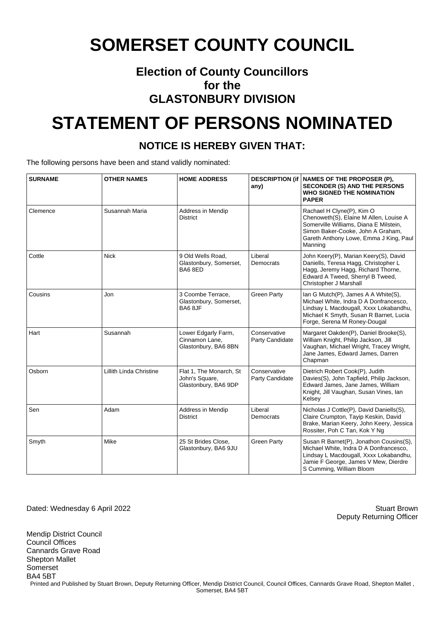#### **Election of County Councillors for the GLASTONBURY DIVISION**

## **STATEMENT OF PERSONS NOMINATED**

#### **NOTICE IS HEREBY GIVEN THAT:**

The following persons have been and stand validly nominated:

| <b>SURNAME</b> | <b>OTHER NAMES</b>      | <b>HOME ADDRESS</b>                                               | any)                            | DESCRIPTION (if   NAMES OF THE PROPOSER (P),<br><b>SECONDER (S) AND THE PERSONS</b><br><b>WHO SIGNED THE NOMINATION</b><br><b>PAPER</b>                                                                 |
|----------------|-------------------------|-------------------------------------------------------------------|---------------------------------|---------------------------------------------------------------------------------------------------------------------------------------------------------------------------------------------------------|
| Clemence       | Susannah Maria          | Address in Mendip<br><b>District</b>                              |                                 | Rachael H Clyne(P), Kim O<br>Chenoweth(S), Elaine M Allen, Louise A<br>Somerville Williams, Diana E Milstein,<br>Simon Baker-Cooke, John A Graham,<br>Gareth Anthony Lowe, Emma J King, Paul<br>Manning |
| Cottle         | Nick                    | 9 Old Wells Road.<br>Glastonbury, Somerset,<br>BA68ED             | Liberal<br>Democrats            | John Keery(P), Marian Keery(S), David<br>Daniells, Teresa Hagg, Christopher L<br>Hagg, Jeremy Hagg, Richard Thorne,<br>Edward A Tweed, Sherryl B Tweed,<br>Christopher J Marshall                       |
| Cousins        | Jon                     | 3 Coombe Terrace,<br>Glastonbury, Somerset,<br>BA68JF             | <b>Green Party</b>              | Ian G Mutch(P), James A A White(S),<br>Michael White, Indra D A Donfrancesco.<br>Lindsay L Macdougall, Xxxx Lokabandhu,<br>Michael K Smyth, Susan R Barnet, Lucia<br>Forge, Serena M Roney-Dougal       |
| Hart           | Susannah                | Lower Edgarly Farm,<br>Cinnamon Lane.<br>Glastonbury, BA6 8BN     | Conservative<br>Party Candidate | Margaret Oakden(P), Daniel Brooke(S),<br>William Knight, Philip Jackson, Jill<br>Vaughan, Michael Wright, Tracey Wright,<br>Jane James, Edward James, Darren<br>Chapman                                 |
| Osborn         | Lillith Linda Christine | Flat 1, The Monarch, St<br>John's Square,<br>Glastonbury, BA6 9DP | Conservative<br>Party Candidate | Dietrich Robert Cook(P), Judith<br>Davies(S), John Tapfield, Philip Jackson,<br>Edward James, Jane James, William<br>Knight, Jill Vaughan, Susan Vines, lan<br>Kelsey                                   |
| Sen            | Adam                    | Address in Mendip<br><b>District</b>                              | Liberal<br>Democrats            | Nicholas J Cottle(P), David Daniells(S),<br>Claire Crumpton, Tayip Keskin, David<br>Brake, Marian Keery, John Keery, Jessica<br>Rossiter, Poh C Tan, Kok Y Ng                                           |
| Smyth          | Mike                    | 25 St Brides Close,<br>Glastonbury, BA6 9JU                       | <b>Green Party</b>              | Susan R Barnet(P), Jonathon Cousins(S),<br>Michael White, Indra D A Donfrancesco,<br>Lindsay L Macdougall, Xxxx Lokabandhu,<br>Jamie F George, James V Mew, Dierdre<br>S Cumming, William Bloom         |

Dated: Wednesday 6 April 2022 Stuart Brown

Mendip District Council

Deputy Returning Officer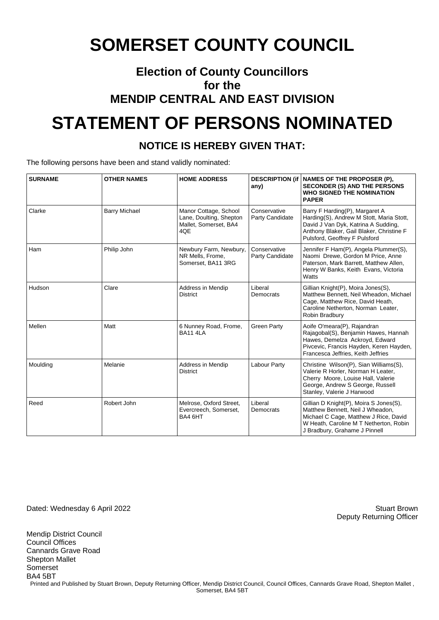#### **Election of County Councillors for the MENDIP CENTRAL AND EAST DIVISION**

## **STATEMENT OF PERSONS NOMINATED**

#### **NOTICE IS HEREBY GIVEN THAT:**

The following persons have been and stand validly nominated:

| <b>SURNAME</b> | <b>OTHER NAMES</b>   | <b>HOME ADDRESS</b>                                                              | any)                            | DESCRIPTION (if   NAMES OF THE PROPOSER (P),<br><b>SECONDER (S) AND THE PERSONS</b><br><b>WHO SIGNED THE NOMINATION</b><br><b>PAPER</b>                                                        |
|----------------|----------------------|----------------------------------------------------------------------------------|---------------------------------|------------------------------------------------------------------------------------------------------------------------------------------------------------------------------------------------|
| Clarke         | <b>Barry Michael</b> | Manor Cottage, School<br>Lane, Doulting, Shepton<br>Mallet, Somerset, BA4<br>4QE | Conservative<br>Party Candidate | Barry F Harding(P), Margaret A<br>Harding(S), Andrew M Stott, Maria Stott,<br>David J Van Dyk, Katrina A Sudding,<br>Anthony Blaker, Gail Blaker, Christine F<br>Pulsford, Geoffrey F Pulsford |
| Ham            | Philip John          | Newbury Farm, Newbury,<br>NR Mells, Frome,<br>Somerset, BA11 3RG                 | Conservative<br>Party Candidate | Jennifer F Ham(P), Angela Plummer(S),<br>Naomi Drewe, Gordon M Price, Anne<br>Paterson, Mark Barrett, Matthew Allen,<br>Henry W Banks, Keith Evans, Victoria<br>Watts                          |
| Hudson         | Clare                | Address in Mendip<br><b>District</b>                                             | Liberal<br>Democrats            | Gillian Knight(P), Moira Jones(S),<br>Matthew Bennett, Neil Wheadon, Michael<br>Cage, Matthew Rice, David Heath,<br>Caroline Netherton, Norman Leater,<br>Robin Bradbury                       |
| Mellen         | Matt                 | 6 Nunney Road, Frome,<br><b>BA11 4LA</b>                                         | <b>Green Party</b>              | Aoife O'meara(P), Rajandran<br>Rajagobal(S), Benjamin Hawes, Hannah<br>Hawes, Demelza Ackroyd, Edward<br>Pivcevic, Francis Hayden, Keren Hayden,<br>Francesca Jeffries, Keith Jeffries         |
| Moulding       | Melanie              | Address in Mendip<br><b>District</b>                                             | <b>Labour Party</b>             | Christine Wilson(P), Sian Williams(S),<br>Valerie R Horler, Norman H Leater,<br>Cherry Moore, Louise Hall, Valerie<br>George, Andrew S George, Russell<br>Stanley, Valerie J Harwood           |
| Reed           | Robert John          | Melrose, Oxford Street,<br>Evercreech, Somerset,<br>BA4 6HT                      | Liberal<br>Democrats            | Gillian D Knight(P), Moira S Jones(S),<br>Matthew Bennett. Neil J Wheadon.<br>Michael C Cage, Matthew J Rice, David<br>W Heath, Caroline M T Netherton, Robin<br>J Bradbury, Grahame J Pinnell |

Dated: Wednesday 6 April 2022 Stuart Brown

Mendip District Council Council Offices Cannards Grave Road Shepton Mallet Somerset BA4 5BT Printed and Published by Stuart Brown, Deputy Returning Officer, Mendip District Council, Council Offices, Cannards Grave Road, Shepton Mallet, Somerset, BA4 5BT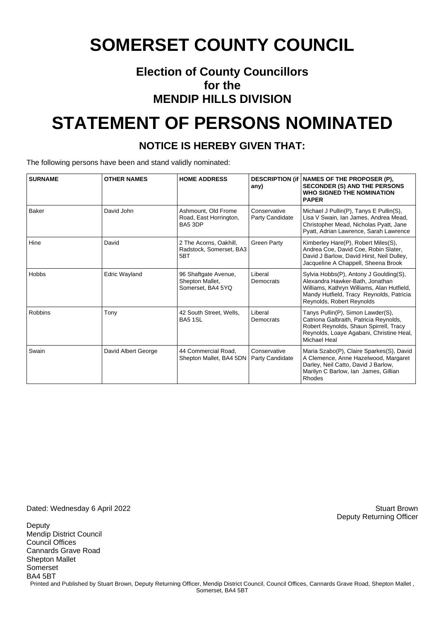#### **Election of County Councillors for the MENDIP HILLS DIVISION**

## **STATEMENT OF PERSONS NOMINATED**

#### **NOTICE IS HEREBY GIVEN THAT:**

The following persons have been and stand validly nominated:

| <b>SURNAME</b> | <b>OTHER NAMES</b>   | <b>HOME ADDRESS</b>                                          | any)                            | DESCRIPTION (if   NAMES OF THE PROPOSER (P),<br><b>SECONDER (S) AND THE PERSONS</b><br><b>WHO SIGNED THE NOMINATION</b><br><b>PAPER</b>                                                          |
|----------------|----------------------|--------------------------------------------------------------|---------------------------------|--------------------------------------------------------------------------------------------------------------------------------------------------------------------------------------------------|
| Baker          | David John           | Ashmount, Old Frome<br>Road, East Horrington,<br>BA5 3DP     | Conservative<br>Party Candidate | Michael J Pullin(P), Tanys E Pullin(S),<br>Lisa V Swain, Ian James, Andrea Mead,<br>Christopher Mead, Nicholas Pyatt, Jane<br>Pyatt, Adrian Lawrence, Sarah Lawrence                             |
| Hine           | David                | 2 The Acorns, Oakhill,<br>Radstock, Somerset, BA3<br>5BT     | <b>Green Party</b>              | Kimberley Hare(P), Robert Miles(S),<br>Andrea Coe, David Coe, Robin Slater,<br>David J Barlow, David Hirst, Neil Dulley,<br>Jacqueline A Chappell, Sheena Brook                                  |
| <b>Hobbs</b>   | <b>Edric Wayland</b> | 96 Shaftgate Avenue,<br>Shepton Mallet,<br>Somerset, BA4 5YQ | Liberal<br>Democrats            | Sylvia Hobbs(P), Antony J Goulding(S),<br>Alexandra Hawker-Bath, Jonathan<br>Williams, Kathryn Williams, Alan Hutfield,<br>Mandy Hutfield, Tracy Reynolds, Patricia<br>Reynolds, Robert Reynolds |
| Robbins        | Tony                 | 42 South Street, Wells,<br><b>BA5 1SL</b>                    | Liberal<br>Democrats            | Tanys Pullin(P), Simon Lawder(S),<br>Catriona Galbraith, Patricia Reynolds,<br>Robert Reynolds, Shaun Spirrell, Tracy<br>Reynolds, Loaye Agabani, Christine Heal,<br>Michael Heal                |
| Swain          | David Albert George  | 44 Commercial Road.<br>Shepton Mallet, BA4 5DN               | Conservative<br>Party Candidate | Maria Szabo(P), Claire Sparkes(S), David<br>A Clemence, Anne Hazelwood, Margaret<br>Darley, Neil Catto, David J Barlow,<br>Marilyn C Barlow, Ian James, Gillian<br>Rhodes                        |

Dated: Wednesday 6 April 2022 Stuart Brown

**Deputy** Mendip District Council Council Offices Cannards Grave Road Shepton Mallet Somerset BA4 5BT Printed and Published by Stuart Brown, Deputy Returning Officer, Mendip District Council, Council Offices, Cannards Grave Road, Shepton Mallet, Somerset, BA4 5BT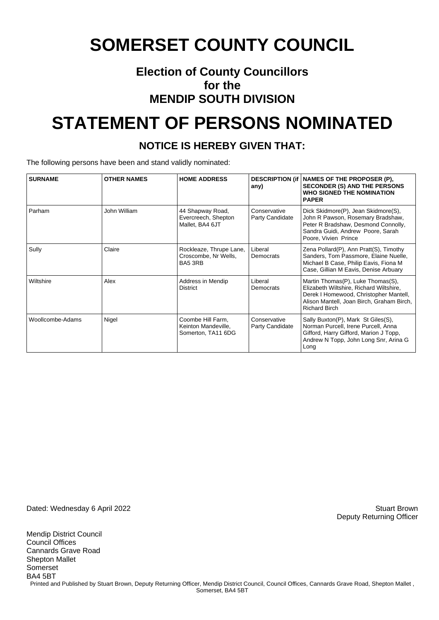#### **Election of County Councillors for the MENDIP SOUTH DIVISION**

## **STATEMENT OF PERSONS NOMINATED**

#### **NOTICE IS HEREBY GIVEN THAT:**

The following persons have been and stand validly nominated:

| <b>SURNAME</b>   | <b>OTHER NAMES</b> | <b>HOME ADDRESS</b>                                            | any)                            | DESCRIPTION (if   NAMES OF THE PROPOSER (P),<br><b>SECONDER (S) AND THE PERSONS</b><br>WHO SIGNED THE NOMINATION<br><b>PAPER</b>                                                            |
|------------------|--------------------|----------------------------------------------------------------|---------------------------------|---------------------------------------------------------------------------------------------------------------------------------------------------------------------------------------------|
| Parham           | John William       | 44 Shapway Road,<br>Evercreech, Shepton<br>Mallet, BA4 6JT     | Conservative<br>Party Candidate | Dick Skidmore(P), Jean Skidmore(S),<br>John R Pawson, Rosemary Bradshaw,<br>Peter R Bradshaw, Desmond Connolly,<br>Sandra Guidi, Andrew Poore, Sarah<br>Poore, Vivien Prince                |
| Sully            | Claire             | Rockleaze, Thrupe Lane,<br>Croscombe, Nr Wells,<br>BA5 3RB     | Liberal<br>Democrats            | Zena Pollard(P), Ann Pratt(S), Timothy<br>Sanders, Tom Passmore, Elaine Nuelle,<br>Michael B Case, Philip Eavis, Fiona M<br>Case, Gillian M Eavis, Denise Arbuary                           |
| Wiltshire        | Alex               | Address in Mendip<br><b>District</b>                           | Liberal<br>Democrats            | Martin Thomas(P), Luke Thomas(S),<br>Elizabeth Wiltshire, Richard Wiltshire,<br>Derek I Homewood, Christopher Mantell,<br>Alison Mantell, Joan Birch, Graham Birch,<br><b>Richard Birch</b> |
| Woollcombe-Adams | Nigel              | Coombe Hill Farm,<br>Keinton Mandeville,<br>Somerton, TA11 6DG | Conservative<br>Party Candidate | Sally Buxton(P), Mark St Giles(S),<br>Norman Purcell, Irene Purcell, Anna<br>Gifford, Harry Gifford, Marion J Topp,<br>Andrew N Topp, John Long Snr, Arina G<br>Long                        |

Dated: Wednesday 6 April 2022 Stuart Brown

Mendip District Council Council Offices Cannards Grave Road Shepton Mallet Somerset BA4 5BT Printed and Published by Stuart Brown, Deputy Returning Officer, Mendip District Council, Council Offices, Cannards Grave Road, Shepton Mallet, Somerset, BA4 5BT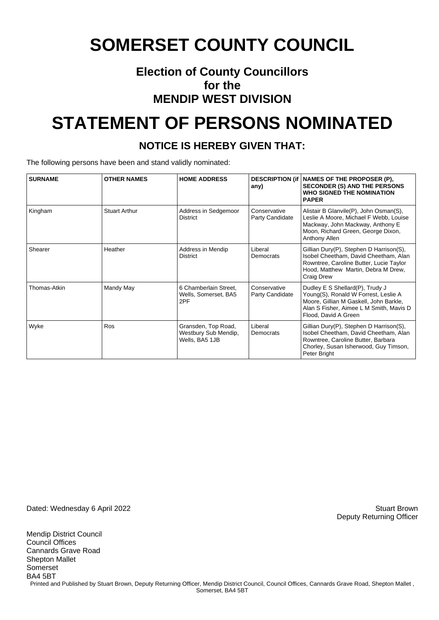#### **Election of County Councillors for the MENDIP WEST DIVISION**

## **STATEMENT OF PERSONS NOMINATED**

#### **NOTICE IS HEREBY GIVEN THAT:**

The following persons have been and stand validly nominated:

| <b>SURNAME</b> | <b>OTHER NAMES</b>   | <b>HOME ADDRESS</b>                                           | any)                            | DESCRIPTION (if   NAMES OF THE PROPOSER (P),<br><b>SECONDER (S) AND THE PERSONS</b><br><b>WHO SIGNED THE NOMINATION</b><br><b>PAPER</b>                                                 |
|----------------|----------------------|---------------------------------------------------------------|---------------------------------|-----------------------------------------------------------------------------------------------------------------------------------------------------------------------------------------|
| Kingham        | <b>Stuart Arthur</b> | Address in Sedgemoor<br><b>District</b>                       | Conservative<br>Party Candidate | Alistair B Glanvile(P), John Osman(S),<br>Leslie A Moore, Michael F Webb, Louise<br>Mackway, John Mackway, Anthony E<br>Moon, Richard Green, George Dixon,<br>Anthony Allen             |
| Shearer        | Heather              | Address in Mendip<br><b>District</b>                          | Liberal<br>Democrats            | Gillian Dury(P), Stephen D Harrison(S),<br>Isobel Cheetham, David Cheetham, Alan<br>Rowntree, Caroline Butter, Lucie Taylor<br>Hood, Matthew Martin, Debra M Drew,<br><b>Craig Drew</b> |
| Thomas-Atkin   | Mandy May            | 6 Chamberlain Street,<br>Wells, Somerset, BA5<br>2PF          | Conservative<br>Party Candidate | Dudley E S Shellard(P), Trudy J<br>Young(S), Ronald W Forrest, Leslie A<br>Moore, Gillian M Gaskell, John Barkle,<br>Alan S Fisher, Aimee L M Smith, Mavis D<br>Flood, David A Green    |
| Wyke           | Ros                  | Gransden, Top Road,<br>Westbury Sub Mendip,<br>Wells, BA5 1JB | Liberal<br>Democrats            | Gillian Dury(P), Stephen D Harrison(S),<br>Isobel Cheetham, David Cheetham, Alan<br>Rowntree, Caroline Butter, Barbara<br>Chorley, Susan Isherwood, Guy Timson,<br>Peter Bright         |

Dated: Wednesday 6 April 2022 Stuart Brown

Mendip District Council Council Offices Cannards Grave Road Shepton Mallet Somerset BA4 5BT Printed and Published by Stuart Brown, Deputy Returning Officer, Mendip District Council, Council Offices, Cannards Grave Road, Shepton Mallet, Somerset, BA4 5BT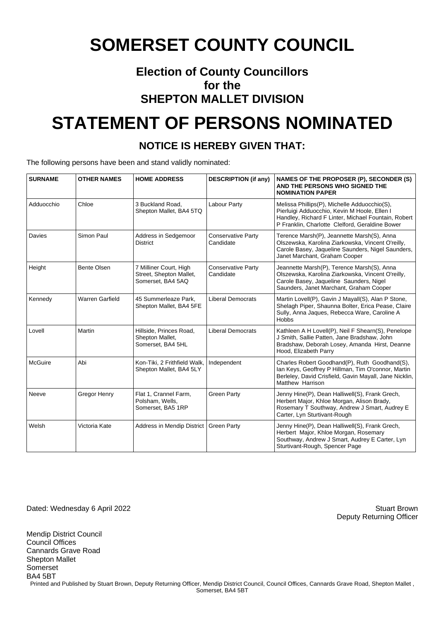#### **Election of County Councillors for the SHEPTON MALLET DIVISION**

## **STATEMENT OF PERSONS NOMINATED**

#### **NOTICE IS HEREBY GIVEN THAT:**

The following persons have been and stand validly nominated:

| <b>SURNAME</b> | <b>OTHER NAMES</b>     | <b>HOME ADDRESS</b>                                                    | <b>DESCRIPTION (if any)</b>            | NAMES OF THE PROPOSER (P), SECONDER (S)<br>AND THE PERSONS WHO SIGNED THE<br><b>NOMINATION PAPER</b>                                                                                                   |
|----------------|------------------------|------------------------------------------------------------------------|----------------------------------------|--------------------------------------------------------------------------------------------------------------------------------------------------------------------------------------------------------|
| Adduocchio     | Chloe                  | 3 Buckland Road,<br>Shepton Mallet, BA4 5TQ                            | Labour Party                           | Melissa Phillips(P), Michelle Adduocchio(S),<br>Pierluigi Adduocchio, Kevin M Hoole, Ellen I<br>Handley, Richard F Linter, Michael Fountain, Robert<br>P Franklin, Charlotte Clelford, Geraldine Bower |
| Davies         | Simon Paul             | Address in Sedgemoor<br><b>District</b>                                | <b>Conservative Party</b><br>Candidate | Terence Marsh(P), Jeannette Marsh(S), Anna<br>Olszewska, Karolina Ziarkowska, Vincent O'reilly,<br>Carole Basey, Jaqueline Saunders, Nigel Saunders,<br>Janet Marchant, Graham Cooper                  |
| Height         | <b>Bente Olsen</b>     | 7 Milliner Court, High<br>Street, Shepton Mallet,<br>Somerset, BA4 5AQ | <b>Conservative Party</b><br>Candidate | Jeannette Marsh(P), Terence Marsh(S), Anna<br>Olszewska, Karolina Ziarkowska, Vincent O'reilly,<br>Carole Basey, Jaqueline Saunders, Nigel<br>Saunders, Janet Marchant, Graham Cooper                  |
| Kennedy        | <b>Warren Garfield</b> | 45 Summerleaze Park,<br>Shepton Mallet, BA4 5FE                        | <b>Liberal Democrats</b>               | Martin Lovell(P), Gavin J Mayall(S), Alan P Stone,<br>Shelagh Piper, Shaunna Bolter, Erica Pease, Claire<br>Sully, Anna Jaques, Rebecca Ware, Caroline A<br><b>Hobbs</b>                               |
| Lovell         | Martin                 | Hillside, Princes Road,<br>Shepton Mallet,<br>Somerset, BA4 5HL        | <b>Liberal Democrats</b>               | Kathleen A H Lovell(P), Neil F Shearn(S), Penelope<br>J Smith, Sallie Patten, Jane Bradshaw, John<br>Bradshaw, Deborah Losey, Amanda Hirst, Deanne<br>Hood, Elizabeth Parry                            |
| <b>McGuire</b> | Abi                    | Kon-Tiki, 2 Frithfield Walk,<br>Shepton Mallet, BA4 5LY                | Independent                            | Charles Robert Goodhand(P), Ruth Goodhand(S),<br>Ian Keys, Geoffrey P Hillman, Tim O'connor, Martin<br>Berleley, David Crisfield, Gavin Mayall, Jane Nicklin,<br>Matthew Harrison                      |
| Neeve          | <b>Gregor Henry</b>    | Flat 1, Crannel Farm,<br>Polsham, Wells,<br>Somerset, BA5 1RP          | <b>Green Party</b>                     | Jenny Hine(P), Dean Halliwell(S), Frank Grech,<br>Herbert Major, Khloe Morgan, Alison Brady,<br>Rosemary T Southway, Andrew J Smart, Audrey E<br>Carter, Lyn Sturtivant-Rough                          |
| Welsh          | Victoria Kate          | Address in Mendip District                                             | <b>Green Party</b>                     | Jenny Hine(P), Dean Halliwell(S), Frank Grech,<br>Herbert Major, Khloe Morgan, Rosemary<br>Southway, Andrew J Smart, Audrey E Carter, Lyn<br>Sturtivant-Rough, Spencer Page                            |

Dated: Wednesday 6 April 2022 Stuart Brown

Deputy Returning Officer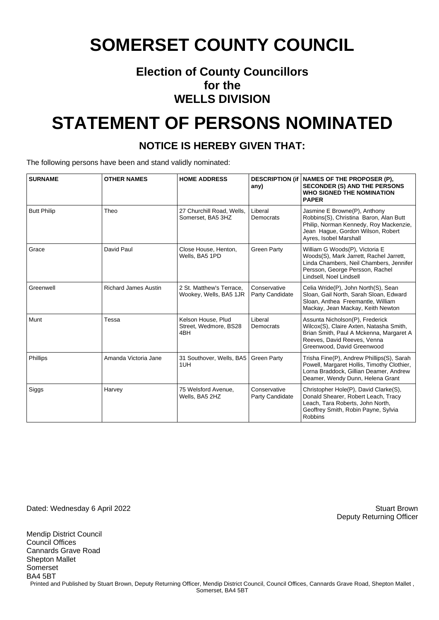#### **Election of County Councillors for the WELLS DIVISION**

## **STATEMENT OF PERSONS NOMINATED**

#### **NOTICE IS HEREBY GIVEN THAT:**

The following persons have been and stand validly nominated:

| <b>SURNAME</b>     | <b>OTHER NAMES</b>          | <b>HOME ADDRESS</b>                                | any)                            | DESCRIPTION (if   NAMES OF THE PROPOSER (P),<br><b>SECONDER (S) AND THE PERSONS</b><br><b>WHO SIGNED THE NOMINATION</b><br><b>PAPER</b>                                            |
|--------------------|-----------------------------|----------------------------------------------------|---------------------------------|------------------------------------------------------------------------------------------------------------------------------------------------------------------------------------|
| <b>Butt Philip</b> | Theo                        | 27 Churchill Road, Wells,<br>Somerset, BA5 3HZ     | Liberal<br>Democrats            | Jasmine E Browne(P), Anthony<br>Robbins(S), Christina Baron, Alan Butt<br>Philip, Norman Kennedy, Roy Mackenzie,<br>Jean Haque, Gordon Wilson, Robert<br>Ayres, Isobel Marshall    |
| Grace              | David Paul                  | Close House, Henton,<br>Wells, BA5 1PD             | <b>Green Party</b>              | William G Woods(P), Victoria E<br>Woods(S), Mark Jarrett, Rachel Jarrett,<br>Linda Chambers, Neil Chambers, Jennifer<br>Persson, George Persson, Rachel<br>Lindsell, Noel Lindsell |
| Greenwell          | <b>Richard James Austin</b> | 2 St. Matthew's Terrace.<br>Wookey, Wells, BA5 1JR | Conservative<br>Party Candidate | Celia Wride(P), John North(S), Sean<br>Sloan, Gail North, Sarah Sloan, Edward<br>Sloan, Anthea Freemantle, William<br>Mackay, Jean Mackay, Keith Newton                            |
| Munt               | Tessa                       | Kelson House, Plud<br>Street, Wedmore, BS28<br>4BH | Liberal<br>Democrats            | Assunta Nicholson(P), Frederick<br>Wilcox(S), Claire Axten, Natasha Smith,<br>Brian Smith, Paul A Mckenna, Margaret A<br>Reeves, David Reeves, Venna<br>Greenwood, David Greenwood |
| <b>Phillips</b>    | Amanda Victoria Jane        | 31 Southover, Wells, BA5<br>1UH                    | <b>Green Party</b>              | Trisha Fine(P), Andrew Phillips(S), Sarah<br>Powell, Margaret Hollis, Timothy Clothier,<br>Lorna Braddock, Gillian Deamer, Andrew<br>Deamer, Wendy Dunn, Helena Grant              |
| Siggs              | Harvey                      | 75 Welsford Avenue,<br>Wells, BA5 2HZ              | Conservative<br>Party Candidate | Christopher Hole(P), David Clarke(S),<br>Donald Shearer, Robert Leach, Tracy<br>Leach, Tara Roberts, John North,<br>Geoffrey Smith, Robin Payne, Sylvia<br><b>Robbins</b>          |

Dated: Wednesday 6 April 2022 Stuart Brown

Mendip District Council

Deputy Returning Officer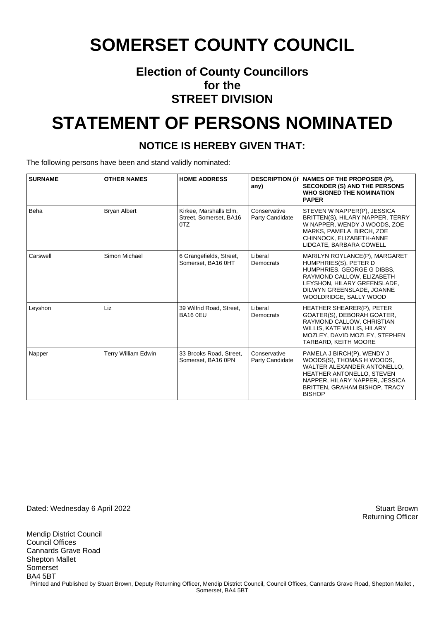#### **Election of County Councillors for the STREET DIVISION**

## **STATEMENT OF PERSONS NOMINATED**

#### **NOTICE IS HEREBY GIVEN THAT:**

The following persons have been and stand validly nominated:

| <b>SURNAME</b> | <b>OTHER NAMES</b>         | <b>HOME ADDRESS</b>                                     | any)                            | DESCRIPTION (if NAMES OF THE PROPOSER (P),<br><b>SECONDER (S) AND THE PERSONS</b><br>WHO SIGNED THE NOMINATION<br><b>PAPER</b>                                                                          |
|----------------|----------------------------|---------------------------------------------------------|---------------------------------|---------------------------------------------------------------------------------------------------------------------------------------------------------------------------------------------------------|
| Beha           | <b>Bryan Albert</b>        | Kirkee, Marshalls Elm,<br>Street. Somerset. BA16<br>0TZ | Conservative<br>Party Candidate | STEVEN W NAPPER(P), JESSICA<br>BRITTEN(S), HILARY NAPPER, TERRY<br>W NAPPER, WENDY J WOODS, ZOE<br>MARKS, PAMELA BIRCH, ZOE<br>CHINNOCK, ELIZABETH-ANNE<br>LIDGATE, BARBARA COWELL                      |
| Carswell       | Simon Michael              | 6 Grangefields, Street,<br>Somerset, BA16 0HT           | Liberal<br>Democrats            | MARILYN ROYLANCE(P), MARGARET<br>HUMPHRIES(S), PETER D<br>HUMPHRIES, GEORGE G DIBBS.<br>RAYMOND CALLOW, ELIZABETH<br>LEYSHON, HILARY GREENSLADE,<br>DILWYN GREENSLADE, JOANNE<br>WOOLDRIDGE, SALLY WOOD |
| Leyshon        | Liz                        | 39 Wilfrid Road, Street,<br><b>BA16 0EU</b>             | Liberal<br>Democrats            | HEATHER SHEARER(P), PETER<br>GOATER(S), DEBORAH GOATER,<br>RAYMOND CALLOW, CHRISTIAN<br>WILLIS, KATE WILLIS, HILARY<br>MOZLEY, DAVID MOZLEY, STEPHEN<br><b>TARBARD, KEITH MOORE</b>                     |
| Napper         | <b>Terry William Edwin</b> | 33 Brooks Road, Street,<br>Somerset, BA16 0PN           | Conservative<br>Party Candidate | PAMELA J BIRCH(P), WENDY J<br>WOODS(S), THOMAS H WOODS,<br>WALTER ALEXANDER ANTONELLO,<br>HEATHER ANTONELLO, STEVEN<br>NAPPER, HILARY NAPPER, JESSICA<br>BRITTEN, GRAHAM BISHOP, TRACY<br><b>BISHOP</b> |

Dated: Wednesday 6 April 2022 Stuart Brown

Mendip District Council Council Offices Cannards Grave Road Shepton Mallet Somerset BA4 5BT Printed and Published by Stuart Brown, Deputy Returning Officer, Mendip District Council, Council Offices, Cannards Grave Road, Shepton Mallet, Somerset, BA4 5BT

Returning Officer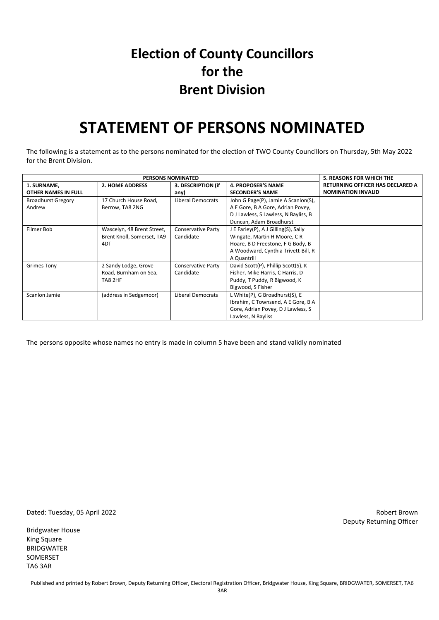#### **Election of County Councillors for the Brent Division**

### **STATEMENT OF PERSONS NOMINATED**

The following is a statement as to the persons nominated for the election of TWO County Councillors on Thursday, 5th May 2022 for the Brent Division.

| <b>PERSONS NOMINATED</b>  |                            |                           |                                      | <b>5. REASONS FOR WHICH THE</b>  |
|---------------------------|----------------------------|---------------------------|--------------------------------------|----------------------------------|
| 1. SURNAME,               | <b>2. HOME ADDRESS</b>     | 3. DESCRIPTION (if        | <b>4. PROPOSER'S NAME</b>            | RETURNING OFFICER HAS DECLARED A |
| OTHER NAMES IN FULL       |                            | any)                      | <b>SECONDER'S NAME</b>               | <b>NOMINATION INVALID</b>        |
| <b>Broadhurst Gregory</b> | 17 Church House Road,      | <b>Liberal Democrats</b>  | John G Page(P), Jamie A Scanlon(S),  |                                  |
| Andrew                    | Berrow, TA8 2NG            |                           | A E Gore, B A Gore, Adrian Povey,    |                                  |
|                           |                            |                           | D J Lawless, S Lawless, N Bayliss, B |                                  |
|                           |                            |                           | Duncan, Adam Broadhurst              |                                  |
| Filmer Bob                | Wascelyn, 48 Brent Street, | <b>Conservative Party</b> | J E Farley(P), A J Gilling(S), Sally |                                  |
|                           | Brent Knoll, Somerset, TA9 | Candidate                 | Wingate, Martin H Moore, C R         |                                  |
|                           | 4DT                        |                           | Hoare, B D Freestone, F G Body, B    |                                  |
|                           |                            |                           | A Woodward, Cynthia Trivett-Bill, R  |                                  |
|                           |                            |                           | A Quantrill                          |                                  |
| <b>Grimes Tony</b>        | 2 Sandy Lodge, Grove       | Conservative Party        | David Scott(P), Phillip Scott(S), K  |                                  |
|                           | Road, Burnham on Sea,      | Candidate                 | Fisher, Mike Harris, C Harris, D     |                                  |
|                           | TA8 2HF                    |                           | Puddy, T Puddy, R Bigwood, K         |                                  |
|                           |                            |                           | Bigwood, S Fisher                    |                                  |
| Scanlon Jamie             | (address in Sedgemoor)     | Liberal Democrats         | L White(P), G Broadhurst(S), E       |                                  |
|                           |                            |                           | Ibrahim, C Townsend, A E Gore, B A   |                                  |
|                           |                            |                           | Gore, Adrian Povey, DJ Lawless, S    |                                  |
|                           |                            |                           | Lawless, N Bayliss                   |                                  |

The persons opposite whose names no entry is made in column 5 have been and stand validly nominated

Dated: Tuesday, 05 April 2022 Robert Brown

Bridgwater House King Square BRIDGWATER SOMERSET TA6 3AR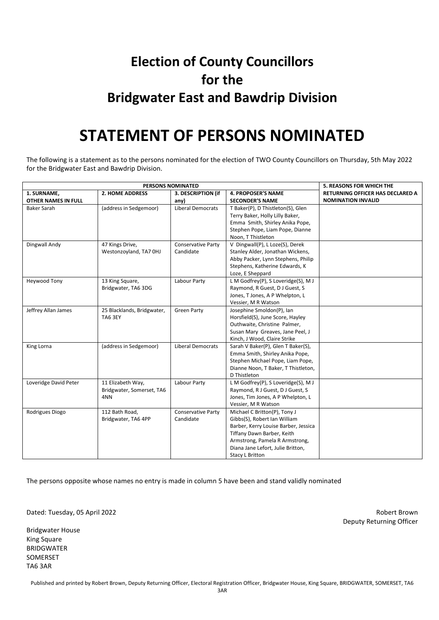### **Election of County Councillors for the Bridgwater East and Bawdrip Division**

### **STATEMENT OF PERSONS NOMINATED**

The following is a statement as to the persons nominated for the election of TWO County Councillors on Thursday, 5th May 2022 for the Bridgwater East and Bawdrip Division.

| PERSONS NOMINATED     |                            |                           |                                      | <b>5. REASONS FOR WHICH THE</b>  |
|-----------------------|----------------------------|---------------------------|--------------------------------------|----------------------------------|
| 1. SURNAME,           | <b>2. HOME ADDRESS</b>     | 3. DESCRIPTION (if        | <b>4. PROPOSER'S NAME</b>            | RETURNING OFFICER HAS DECLARED A |
| OTHER NAMES IN FULL   |                            | any)                      | <b>SECONDER'S NAME</b>               | <b>NOMINATION INVALID</b>        |
| <b>Baker Sarah</b>    | (address in Sedgemoor)     | <b>Liberal Democrats</b>  | T Baker(P), D Thistleton(S), Glen    |                                  |
|                       |                            |                           | Terry Baker, Holly Lilly Baker,      |                                  |
|                       |                            |                           | Emma Smith, Shirley Anika Pope,      |                                  |
|                       |                            |                           | Stephen Pope, Liam Pope, Dianne      |                                  |
|                       |                            |                           | Noon, T Thistleton                   |                                  |
| Dingwall Andy         | 47 Kings Drive,            | <b>Conservative Party</b> | V Dingwall(P), L Loze(S), Derek      |                                  |
|                       | Westonzoyland, TA7 OHJ     | Candidate                 | Stanley Alder, Jonathan Wickens,     |                                  |
|                       |                            |                           | Abby Packer, Lynn Stephens, Philip   |                                  |
|                       |                            |                           | Stephens, Katherine Edwards, K       |                                  |
|                       |                            |                           | Loze, E Sheppard                     |                                  |
| Heywood Tony          | 13 King Square,            | Labour Party              | L M Godfrey(P), S Loveridge(S), M J  |                                  |
|                       | Bridgwater, TA6 3DG        |                           | Raymond, R Guest, D J Guest, S       |                                  |
|                       |                            |                           | Jones, T Jones, A P Whelpton, L      |                                  |
|                       |                            |                           | Vessier, M R Watson                  |                                  |
| Jeffrey Allan James   | 25 Blacklands, Bridgwater, | <b>Green Party</b>        | Josephine Smoldon(P), Ian            |                                  |
|                       | TA6 3EY                    |                           | Horsfield(S), June Score, Hayley     |                                  |
|                       |                            |                           | Outhwaite, Christine Palmer,         |                                  |
|                       |                            |                           | Susan Mary Greaves, Jane Peel, J     |                                  |
|                       |                            |                           | Kinch, J Wood, Claire Strike         |                                  |
| King Lorna            | (address in Sedgemoor)     | <b>Liberal Democrats</b>  | Sarah V Baker(P), Glen T Baker(S),   |                                  |
|                       |                            |                           | Emma Smith, Shirley Anika Pope,      |                                  |
|                       |                            |                           | Stephen Michael Pope, Liam Pope,     |                                  |
|                       |                            |                           | Dianne Noon, T Baker, T Thistleton,  |                                  |
|                       |                            |                           | D Thistleton                         |                                  |
| Loveridge David Peter | 11 Elizabeth Way,          | Labour Party              | L M Godfrey(P), S Loveridge(S), M J  |                                  |
|                       | Bridgwater, Somerset, TA6  |                           | Raymond, R J Guest, D J Guest, S     |                                  |
|                       | 4NN                        |                           | Jones, Tim Jones, A P Whelpton, L    |                                  |
|                       |                            |                           | Vessier, M R Watson                  |                                  |
| Rodrigues Diogo       | 112 Bath Road,             | <b>Conservative Party</b> | Michael C Britton(P), Tony J         |                                  |
|                       | Bridgwater, TA6 4PP        | Candidate                 | Gibbs(S), Robert Ian William         |                                  |
|                       |                            |                           | Barber, Kerry Louise Barber, Jessica |                                  |
|                       |                            |                           | Tiffany Dawn Barber, Keith           |                                  |
|                       |                            |                           | Armstrong, Pamela R Armstrong,       |                                  |
|                       |                            |                           | Diana Jane Lefort, Julie Britton,    |                                  |
|                       |                            |                           | <b>Stacy L Britton</b>               |                                  |

The persons opposite whose names no entry is made in column 5 have been and stand validly nominated

Dated: Tuesday, 05 April 2022 Robert Brown

Bridgwater House King Square BRIDGWATER SOMERSET TA6 3AR

Deputy Returning Officer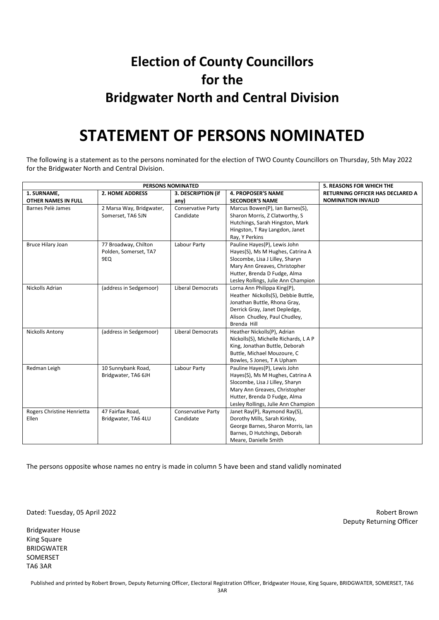### **Election of County Councillors for the Bridgwater North and Central Division**

### **STATEMENT OF PERSONS NOMINATED**

The following is a statement as to the persons nominated for the election of TWO County Councillors on Thursday, 5th May 2022 for the Bridgwater North and Central Division.

|                            | <b>5. REASONS FOR WHICH THE</b> |                           |                                     |                                  |
|----------------------------|---------------------------------|---------------------------|-------------------------------------|----------------------------------|
| 1. SURNAME,                | <b>2. HOME ADDRESS</b>          | 3. DESCRIPTION (if        | <b>4. PROPOSER'S NAME</b>           | RETURNING OFFICER HAS DECLARED A |
| <b>OTHER NAMES IN FULL</b> |                                 | any)                      | <b>SECONDER'S NAME</b>              | <b>NOMINATION INVALID</b>        |
| Barnes Pelè James          | 2 Marsa Way, Bridgwater,        | <b>Conservative Party</b> | Marcus Bowen(P), Ian Barnes(S),     |                                  |
|                            | Somerset, TA6 5JN               | Candidate                 | Sharon Morris, Z Clatworthy, S      |                                  |
|                            |                                 |                           | Hutchings, Sarah Hingston, Mark     |                                  |
|                            |                                 |                           | Hingston, T Ray Langdon, Janet      |                                  |
|                            |                                 |                           | Ray, Y Perkins                      |                                  |
| Bruce Hilary Joan          | 77 Broadway, Chilton            | Labour Party              | Pauline Hayes(P), Lewis John        |                                  |
|                            | Polden, Somerset, TA7           |                           | Hayes(S), Ms M Hughes, Catrina A    |                                  |
|                            | 9EQ                             |                           | Slocombe, Lisa J Lilley, Sharyn     |                                  |
|                            |                                 |                           | Mary Ann Greaves, Christopher       |                                  |
|                            |                                 |                           | Hutter, Brenda D Fudge, Alma        |                                  |
|                            |                                 |                           | Lesley Rollings, Julie Ann Champion |                                  |
| Nickolls Adrian            | (address in Sedgemoor)          | <b>Liberal Democrats</b>  | Lorna Ann Philippa King(P),         |                                  |
|                            |                                 |                           | Heather Nickolls(S), Debbie Buttle, |                                  |
|                            |                                 |                           | Jonathan Buttle, Rhona Gray,        |                                  |
|                            |                                 |                           | Derrick Gray, Janet Depledge,       |                                  |
|                            |                                 |                           | Alison Chudley, Paul Chudley,       |                                  |
|                            |                                 |                           | Brenda Hill                         |                                  |
| <b>Nickolls Antony</b>     | (address in Sedgemoor)          | <b>Liberal Democrats</b>  | Heather Nickolls(P), Adrian         |                                  |
|                            |                                 |                           | Nickolls(S), Michelle Richards, LAP |                                  |
|                            |                                 |                           | King, Jonathan Buttle, Deborah      |                                  |
|                            |                                 |                           | Buttle, Michael Mouzoure, C         |                                  |
|                            |                                 |                           | Bowles, S Jones, T A Upham          |                                  |
| Redman Leigh               | 10 Sunnybank Road,              | Labour Party              | Pauline Hayes(P), Lewis John        |                                  |
|                            | Bridgwater, TA6 6JH             |                           | Hayes(S), Ms M Hughes, Catrina A    |                                  |
|                            |                                 |                           | Slocombe, Lisa J Lilley, Sharyn     |                                  |
|                            |                                 |                           | Mary Ann Greaves, Christopher       |                                  |
|                            |                                 |                           | Hutter, Brenda D Fudge, Alma        |                                  |
|                            |                                 |                           | Lesley Rollings, Julie Ann Champion |                                  |
| Rogers Christine Henrietta | 47 Fairfax Road,                | <b>Conservative Party</b> | Janet Ray(P), Raymond Ray(S),       |                                  |
| Ellen                      | Bridgwater, TA6 4LU             | Candidate                 | Dorothy Mills, Sarah Kirkby,        |                                  |
|                            |                                 |                           | George Barnes, Sharon Morris, Ian   |                                  |
|                            |                                 |                           | Barnes, D Hutchings, Deborah        |                                  |
|                            |                                 |                           | Meare, Danielle Smith               |                                  |

The persons opposite whose names no entry is made in column 5 have been and stand validly nominated

Dated: Tuesday, 05 April 2022 Robert Brown

Bridgwater House King Square BRIDGWATER SOMERSET TA6 3AR

Deputy Returning Officer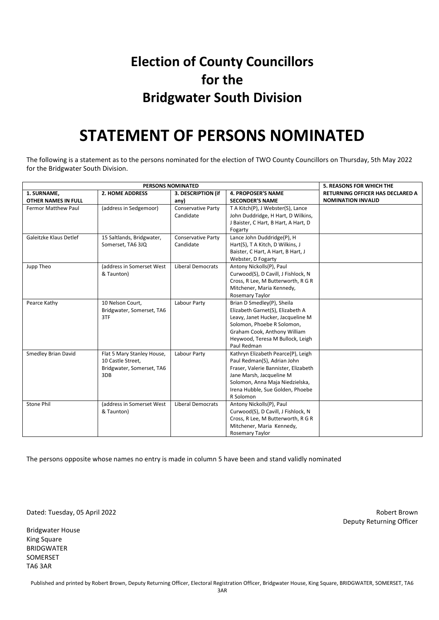### **Election of County Councillors for the Bridgwater South Division**

### **STATEMENT OF PERSONS NOMINATED**

The following is a statement as to the persons nominated for the election of TWO County Councillors on Thursday, 5th May 2022 for the Bridgwater South Division.

| <b>PERSONS NOMINATED</b>                  |                                                                                     |                                 |                                                                                                                                                                                                                           | <b>5. REASONS FOR WHICH THE</b>                                      |
|-------------------------------------------|-------------------------------------------------------------------------------------|---------------------------------|---------------------------------------------------------------------------------------------------------------------------------------------------------------------------------------------------------------------------|----------------------------------------------------------------------|
| 1. SURNAME,<br><b>OTHER NAMES IN FULL</b> | <b>2. HOME ADDRESS</b>                                                              | 3. DESCRIPTION (if<br>any)      | <b>4. PROPOSER'S NAME</b><br><b>SECONDER'S NAME</b>                                                                                                                                                                       | <b>RETURNING OFFICER HAS DECLARED A</b><br><b>NOMINATION INVALID</b> |
| <b>Fermor Matthew Paul</b>                | (address in Sedgemoor)                                                              | Conservative Party<br>Candidate | T A Kitch(P), J Webster(S), Lance<br>John Duddridge, H Hart, D Wilkins,<br>J Baister, C Hart, B Hart, A Hart, D<br>Fogarty                                                                                                |                                                                      |
| Galeitzke Klaus Detlef                    | 15 Saltlands, Bridgwater,<br>Somerset, TA6 3JQ                                      | Conservative Party<br>Candidate | Lance John Duddridge(P), H<br>Hart(S), T A Kitch, D Wilkins, J<br>Baister, C Hart, A Hart, B Hart, J<br>Webster, D Fogarty                                                                                                |                                                                      |
| Jupp Theo                                 | (address in Somerset West<br>& Taunton)                                             | <b>Liberal Democrats</b>        | Antony Nickolls(P), Paul<br>Curwood(S), D Cavill, J Fishlock, N<br>Cross, R Lee, M Butterworth, R G R<br>Mitchener, Maria Kennedy,<br>Rosemary Taylor                                                                     |                                                                      |
| Pearce Kathy                              | 10 Nelson Court,<br>Bridgwater, Somerset, TA6<br>3TF                                | Labour Party                    | Brian D Smedley(P), Sheila<br>Elizabeth Garnet(S), Elizabeth A<br>Leavy, Janet Hucker, Jacqueline M<br>Solomon, Phoebe R Solomon,<br>Graham Cook, Anthony William<br>Heywood, Teresa M Bullock, Leigh<br>Paul Redman      |                                                                      |
| Smedley Brian David                       | Flat 5 Mary Stanley House,<br>10 Castle Street,<br>Bridgwater, Somerset, TA6<br>3DB | Labour Party                    | Kathryn Elizabeth Pearce(P), Leigh<br>Paul Redman(S), Adrian John<br>Fraser, Valerie Bannister, Elizabeth<br>Jane Marsh, Jacqueline M<br>Solomon, Anna Maja Niedzielska,<br>Irena Hubble, Sue Golden, Phoebe<br>R Solomon |                                                                      |
| <b>Stone Phil</b>                         | (address in Somerset West)<br>& Taunton)                                            | <b>Liberal Democrats</b>        | Antony Nickolls(P), Paul<br>Curwood(S), D Cavill, J Fishlock, N<br>Cross, R Lee, M Butterworth, R G R<br>Mitchener, Maria Kennedy,<br>Rosemary Taylor                                                                     |                                                                      |

The persons opposite whose names no entry is made in column 5 have been and stand validly nominated

Dated: Tuesday, 05 April 2022 Robert Brown

Bridgwater House King Square BRIDGWATER SOMERSET TA6 3AR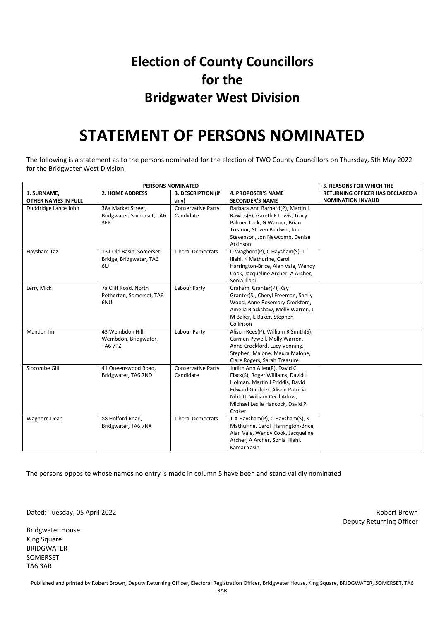### **Election of County Councillors for the Bridgwater West Division**

### **STATEMENT OF PERSONS NOMINATED**

The following is a statement as to the persons nominated for the election of TWO County Councillors on Thursday, 5th May 2022 for the Bridgwater West Division.

|                      | <b>5. REASONS FOR WHICH THE</b> |                          |                                     |                                         |
|----------------------|---------------------------------|--------------------------|-------------------------------------|-----------------------------------------|
| 1. SURNAME,          | <b>2. HOME ADDRESS</b>          | 3. DESCRIPTION (if       | <b>4. PROPOSER'S NAME</b>           | <b>RETURNING OFFICER HAS DECLARED A</b> |
| OTHER NAMES IN FULL  |                                 | any)                     | <b>SECONDER'S NAME</b>              | <b>NOMINATION INVALID</b>               |
| Duddridge Lance John | 38a Market Street,              | Conservative Party       | Barbara Ann Barnard(P), Martin L    |                                         |
|                      | Bridgwater, Somerset, TA6       | Candidate                | Rawles(S), Gareth E Lewis, Tracy    |                                         |
|                      | 3EP                             |                          | Palmer-Lock, G Warner, Brian        |                                         |
|                      |                                 |                          | Treanor, Steven Baldwin, John       |                                         |
|                      |                                 |                          | Stevenson, Jon Newcomb, Denise      |                                         |
|                      |                                 |                          | Atkinson                            |                                         |
| Haysham Taz          | 131 Old Basin, Somerset         | <b>Liberal Democrats</b> | D Waghorn(P), C Haysham(S), T       |                                         |
|                      | Bridge, Bridgwater, TA6         |                          | Illahi, K Mathurine, Carol          |                                         |
|                      | 6L                              |                          | Harrington-Brice, Alan Vale, Wendy  |                                         |
|                      |                                 |                          | Cook, Jacqueline Archer, A Archer,  |                                         |
|                      |                                 |                          | Sonia Illahi                        |                                         |
| Lerry Mick           | 7a Cliff Road, North            | Labour Party             | Graham Granter(P), Kay              |                                         |
|                      | Petherton, Somerset, TA6        |                          | Granter(S), Cheryl Freeman, Shelly  |                                         |
|                      | 6NU                             |                          | Wood, Anne Rosemary Crockford,      |                                         |
|                      |                                 |                          | Amelia Blackshaw, Molly Warren, J   |                                         |
|                      |                                 |                          | M Baker, E Baker, Stephen           |                                         |
|                      |                                 |                          | Collinson                           |                                         |
| <b>Mander Tim</b>    | 43 Wembdon Hill.                | Labour Party             | Alison Rees(P), William R Smith(S), |                                         |
|                      | Wembdon, Bridgwater,            |                          | Carmen Pywell, Molly Warren,        |                                         |
|                      | <b>TA6 7PZ</b>                  |                          | Anne Crockford, Lucy Venning,       |                                         |
|                      |                                 |                          | Stephen Malone, Maura Malone,       |                                         |
|                      |                                 |                          | Clare Rogers, Sarah Treasure        |                                         |
| Slocombe Gill        | 41 Queenswood Road,             | Conservative Party       | Judith Ann Allen(P), David C        |                                         |
|                      | Bridgwater, TA6 7ND             | Candidate                | Flack(S), Roger Williams, David J   |                                         |
|                      |                                 |                          | Holman, Martin J Priddis, David     |                                         |
|                      |                                 |                          | Edward Gardner, Alison Patricia     |                                         |
|                      |                                 |                          | Niblett, William Cecil Arlow,       |                                         |
|                      |                                 |                          | Michael Leslie Hancock, David P     |                                         |
|                      |                                 |                          | Croker                              |                                         |
| Waghorn Dean         | 88 Holford Road,                | <b>Liberal Democrats</b> | T A Haysham(P), C Haysham(S), K     |                                         |
|                      | Bridgwater, TA6 7NX             |                          | Mathurine, Carol Harrington-Brice,  |                                         |
|                      |                                 |                          | Alan Vale, Wendy Cook, Jacqueline   |                                         |
|                      |                                 |                          | Archer, A Archer, Sonia Illahi,     |                                         |
|                      |                                 |                          | Kamar Yasin                         |                                         |

The persons opposite whose names no entry is made in column 5 have been and stand validly nominated

Dated: Tuesday, 05 April 2022 Robert Brown

Bridgwater House King Square BRIDGWATER SOMERSET TA6 3AR

Deputy Returning Officer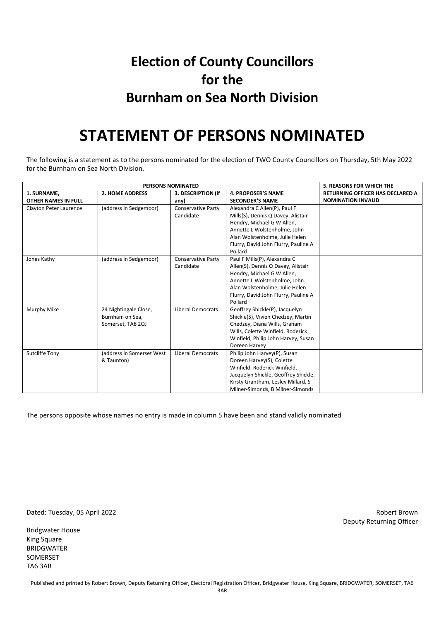### **Election of County Councillors for the Burnham on Sea North Division**

### **STATEMENT OF PERSONS NOMINATED**

The following is a statement as to the persons nominated for the election of TWO County Councillors on Thursday, 5th May 2022 for the Burnham on Sea North Division.

|                            | <b>5. REASONS FOR WHICH THE</b> |                           |                                      |                                         |
|----------------------------|---------------------------------|---------------------------|--------------------------------------|-----------------------------------------|
| 1. SURNAME,                | <b>2. HOME ADDRESS</b>          | 3. DESCRIPTION (if        | <b>4. PROPOSER'S NAME</b>            | <b>RETURNING OFFICER HAS DECLARED A</b> |
| <b>OTHER NAMES IN FULL</b> |                                 | any)                      | <b>SECONDER'S NAME</b>               | <b>NOMINATION INVALID</b>               |
| Clayton Peter Laurence     | (address in Sedgemoor)          | <b>Conservative Party</b> | Alexandra C Allen(P), Paul F         |                                         |
|                            |                                 | Candidate                 | Mills(S), Dennis Q Davey, Alistair   |                                         |
|                            |                                 |                           | Hendry, Michael G W Allen,           |                                         |
|                            |                                 |                           | Annette L Wolstenholme, John         |                                         |
|                            |                                 |                           | Alan Wolstenholme, Julie Helen       |                                         |
|                            |                                 |                           | Flurry, David John Flurry, Pauline A |                                         |
|                            |                                 |                           | Pollard                              |                                         |
| Jones Kathy                | (address in Sedgemoor)          | <b>Conservative Party</b> | Paul F Mills(P), Alexandra C         |                                         |
|                            |                                 | Candidate                 | Allen(S), Dennis Q Davey, Alistair   |                                         |
|                            |                                 |                           | Hendry, Michael G W Allen,           |                                         |
|                            |                                 |                           | Annette L Wolstenholme, John         |                                         |
|                            |                                 |                           | Alan Wolstenholme, Julie Helen       |                                         |
|                            |                                 |                           | Flurry, David John Flurry, Pauline A |                                         |
|                            |                                 |                           | Pollard                              |                                         |
| Murphy Mike                | 24 Nightingale Close,           | <b>Liberal Democrats</b>  | Geoffrey Shickle(P), Jacquelyn       |                                         |
|                            | Burnham on Sea.                 |                           | Shickle(S), Vivien Chedzey, Martin   |                                         |
|                            | Somerset, TA8 2QJ               |                           | Chedzey, Diana Wills, Graham         |                                         |
|                            |                                 |                           | Wills, Colette Winfield, Roderick    |                                         |
|                            |                                 |                           | Winfield, Philip John Harvey, Susan  |                                         |
|                            |                                 |                           | Doreen Harvey                        |                                         |
| Sutcliffe Tony             | (address in Somerset West       | <b>Liberal Democrats</b>  | Philip John Harvey(P), Susan         |                                         |
|                            | & Taunton)                      |                           | Doreen Harvey(S), Colette            |                                         |
|                            |                                 |                           | Winfield, Roderick Winfield,         |                                         |
|                            |                                 |                           | Jacquelyn Shickle, Geoffrey Shickle, |                                         |
|                            |                                 |                           | Kirsty Grantham, Lesley Millard, S   |                                         |
|                            |                                 |                           | Milner-Simonds, B Milner-Simonds     |                                         |

The persons opposite whose names no entry is made in column 5 have been and stand validly nominated

Dated: Tuesday, 05 April 2022 Robert Brown

Bridgwater House King Square BRIDGWATER SOMERSET TA6 3AR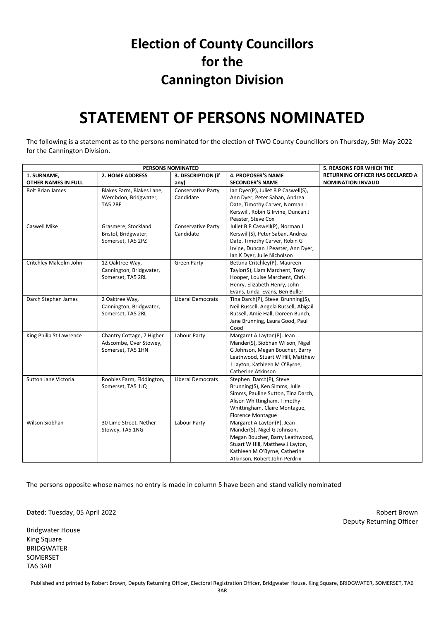#### **Election of County Councillors for the Cannington Division**

### **STATEMENT OF PERSONS NOMINATED**

The following is a statement as to the persons nominated for the election of TWO County Councillors on Thursday, 5th May 2022 for the Cannington Division.

| PERSONS NOMINATED          |                           |                           |                                       | 5. REASONS FOR WHICH THE         |
|----------------------------|---------------------------|---------------------------|---------------------------------------|----------------------------------|
| 1. SURNAME,                | <b>2. HOME ADDRESS</b>    | 3. DESCRIPTION (if        | <b>4. PROPOSER'S NAME</b>             | RETURNING OFFICER HAS DECLARED A |
| <b>OTHER NAMES IN FULL</b> |                           | any)                      | <b>SECONDER'S NAME</b>                | <b>NOMINATION INVALID</b>        |
| <b>Bolt Brian James</b>    | Blakes Farm, Blakes Lane, | Conservative Party        | Ian Dyer(P), Juliet B P Caswell(S),   |                                  |
|                            | Wembdon, Bridgwater,      | Candidate                 | Ann Dyer, Peter Saban, Andrea         |                                  |
|                            | <b>TA5 2BE</b>            |                           | Date, Timothy Carver, Norman J        |                                  |
|                            |                           |                           | Kerswill, Robin G Irvine, Duncan J    |                                  |
|                            |                           |                           | Peaster, Steve Cox                    |                                  |
| Caswell Mike               | Grasmere, Stockland       | <b>Conservative Party</b> | Juliet B P Caswell(P), Norman J       |                                  |
|                            | Bristol, Bridgwater,      | Candidate                 | Kerswill(S), Peter Saban, Andrea      |                                  |
|                            | Somerset, TA5 2PZ         |                           | Date, Timothy Carver, Robin G         |                                  |
|                            |                           |                           | Irvine, Duncan J Peaster, Ann Dyer,   |                                  |
|                            |                           |                           | Ian K Dyer, Julie Nicholson           |                                  |
| Critchley Malcolm John     | 12 Oaktree Way,           | <b>Green Party</b>        | Bettina Critchley(P), Maureen         |                                  |
|                            | Cannington, Bridgwater,   |                           | Taylor(S), Liam Marchent, Tony        |                                  |
|                            | Somerset, TA5 2RL         |                           | Hooper, Louise Marchent, Chris        |                                  |
|                            |                           |                           | Henry, Elizabeth Henry, John          |                                  |
|                            |                           |                           | Evans, Linda Evans, Ben Buller        |                                  |
| Darch Stephen James        | 2 Oaktree Way,            | <b>Liberal Democrats</b>  | Tina Darch(P), Steve Brunning(S),     |                                  |
|                            | Cannington, Bridgwater,   |                           | Neil Russell, Angela Russell, Abigail |                                  |
|                            | Somerset, TA5 2RL         |                           | Russell, Amie Hall, Doreen Bunch,     |                                  |
|                            |                           |                           | Jane Brunning, Laura Good, Paul       |                                  |
|                            |                           |                           | Good                                  |                                  |
| King Philip St Lawrence    | Chantry Cottage, 7 Higher | Labour Party              | Margaret A Layton(P), Jean            |                                  |
|                            | Adscombe, Over Stowey,    |                           | Mander(S), Siobhan Wilson, Nigel      |                                  |
|                            | Somerset, TA5 1HN         |                           | G Johnson, Megan Boucher, Barry       |                                  |
|                            |                           |                           | Leathwood, Stuart W Hill, Matthew     |                                  |
|                            |                           |                           | J Layton, Kathleen M O'Byrne,         |                                  |
|                            |                           |                           | Catherine Atkinson                    |                                  |
| Sutton Jane Victoria       | Roobies Farm, Fiddington, | <b>Liberal Democrats</b>  | Stephen Darch(P), Steve               |                                  |
|                            | Somerset, TA5 1JQ         |                           | Brunning(S), Ken Simms, Julie         |                                  |
|                            |                           |                           | Simms, Pauline Sutton, Tina Darch,    |                                  |
|                            |                           |                           | Alison Whittingham, Timothy           |                                  |
|                            |                           |                           | Whittingham, Claire Montague,         |                                  |
|                            |                           |                           | <b>Florence Montague</b>              |                                  |
| Wilson Siobhan             | 30 Lime Street, Nether    | Labour Party              | Margaret A Layton(P), Jean            |                                  |
|                            | Stowey, TA5 1NG           |                           | Mander(S), Nigel G Johnson,           |                                  |
|                            |                           |                           | Megan Boucher, Barry Leathwood,       |                                  |
|                            |                           |                           | Stuart W Hill, Matthew J Layton,      |                                  |
|                            |                           |                           | Kathleen M O'Byrne, Catherine         |                                  |
|                            |                           |                           | Atkinson, Robert John Perdrix         |                                  |

The persons opposite whose names no entry is made in column 5 have been and stand validly nominated

Dated: Tuesday, 05 April 2022 Robert Brown

Bridgwater House King Square BRIDGWATER SOMERSET TA6 3AR

Deputy Returning Officer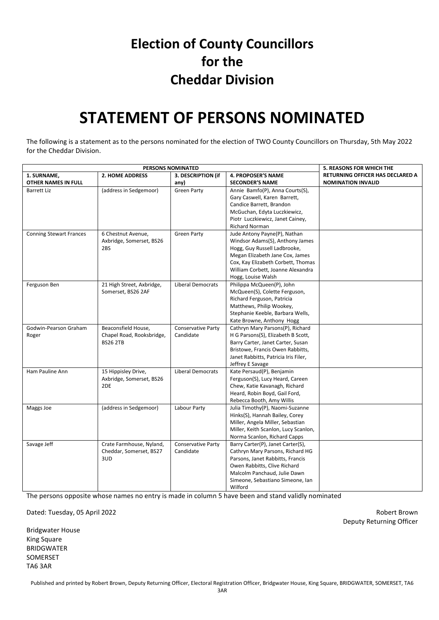#### **Election of County Councillors for the Cheddar Division**

### **STATEMENT OF PERSONS NOMINATED**

The following is a statement as to the persons nominated for the election of TWO County Councillors on Thursday, 5th May 2022 for the Cheddar Division.

|                                | <b>5. REASONS FOR WHICH THE</b> |                           |                                      |                                  |
|--------------------------------|---------------------------------|---------------------------|--------------------------------------|----------------------------------|
| 1. SURNAME,                    | <b>2. HOME ADDRESS</b>          | 3. DESCRIPTION (if        | <b>4. PROPOSER'S NAME</b>            | RETURNING OFFICER HAS DECLARED A |
| OTHER NAMES IN FULL            |                                 | any)                      | <b>SECONDER'S NAME</b>               | <b>NOMINATION INVALID</b>        |
| Barrett Liz                    | (address in Sedgemoor)          | Green Party               | Annie Bamfo(P), Anna Courts(S),      |                                  |
|                                |                                 |                           | Gary Caswell, Karen Barrett,         |                                  |
|                                |                                 |                           | Candice Barrett, Brandon             |                                  |
|                                |                                 |                           | McGuchan, Edyta Luczkiewicz,         |                                  |
|                                |                                 |                           | Piotr Luczkiewicz, Janet Cainey,     |                                  |
|                                |                                 |                           | <b>Richard Norman</b>                |                                  |
| <b>Conning Stewart Frances</b> | 6 Chestnut Avenue,              | <b>Green Party</b>        | Jude Antony Payne(P), Nathan         |                                  |
|                                | Axbridge, Somerset, BS26        |                           | Windsor Adams(S), Anthony James      |                                  |
|                                | 2BS                             |                           | Hogg, Guy Russell Ladbrooke,         |                                  |
|                                |                                 |                           | Megan Elizabeth Jane Cox, James      |                                  |
|                                |                                 |                           | Cox, Kay Elizabeth Corbett, Thomas   |                                  |
|                                |                                 |                           | William Corbett, Joanne Alexandra    |                                  |
|                                |                                 |                           | Hogg, Louise Walsh                   |                                  |
| Ferguson Ben                   | 21 High Street, Axbridge,       | <b>Liberal Democrats</b>  | Philippa McQueen(P), John            |                                  |
|                                | Somerset, BS26 2AF              |                           | McQueen(S), Colette Ferguson,        |                                  |
|                                |                                 |                           | Richard Ferguson, Patricia           |                                  |
|                                |                                 |                           | Matthews, Philip Wookey,             |                                  |
|                                |                                 |                           | Stephanie Keeble, Barbara Wells,     |                                  |
|                                |                                 |                           | Kate Browne, Anthony Hogg            |                                  |
| Godwin-Pearson Graham          | Beaconsfield House,             | <b>Conservative Party</b> | Cathryn Mary Parsons(P), Richard     |                                  |
| Roger                          | Chapel Road, Rooksbridge,       | Candidate                 | H G Parsons(S), Elizabeth B Scott,   |                                  |
|                                | <b>BS26 2TB</b>                 |                           | Barry Carter, Janet Carter, Susan    |                                  |
|                                |                                 |                           | Bristowe, Francis Owen Rabbitts,     |                                  |
|                                |                                 |                           | Janet Rabbitts, Patricia Iris Filer, |                                  |
|                                |                                 |                           | Jeffrey E Savage                     |                                  |
| Ham Pauline Ann                | 15 Hippisley Drive,             | <b>Liberal Democrats</b>  | Kate Persaud(P), Benjamin            |                                  |
|                                | Axbridge, Somerset, BS26        |                           | Ferguson(S), Lucy Heard, Careen      |                                  |
|                                | 2DE                             |                           | Chew, Katie Kavanagh, Richard        |                                  |
|                                |                                 |                           | Heard, Robin Boyd, Gail Ford,        |                                  |
|                                |                                 |                           | Rebecca Booth, Amy Willis            |                                  |
| Maggs Joe                      | (address in Sedgemoor)          | Labour Party              | Julia Timothy(P), Naomi-Suzanne      |                                  |
|                                |                                 |                           | Hinks(S), Hannah Bailey, Corey       |                                  |
|                                |                                 |                           | Miller, Angela Miller, Sebastian     |                                  |
|                                |                                 |                           | Miller, Keith Scanlon, Lucy Scanlon, |                                  |
|                                |                                 |                           | Norma Scanlon, Richard Capps         |                                  |
| Savage Jeff                    | Crate Farmhouse, Nyland,        | <b>Conservative Party</b> | Barry Carter(P), Janet Carter(S),    |                                  |
|                                | Cheddar, Somerset, BS27         | Candidate                 | Cathryn Mary Parsons, Richard HG     |                                  |
|                                | 3UD                             |                           | Parsons, Janet Rabbitts, Francis     |                                  |
|                                |                                 |                           | Owen Rabbitts, Clive Richard         |                                  |
|                                |                                 |                           | Malcolm Panchaud, Julie Dawn         |                                  |
|                                |                                 |                           | Simeone, Sebastiano Simeone, Ian     |                                  |
|                                |                                 |                           | Wilford                              |                                  |

The persons opposite whose names no entry is made in column 5 have been and stand validly nominated

Dated: Tuesday, 05 April 2022 Robert Brown

Bridgwater House King Square BRIDGWATER SOMERSET TA6 3AR

Deputy Returning Officer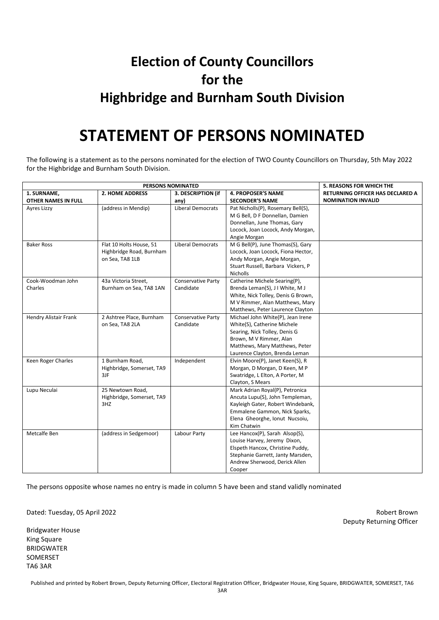### **Election of County Councillors for the Highbridge and Burnham South Division**

### **STATEMENT OF PERSONS NOMINATED**

The following is a statement as to the persons nominated for the election of TWO County Councillors on Thursday, 5th May 2022 for the Highbridge and Burnham South Division.

| PERSONS NOMINATED            |                           |                           |                                    | <b>5. REASONS FOR WHICH THE</b>  |
|------------------------------|---------------------------|---------------------------|------------------------------------|----------------------------------|
| 1. SURNAME,                  | <b>2. HOME ADDRESS</b>    | 3. DESCRIPTION (if        | <b>4. PROPOSER'S NAME</b>          | RETURNING OFFICER HAS DECLARED A |
| <b>OTHER NAMES IN FULL</b>   |                           | any)                      | <b>SECONDER'S NAME</b>             | <b>NOMINATION INVALID</b>        |
| Ayres Lizzy                  | (address in Mendip)       | <b>Liberal Democrats</b>  | Pat Nicholls(P), Rosemary Bell(S), |                                  |
|                              |                           |                           | M G Bell, D F Donnellan, Damien    |                                  |
|                              |                           |                           | Donnellan, June Thomas, Gary       |                                  |
|                              |                           |                           | Locock, Joan Locock, Andy Morgan,  |                                  |
|                              |                           |                           | Angie Morgan                       |                                  |
| <b>Baker Ross</b>            | Flat 10 Holts House, 51   | <b>Liberal Democrats</b>  | M G Bell(P), June Thomas(S), Gary  |                                  |
|                              | Highbridge Road, Burnham  |                           | Locock, Joan Locock, Fiona Hector, |                                  |
|                              | on Sea, TA8 1LB           |                           | Andy Morgan, Angie Morgan,         |                                  |
|                              |                           |                           | Stuart Russell, Barbara Vickers, P |                                  |
|                              |                           |                           | <b>Nicholls</b>                    |                                  |
| Cook-Woodman John            | 43a Victoria Street,      | <b>Conservative Party</b> | Catherine Michele Searing(P),      |                                  |
| Charles                      | Burnham on Sea, TA8 1AN   | Candidate                 | Brenda Leman(S), J I White, M J    |                                  |
|                              |                           |                           | White, Nick Tolley, Denis G Brown, |                                  |
|                              |                           |                           | M V Rimmer, Alan Matthews, Mary    |                                  |
|                              |                           |                           | Matthews, Peter Laurence Clayton   |                                  |
| <b>Hendry Alistair Frank</b> | 2 Ashtree Place, Burnham  | Conservative Party        | Michael John White(P), Jean Irene  |                                  |
|                              | on Sea, TA8 2LA           | Candidate                 | White(S), Catherine Michele        |                                  |
|                              |                           |                           | Searing, Nick Tolley, Denis G      |                                  |
|                              |                           |                           | Brown, M V Rimmer, Alan            |                                  |
|                              |                           |                           | Matthews, Mary Matthews, Peter     |                                  |
|                              |                           |                           | Laurence Clayton, Brenda Leman     |                                  |
| Keen Roger Charles           | 1 Burnham Road,           | Independent               | Elvin Moore(P), Janet Keen(S), R   |                                  |
|                              | Highbridge, Somerset, TA9 |                           | Morgan, D Morgan, D Keen, M P      |                                  |
|                              | 3JF                       |                           | Swatridge, L Elton, A Porter, M    |                                  |
|                              |                           |                           | Clayton, S Mears                   |                                  |
| Lupu Neculai                 | 25 Newtown Road,          |                           | Mark Adrian Royal(P), Petronica    |                                  |
|                              | Highbridge, Somerset, TA9 |                           | Ancuta Lupu(S), John Templeman,    |                                  |
|                              | 3HZ                       |                           | Kayleigh Gater, Robert Windebank,  |                                  |
|                              |                           |                           | Emmalene Gammon, Nick Sparks,      |                                  |
|                              |                           |                           | Elena Gheorghe, Ionut Nucsoiu,     |                                  |
|                              |                           |                           | Kim Chatwin                        |                                  |
| Metcalfe Ben                 | (address in Sedgemoor)    | Labour Party              | Lee Hancox(P), Sarah Alsop(S),     |                                  |
|                              |                           |                           | Louise Harvey, Jeremy Dixon,       |                                  |
|                              |                           |                           | Elspeth Hancox, Christine Puddy,   |                                  |
|                              |                           |                           | Stephanie Garrett, Janty Marsden,  |                                  |
|                              |                           |                           | Andrew Sherwood, Derick Allen      |                                  |
|                              |                           |                           | Cooper                             |                                  |

The persons opposite whose names no entry is made in column 5 have been and stand validly nominated

Dated: Tuesday, 05 April 2022 Robert Brown

Bridgwater House King Square BRIDGWATER SOMERSET TA6 3AR

Deputy Returning Officer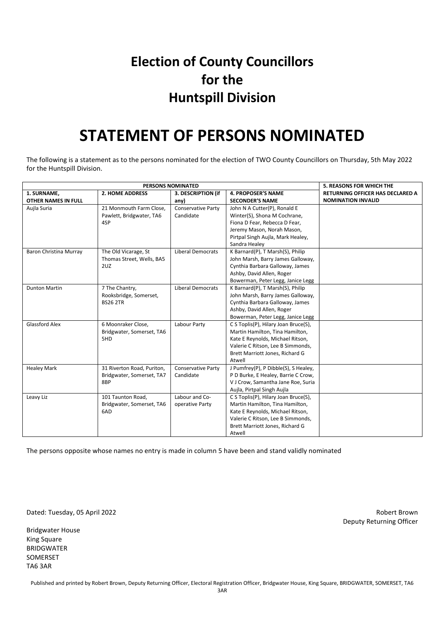#### **Election of County Councillors for the Huntspill Division**

### **STATEMENT OF PERSONS NOMINATED**

The following is a statement as to the persons nominated for the election of TWO County Councillors on Thursday, 5th May 2022 for the Huntspill Division.

|                            | <b>5. REASONS FOR WHICH THE</b> |                           |                                      |                                  |
|----------------------------|---------------------------------|---------------------------|--------------------------------------|----------------------------------|
| 1. SURNAME,                | <b>2. HOME ADDRESS</b>          | 3. DESCRIPTION (if        | <b>4. PROPOSER'S NAME</b>            | RETURNING OFFICER HAS DECLARED A |
| <b>OTHER NAMES IN FULL</b> |                                 | any)                      | <b>SECONDER'S NAME</b>               | <b>NOMINATION INVALID</b>        |
| Aujla Suria                | 21 Monmouth Farm Close,         | <b>Conservative Party</b> | John N A Cutter(P), Ronald E         |                                  |
|                            | Pawlett, Bridgwater, TA6        | Candidate                 | Winter(S), Shona M Cochrane,         |                                  |
|                            | 4SP                             |                           | Fiona D Fear, Rebecca D Fear,        |                                  |
|                            |                                 |                           | Jeremy Mason, Norah Mason,           |                                  |
|                            |                                 |                           | Pirtpal Singh Aujla, Mark Healey,    |                                  |
|                            |                                 |                           | Sandra Healey                        |                                  |
| Baron Christina Murray     | The Old Vicarage, St            | <b>Liberal Democrats</b>  | K Barnard(P), T Marsh(S), Philip     |                                  |
|                            | Thomas Street, Wells, BA5       |                           | John Marsh, Barry James Galloway,    |                                  |
|                            | 2UZ                             |                           | Cynthia Barbara Galloway, James      |                                  |
|                            |                                 |                           | Ashby, David Allen, Roger            |                                  |
|                            |                                 |                           | Bowerman, Peter Legg, Janice Legg    |                                  |
| <b>Dunton Martin</b>       | 7 The Chantry,                  | <b>Liberal Democrats</b>  | K Barnard(P), T Marsh(S), Philip     |                                  |
|                            | Rooksbridge, Somerset,          |                           | John Marsh, Barry James Galloway,    |                                  |
|                            | <b>BS26 2TR</b>                 |                           | Cynthia Barbara Galloway, James      |                                  |
|                            |                                 |                           | Ashby, David Allen, Roger            |                                  |
|                            |                                 |                           | Bowerman, Peter Legg, Janice Legg    |                                  |
| <b>Glassford Alex</b>      | 6 Moonraker Close,              | Labour Party              | C S Toplis(P), Hilary Joan Bruce(S), |                                  |
|                            | Bridgwater, Somerset, TA6       |                           | Martin Hamilton, Tina Hamilton,      |                                  |
|                            | 5HD                             |                           | Kate E Reynolds, Michael Ritson,     |                                  |
|                            |                                 |                           | Valerie C Ritson, Lee B Simmonds,    |                                  |
|                            |                                 |                           | Brett Marriott Jones, Richard G      |                                  |
|                            |                                 |                           | Atwell                               |                                  |
| <b>Healey Mark</b>         | 31 Riverton Road, Puriton,      | <b>Conservative Party</b> | J Pumfrey(P), P Dibble(S), S Healey, |                                  |
|                            | Bridgwater, Somerset, TA7       | Candidate                 | P D Burke, E Healey, Barrie C Crow,  |                                  |
|                            | 8BP                             |                           | V J Crow, Samantha Jane Roe, Suria   |                                  |
|                            |                                 |                           | Aujla, Pirtpal Singh Aujla           |                                  |
| Leavy Liz                  | 101 Taunton Road,               | Labour and Co-            | C S Toplis(P), Hilary Joan Bruce(S), |                                  |
|                            | Bridgwater, Somerset, TA6       | operative Party           | Martin Hamilton, Tina Hamilton,      |                                  |
|                            | 6AD                             |                           | Kate E Reynolds, Michael Ritson,     |                                  |
|                            |                                 |                           | Valerie C Ritson, Lee B Simmonds,    |                                  |
|                            |                                 |                           | Brett Marriott Jones, Richard G      |                                  |
|                            |                                 |                           | Atwell                               |                                  |

The persons opposite whose names no entry is made in column 5 have been and stand validly nominated

Dated: Tuesday, 05 April 2022 Robert Brown

Bridgwater House King Square BRIDGWATER SOMERSET TA6 3AR

Deputy Returning Officer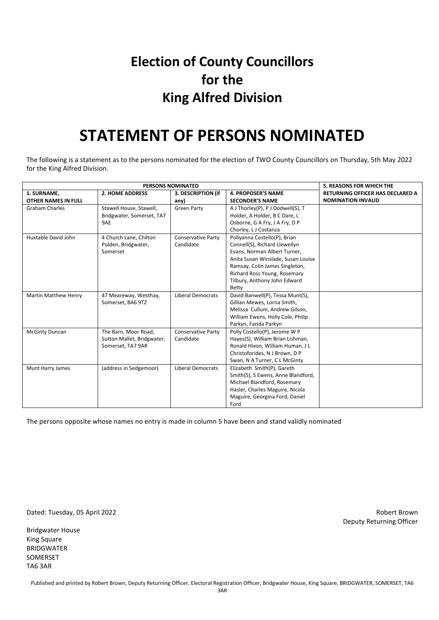#### **Election of County Councillors for the King Alfred Division**

### **STATEMENT OF PERSONS NOMINATED**

The following is a statement as to the persons nominated for the election of TWO County Councillors on Thursday, 5th May 2022 for the King Alfred Division.

| <b>PERSONS NOMINATED</b>   |                            |                           |                                    | <b>5. REASONS FOR WHICH THE</b>         |
|----------------------------|----------------------------|---------------------------|------------------------------------|-----------------------------------------|
| 1. SURNAME,                | <b>2. HOME ADDRESS</b>     | 3. DESCRIPTION (if        | <b>4. PROPOSER'S NAME</b>          | <b>RETURNING OFFICER HAS DECLARED A</b> |
| <b>OTHER NAMES IN FULL</b> |                            | any)                      | <b>SECONDER'S NAME</b>             | <b>NOMINATION INVALID</b>               |
| <b>Graham Charles</b>      | Stawell House, Stawell,    | <b>Green Party</b>        | A J Thorley(P), P J Dodwell(S), T  |                                         |
|                            | Bridgwater, Somerset, TA7  |                           | Holder, A Holder, B C Dare, L      |                                         |
|                            | 9AE                        |                           | Osborne, G A Fry, J A Fry, D P     |                                         |
|                            |                            |                           | Chorley, LJ Costanza               |                                         |
| Huxtable David John        | 4 Church Lane, Chilton     | <b>Conservative Party</b> | Pollyanna Costello(P), Brian       |                                         |
|                            | Polden, Bridgwater,        | Candidate                 | Connell(S), Richard Llewellyn      |                                         |
|                            | Somerset                   |                           | Evans, Norman Albert Turner,       |                                         |
|                            |                            |                           | Anita Susan Winslade, Susan Louise |                                         |
|                            |                            |                           | Ramsay, Colin James Singleton,     |                                         |
|                            |                            |                           | Richard Ross Young, Rosemary       |                                         |
|                            |                            |                           | Tilbury, Anthony John Edward       |                                         |
|                            |                            |                           | Betty                              |                                         |
| Martin Matthew Henry       | 47 Meareway, Westhay,      | Liberal Democrats         | David Banwell(P), Tessa Munt(S),   |                                         |
|                            | Somerset, BA6 9TZ          |                           | Gillian Mewes, Lorna Smith,        |                                         |
|                            |                            |                           | Melissa Cullum, Andrew Gilson,     |                                         |
|                            |                            |                           | William Ewens, Holly Cole, Philip  |                                         |
|                            |                            |                           | Parkyn, Farida Parkyn              |                                         |
| <b>McGinty Duncan</b>      | The Barn, Moor Road,       | <b>Conservative Party</b> | Polly Costello(P), Jerome W P      |                                         |
|                            | Sutton Mallet, Bridgwater, | Candidate                 | Hayes(S), William Brian Lishman,   |                                         |
|                            | Somerset, TA7 9AR          |                           | Ronald Hixon, William Human, J L   |                                         |
|                            |                            |                           | Christoforides, N J Brown, D P     |                                         |
|                            |                            |                           | Swan, N A Turner, C L McGinty      |                                         |
| Munt Harry James           | (address in Sedgemoor)     | <b>Liberal Democrats</b>  | Elizabeth Smith(P), Gareth         |                                         |
|                            |                            |                           | Smith(S), S Ewens, Anne Blandford, |                                         |
|                            |                            |                           | Michael Blandford, Rosemary        |                                         |
|                            |                            |                           | Hasler, Charles Maguire, Nicola    |                                         |
|                            |                            |                           | Maguire, Georgina Ford, Daniel     |                                         |
|                            |                            |                           | Ford                               |                                         |

The persons opposite whose names no entry is made in column 5 have been and stand validly nominated

Dated: Tuesday, 05 April 2022 Robert Brown

Bridgwater House King Square BRIDGWATER SOMERSET TA6 3AR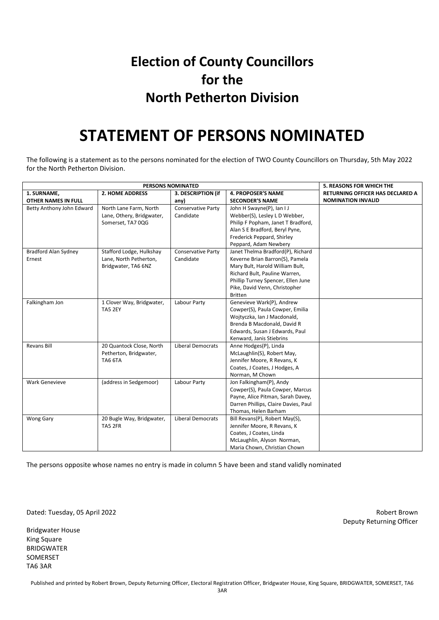### **Election of County Councillors for the North Petherton Division**

### **STATEMENT OF PERSONS NOMINATED**

The following is a statement as to the persons nominated for the election of TWO County Councillors on Thursday, 5th May 2022 for the North Petherton Division.

|                             | <b>5. REASONS FOR WHICH THE</b> |                           |                                      |                                         |
|-----------------------------|---------------------------------|---------------------------|--------------------------------------|-----------------------------------------|
| 1. SURNAME,                 | <b>2. HOME ADDRESS</b>          | 3. DESCRIPTION (if        | <b>4. PROPOSER'S NAME</b>            | <b>RETURNING OFFICER HAS DECLARED A</b> |
| OTHER NAMES IN FULL         |                                 | any)                      | <b>SECONDER'S NAME</b>               | <b>NOMINATION INVALID</b>               |
| Betty Anthony John Edward   | North Lane Farm, North          | Conservative Party        | John H Swayne(P), Ian I J            |                                         |
|                             | Lane, Othery, Bridgwater,       | Candidate                 | Webber(S), Lesley L D Webber,        |                                         |
|                             | Somerset, TA7 0QG               |                           | Philip F Popham, Janet T Bradford,   |                                         |
|                             |                                 |                           | Alan S E Bradford, Beryl Pyne,       |                                         |
|                             |                                 |                           | Frederick Peppard, Shirley           |                                         |
|                             |                                 |                           | Peppard, Adam Newbery                |                                         |
| <b>Bradford Alan Sydney</b> | Stafford Lodge, Hulkshay        | <b>Conservative Party</b> | Janet Thelma Bradford(P), Richard    |                                         |
| Ernest                      | Lane, North Petherton,          | Candidate                 | Keverne Brian Barron(S), Pamela      |                                         |
|                             | Bridgwater, TA6 6NZ             |                           | Mary Bult, Harold William Bult,      |                                         |
|                             |                                 |                           | Richard Bult, Pauline Warren,        |                                         |
|                             |                                 |                           | Phillip Turney Spencer, Ellen June   |                                         |
|                             |                                 |                           | Pike, David Venn, Christopher        |                                         |
|                             |                                 |                           | <b>Britten</b>                       |                                         |
| Falkingham Jon              | 1 Clover Way, Bridgwater,       | Labour Party              | Genevieve Wark(P), Andrew            |                                         |
|                             | TA5 2EY                         |                           | Cowper(S), Paula Cowper, Emilia      |                                         |
|                             |                                 |                           | Wojtyczka, Ian J Macdonald,          |                                         |
|                             |                                 |                           | Brenda B Macdonald, David R          |                                         |
|                             |                                 |                           | Edwards, Susan J Edwards, Paul       |                                         |
|                             |                                 |                           | Kenward, Janis Stiebrins             |                                         |
| <b>Revans Bill</b>          | 20 Quantock Close, North        | <b>Liberal Democrats</b>  | Anne Hodges(P), Linda                |                                         |
|                             | Petherton, Bridgwater,          |                           | McLaughlin(S), Robert May,           |                                         |
|                             | <b>TA6 6TA</b>                  |                           | Jennifer Moore, R Revans, K          |                                         |
|                             |                                 |                           | Coates, J Coates, J Hodges, A        |                                         |
|                             |                                 |                           | Norman, M Chown                      |                                         |
| <b>Wark Genevieve</b>       | (address in Sedgemoor)          | Labour Party              | Jon Falkingham(P), Andy              |                                         |
|                             |                                 |                           | Cowper(S), Paula Cowper, Marcus      |                                         |
|                             |                                 |                           | Payne, Alice Pitman, Sarah Davey,    |                                         |
|                             |                                 |                           | Darren Phillips, Claire Davies, Paul |                                         |
|                             |                                 |                           | Thomas, Helen Barham                 |                                         |
| <b>Wong Gary</b>            | 20 Bugle Way, Bridgwater,       | <b>Liberal Democrats</b>  | Bill Revans(P), Robert May(S),       |                                         |
|                             | TA5 2FR                         |                           | Jennifer Moore, R Revans, K          |                                         |
|                             |                                 |                           | Coates, J Coates, Linda              |                                         |
|                             |                                 |                           | McLaughlin, Alyson Norman,           |                                         |
|                             |                                 |                           | Maria Chown, Christian Chown         |                                         |

The persons opposite whose names no entry is made in column 5 have been and stand validly nominated

Dated: Tuesday, 05 April 2022 Robert Brown

Bridgwater House King Square BRIDGWATER SOMERSET TA6 3AR

Deputy Returning Officer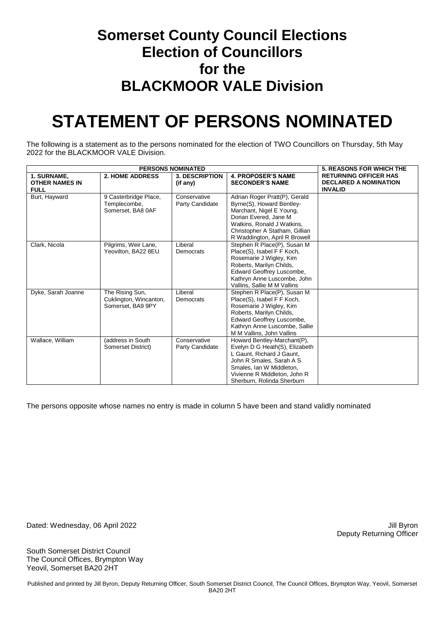#### **Somerset County Council Elections Election of Councillors for the BLACKMOOR VALE Division**

## **STATEMENT OF PERSONS NOMINATED**

The following is a statement as to the persons nominated for the election of TWO Councillors on Thursday, 5th May 2022 for the BLACKMOOR VALE Division.

|                                                     | <b>5. REASONS FOR WHICH THE</b>                                |                                   |                                                                                                                                                                                                                  |                                                                                |
|-----------------------------------------------------|----------------------------------------------------------------|-----------------------------------|------------------------------------------------------------------------------------------------------------------------------------------------------------------------------------------------------------------|--------------------------------------------------------------------------------|
| 1. SURNAME,<br><b>OTHER NAMES IN</b><br><b>FULL</b> | <b>2. HOME ADDRESS</b>                                         | <b>3. DESCRIPTION</b><br>(if any) | 4. PROPOSER'S NAME<br><b>SECONDER'S NAME</b>                                                                                                                                                                     | <b>RETURNING OFFICER HAS</b><br><b>DECLARED A NOMINATION</b><br><b>INVALID</b> |
| Burt, Hayward                                       | 9 Casterbridge Place,<br>Templecombe,<br>Somerset, BA8 0AF     | Conservative<br>Party Candidate   | Adrian Roger Pratt(P), Gerald<br>Byrne(S), Howard Bentley-<br>Marchant, Nigel E Young,<br>Dorian Evered, Jane M<br>Watkins, Ronald J Watkins,<br>Christopher A Statham, Gillian<br>R Waddington, April R Browell |                                                                                |
| Clark, Nicola                                       | Pilgrims, Weir Lane,<br>Yeovilton, BA22 8EU                    | Liberal<br>Democrats              | Stephen R Place(P), Susan M<br>Place(S), Isabel F F Koch,<br>Rosemarie J Wigley, Kim<br>Roberts, Marilyn Childs,<br>Edward Geoffrey Luscombe,<br>Kathryn Anne Luscombe, John<br>Vallins, Sallie M M Vallins      |                                                                                |
| Dyke, Sarah Joanne                                  | The Rising Sun,<br>Cuklington, Wincanton,<br>Somerset, BA9 9PY | Liberal<br>Democrats              | Stephen R Place(P), Susan M<br>Place(S), Isabel F F Koch,<br>Rosemarie J Wigley, Kim<br>Roberts, Marilyn Childs,<br>Edward Geoffrey Luscombe,<br>Kathryn Anne Luscombe, Sallie<br>M M Vallins, John Vallins      |                                                                                |
| Wallace, William                                    | (address in South<br>Somerset District)                        | Conservative<br>Party Candidate   | Howard Bentley-Marchant(P),<br>Evelyn D G Heath(S), Elizabeth<br>L Gaunt, Richard J Gaunt,<br>John R Smales, Sarah A S<br>Smales, Ian W Middleton,<br>Vivienne R Middleton, John R<br>Sherburn, Rolinda Sherburn |                                                                                |

The persons opposite whose names no entry is made in column 5 have been and stand validly nominated

Dated: Wednesday, 06 April 2022 **Victor** 2022 April 2012 11: Byron

Deputy Returning Officer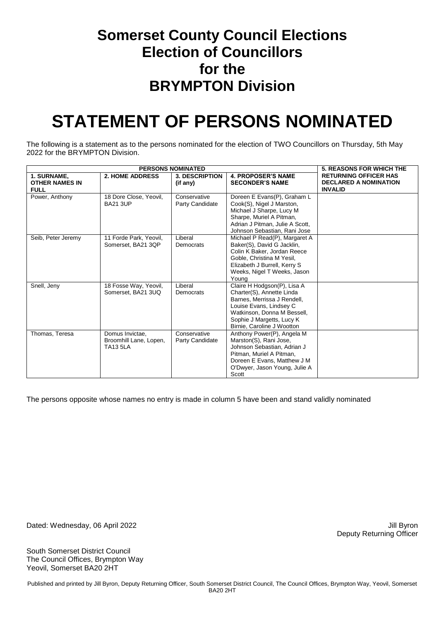#### **Somerset County Council Elections Election of Councillors for the BRYMPTON Division**

## **STATEMENT OF PERSONS NOMINATED**

The following is a statement as to the persons nominated for the election of TWO Councillors on Thursday, 5th May 2022 for the BRYMPTON Division.

| <b>PERSONS NOMINATED</b>                            |                                                              |                                   |                                                                                                                                                                                                              | <b>5. REASONS FOR WHICH THE</b>                                                |
|-----------------------------------------------------|--------------------------------------------------------------|-----------------------------------|--------------------------------------------------------------------------------------------------------------------------------------------------------------------------------------------------------------|--------------------------------------------------------------------------------|
| 1. SURNAME,<br><b>OTHER NAMES IN</b><br><b>FULL</b> | <b>2. HOME ADDRESS</b>                                       | <b>3. DESCRIPTION</b><br>(if any) | <b>4. PROPOSER'S NAME</b><br><b>SECONDER'S NAME</b>                                                                                                                                                          | <b>RETURNING OFFICER HAS</b><br><b>DECLARED A NOMINATION</b><br><b>INVALID</b> |
| Power, Anthony                                      | 18 Dore Close, Yeovil,<br><b>BA21 3UP</b>                    | Conservative<br>Party Candidate   | Doreen E Evans(P), Graham L<br>Cook(S), Nigel J Marston,<br>Michael J Sharpe, Lucy M<br>Sharpe, Muriel A Pitman,<br>Adrian J Pitman, Julie A Scott,<br>Johnson Sebastian, Rani Jose                          |                                                                                |
| Seib, Peter Jeremy                                  | 11 Forde Park, Yeovil,<br>Somerset, BA21 3QP                 | Liberal<br>Democrats              | Michael P Read(P), Margaret A<br>Baker(S), David G Jacklin,<br>Colin K Baker, Jordan Reece<br>Goble, Christina M Yesil,<br>Elizabeth J Burrell, Kerry S<br>Weeks, Nigel T Weeks, Jason<br>Young              |                                                                                |
| Snell, Jeny                                         | 18 Fosse Way, Yeovil,<br>Somerset, BA21 3UQ                  | Liberal<br>Democrats              | Claire H Hodgson(P), Lisa A<br>Charter(S), Annette Linda<br>Barnes, Merrissa J Rendell,<br>Louise Evans, Lindsey C<br>Watkinson, Donna M Bessell,<br>Sophie J Margetts, Lucy K<br>Birnie, Caroline J Wootton |                                                                                |
| Thomas, Teresa                                      | Domus Invictae,<br>Broomhill Lane, Lopen,<br><b>TA13 5LA</b> | Conservative<br>Party Candidate   | Anthony Power(P), Angela M<br>Marston(S), Rani Jose,<br>Johnson Sebastian, Adrian J<br>Pitman, Muriel A Pitman,<br>Doreen E Evans, Matthew J M<br>O'Dwyer, Jason Young, Julie A<br>Scott                     |                                                                                |

The persons opposite whose names no entry is made in column 5 have been and stand validly nominated

Dated: Wednesday, 06 April 2022 **Victor** 2022 April 2012 11: Byron

Deputy Returning Officer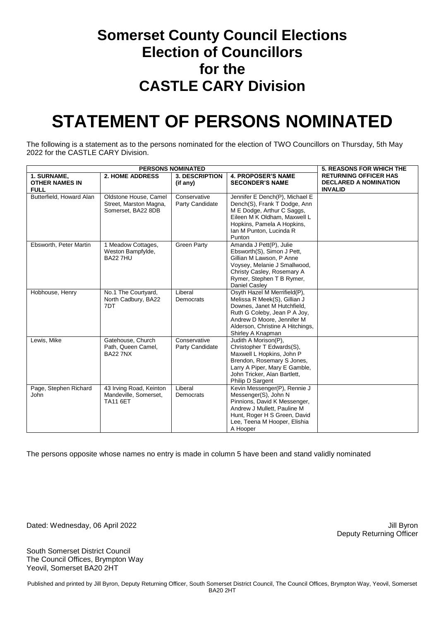#### **Somerset County Council Elections Election of Councillors for the CASTLE CARY Division**

## **STATEMENT OF PERSONS NOMINATED**

The following is a statement as to the persons nominated for the election of TWO Councillors on Thursday, 5th May 2022 for the CASTLE CARY Division.

| <b>PERSONS NOMINATED</b>                            |                                                                       |                                   |                                                                                                                                                                                                                    | <b>5. REASONS FOR WHICH THE</b>                                                |
|-----------------------------------------------------|-----------------------------------------------------------------------|-----------------------------------|--------------------------------------------------------------------------------------------------------------------------------------------------------------------------------------------------------------------|--------------------------------------------------------------------------------|
| 1. SURNAME,<br><b>OTHER NAMES IN</b><br><b>FULL</b> | <b>2. HOME ADDRESS</b>                                                | <b>3. DESCRIPTION</b><br>(if any) | <b>4. PROPOSER'S NAME</b><br><b>SECONDER'S NAME</b>                                                                                                                                                                | <b>RETURNING OFFICER HAS</b><br><b>DECLARED A NOMINATION</b><br><b>INVALID</b> |
| Butterfield, Howard Alan                            | Oldstone House, Camel<br>Street, Marston Magna,<br>Somerset, BA22 8DB | Conservative<br>Party Candidate   | Jennifer E Dench(P), Michael E<br>Dench(S), Frank T Dodge, Ann<br>M E Dodge, Arthur C Saggs,<br>Eileen M K Oldham, Maxwell L<br>Hopkins, Pamela A Hopkins,<br>Ian M Punton, Lucinda R<br>Punton                    |                                                                                |
| Ebsworth, Peter Martin                              | 1 Meadow Cottages,<br>Weston Bampfylde,<br><b>BA22 7HU</b>            | <b>Green Party</b>                | Amanda J Pett(P), Julie<br>Ebsworth(S), Simon J Pett,<br>Gillian M Lawson, P Anne<br>Voysey, Melanie J Smallwood,<br>Christy Casley, Rosemary A<br>Rymer, Stephen T B Rymer,<br>Daniel Casley                      |                                                                                |
| Hobhouse, Henry                                     | No.1 The Courtyard,<br>North Cadbury, BA22<br>7DT                     | Liberal<br>Democrats              | Osyth Hazel M Merrifield(P),<br>Melissa R Meek(S), Gillian J<br>Downes, Janet M Hutchfield,<br>Ruth G Coleby, Jean P A Joy,<br>Andrew D Moore, Jennifer M<br>Alderson, Christine A Hitchings,<br>Shirley A Knapman |                                                                                |
| Lewis, Mike                                         | Gatehouse, Church<br>Path, Queen Camel,<br><b>BA22 7NX</b>            | Conservative<br>Party Candidate   | Judith A Morison(P),<br>Christopher T Edwards(S),<br>Maxwell L Hopkins, John P<br>Brendon, Rosemary S Jones,<br>Larry A Piper, Mary E Gamble,<br>John Tricker, Alan Bartlett,<br>Philip D Sargent                  |                                                                                |
| Page, Stephen Richard<br>John                       | 43 Irving Road, Keinton<br>Mandeville, Somerset,<br><b>TA11 6ET</b>   | Liberal<br>Democrats              | Kevin Messenger(P), Rennie J<br>Messenger(S), John N<br>Pinnions, David K Messenger,<br>Andrew J Mullett, Pauline M<br>Hunt, Roger H S Green, David<br>Lee, Teena M Hooper, Elishia<br>A Hooper                    |                                                                                |

The persons opposite whose names no entry is made in column 5 have been and stand validly nominated

Dated: Wednesday, 06 April 2022 **Victor** 2022 April 2012 11: Byron

Deputy Returning Officer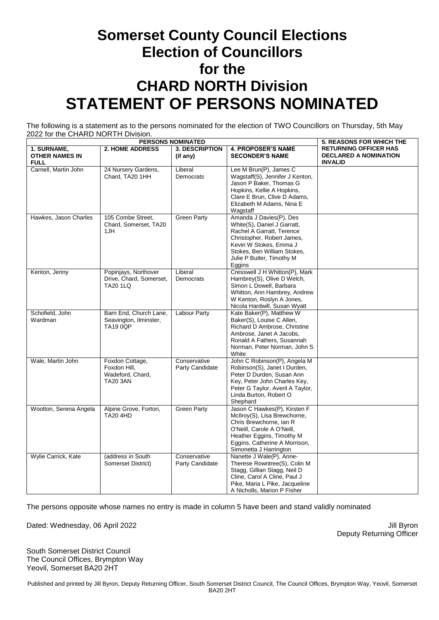### **Somerset County Council Elections Election of Councillors for the CHARD NORTH Division STATEMENT OF PERSONS NOMINATED**

The following is a statement as to the persons nominated for the election of TWO Councillors on Thursday, 5th May 2022 for the CHARD NORTH Division.

| <b>PERSONS NOMINATED</b>                            |                                                                        |                                 |                                                                                                                                                                                                                   | <b>5. REASONS FOR WHICH THE</b>                                                |
|-----------------------------------------------------|------------------------------------------------------------------------|---------------------------------|-------------------------------------------------------------------------------------------------------------------------------------------------------------------------------------------------------------------|--------------------------------------------------------------------------------|
| 1. SURNAME,<br><b>OTHER NAMES IN</b><br><b>FULL</b> | <b>2. HOME ADDRESS</b>                                                 | 3. DESCRIPTION<br>(if any)      | <b>4. PROPOSER'S NAME</b><br><b>SECONDER'S NAME</b>                                                                                                                                                               | <b>RETURNING OFFICER HAS</b><br><b>DECLARED A NOMINATION</b><br><b>INVALID</b> |
| Carnell, Martin John                                | 24 Nursery Gardens,<br>Chard, TA20 1HH                                 | Liberal<br>Democrats            | Lee M Brun(P), James C<br>Wagstaff(S), Jennifer J Kenton,<br>Jason P Baker, Thomas G<br>Hopkins, Kellie A Hopkins,<br>Clare E Brun, Clive D Adams,<br>Elizabeth M Adams, Nina E<br>Wagstaff                       |                                                                                |
| Hawkes, Jason Charles                               | 105 Combe Street,<br>Chard, Somerset, TA20<br>1JH                      | <b>Green Party</b>              | Amanda J Davies(P), Des<br>White(S), Daniel J Garratt,<br>Rachel A Garratt, Terence<br>Christopher, Robert James,<br>Kevin W Stokes, Emma J<br>Stokes, Ben William Stokes,<br>Julie P Butler, Timothy M<br>Eggins |                                                                                |
| Kenton, Jenny                                       | Popinjays, Northover<br>Drive, Chard, Somerset,<br><b>TA20 1LQ</b>     | Liberal<br>Democrats            | Cresswell J H Whitton(P), Mark<br>Hambrey(S), Olive D Welch,<br>Simon L Dowell, Barbara<br>Whitton, Ann Hambrey, Andrew<br>W Kenton, Roslyn A Jones,<br>Nicola Hardwill, Susan Wyatt                              |                                                                                |
| Schofield, John<br>Wardman                          | Barn End, Church Lane,<br>Seavington, Ilminster,<br><b>TA19 0QP</b>    | <b>Labour Party</b>             | Kate Baker(P), Matthew W<br>Baker(S), Louise C Allen,<br>Richard D Ambrose, Christine<br>Ambrose, Janet A Jacobs,<br>Ronald A Fathers, Susannah<br>Norman, Peter Norman, John S<br>White                          |                                                                                |
| Wale, Martin John                                   | Foxdon Cottage,<br>Foxdon Hill,<br>Wadeford, Chard,<br><b>TA20 3AN</b> | Conservative<br>Party Candidate | John C Robinson(P), Angela M<br>Robinson(S), Janet I Durden,<br>Peter D Durden, Susan Ann<br>Key, Peter John Charles Key,<br>Peter G Taylor, Averil A Taylor,<br>Linda Burton, Robert O<br>Shephard               |                                                                                |
| Wootton, Serena Angela                              | Alpine Grove, Forton,<br><b>TA20 4HD</b>                               | <b>Green Party</b>              | Jason C Hawkes(P), Kirsten F<br>McIlroy(S), Lisa Brewchorne,<br>Chris Brewchorne, Ian R<br>O'Neill, Carole A O'Neill,<br>Heather Eggins, Timothy M<br>Eggins, Catherine A Morrison,<br>Simonetta J Harrington     |                                                                                |
| Wylie Carrick, Kate                                 | (address in South<br>Somerset District)                                | Conservative<br>Party Candidate | Nanette J Wale(P), Anne-<br>Therese Rowntree(S), Colin M<br>Stagg, Gillian Stagg, Neil D<br>Cline, Carol A Cline, Paul J<br>Pike, Maria L Pike, Jacqueline<br>A Nicholls, Marion P Fisher                         |                                                                                |

The persons opposite whose names no entry is made in column 5 have been and stand validly nominated

Dated: Wednesday, 06 April 2022 **Victor** 2022 April 2012 11: Byron

Deputy Returning Officer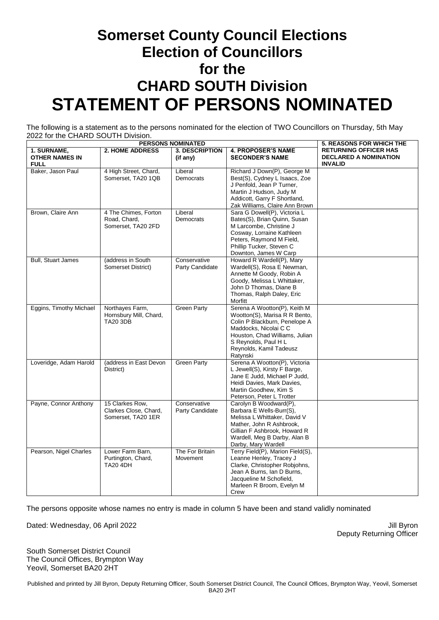### **Somerset County Council Elections Election of Councillors for the CHARD SOUTH Division STATEMENT OF PERSONS NOMINATED**

The following is a statement as to the persons nominated for the election of TWO Councillors on Thursday, 5th May 2022 for the CHARD SOUTH Division.

| <b>PERSONS NOMINATED</b>                            |                                                                |                                   |                                                                                                                                                                                                                          | <b>5. REASONS FOR WHICH THE</b>                                                |
|-----------------------------------------------------|----------------------------------------------------------------|-----------------------------------|--------------------------------------------------------------------------------------------------------------------------------------------------------------------------------------------------------------------------|--------------------------------------------------------------------------------|
| 1. SURNAME,<br><b>OTHER NAMES IN</b><br><b>FULL</b> | 2. HOME ADDRESS                                                | <b>3. DESCRIPTION</b><br>(if any) | <b>4. PROPOSER'S NAME</b><br><b>SECONDER'S NAME</b>                                                                                                                                                                      | <b>RETURNING OFFICER HAS</b><br><b>DECLARED A NOMINATION</b><br><b>INVALID</b> |
| Baker, Jason Paul                                   | 4 High Street, Chard,<br>Somerset, TA20 1QB                    | Liberal<br>Democrats              | Richard J Down(P), George M<br>Best(S), Cydney L Isaacs, Zoe<br>J Penfold, Jean P Turner,<br>Martin J Hudson, Judy M<br>Addicott, Garry F Shortland,<br>Zak Williams, Claire Ann Brown                                   |                                                                                |
| Brown, Claire Ann                                   | 4 The Chimes, Forton<br>Road, Chard,<br>Somerset, TA20 2FD     | Liberal<br>Democrats              | Sara G Dowell(P), Victoria L<br>Bates(S), Brian Quinn, Susan<br>M Larcombe, Christine J<br>Cosway, Lorraine Kathleen<br>Peters, Raymond M Field,<br>Phillip Tucker, Steven C<br>Downton, James W Carp                    |                                                                                |
| <b>Bull, Stuart James</b>                           | (address in South<br>Somerset District)                        | Conservative<br>Party Candidate   | Howard R Wardell(P), Mary<br>Wardell(S), Rosa E Newman,<br>Annette M Goody, Robin A<br>Goody, Melissa L Whittaker,<br>John D Thomas, Diane B<br>Thomas, Ralph Daley, Eric<br>Morfitt                                     |                                                                                |
| Eggins, Timothy Michael                             | Northayes Farm,<br>Hornsbury Mill, Chard,<br><b>TA20 3DB</b>   | Green Party                       | Serena A Wootton(P), Keith M<br>Wootton(S), Marisa R R Bento,<br>Colin P Blackburn, Penelope A<br>Maddocks, Nicolai C C<br>Houston, Chad Williams, Julian<br>S Reynolds, Paul H L<br>Reynolds, Kamil Tadeusz<br>Ratynski |                                                                                |
| Loveridge, Adam Harold                              | (address in East Devon<br>District)                            | <b>Green Party</b>                | Serena A Wootton(P), Victoria<br>L Jewell(S), Kirsty F Barge,<br>Jane E Judd, Michael P Judd,<br>Heidi Davies, Mark Davies,<br>Martin Goodhew, Kim S<br>Peterson, Peter L Trotter                                        |                                                                                |
| Payne, Connor Anthony                               | 15 Clarkes Row,<br>Clarkes Close, Chard,<br>Somerset, TA20 1ER | Conservative<br>Party Candidate   | Carolyn B Woodward(P),<br>Barbara E Wells-Burr(S),<br>Melissa L Whittaker, David V<br>Mather, John R Ashbrook,<br>Gillian F Ashbrook, Howard R<br>Wardell, Meg B Darby, Alan B<br>Darby, Mary Wardell                    |                                                                                |
| Pearson, Nigel Charles                              | Lower Farm Barn,<br>Purtington, Chard,<br><b>TA20 4DH</b>      | The For Britain<br>Movement       | Terry Field(P), Marion Field(S),<br>Leanne Henley, Tracey J<br>Clarke, Christopher Robjohns,<br>Jean A Burns, Ian D Burns,<br>Jacqueline M Schofield,<br>Marleen R Broom, Evelyn M<br>Crew                               |                                                                                |

The persons opposite whose names no entry is made in column 5 have been and stand validly nominated

Dated: Wednesday, 06 April 2022 **Jill Byron** Dated: Wednesday, 06 April 2022

Deputy Returning Officer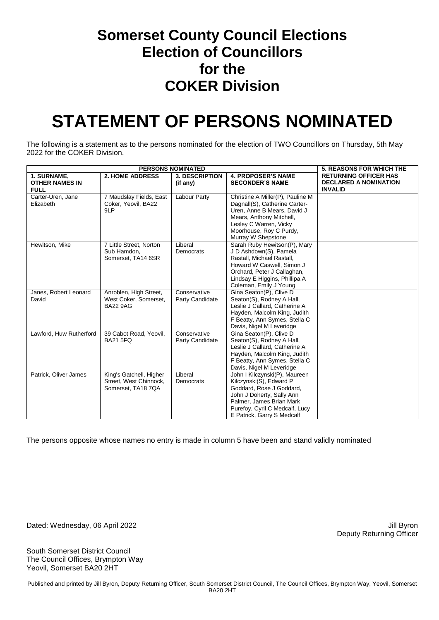#### **Somerset County Council Elections Election of Councillors for the COKER Division**

## **STATEMENT OF PERSONS NOMINATED**

The following is a statement as to the persons nominated for the election of TWO Councillors on Thursday, 5th May 2022 for the COKER Division.

| <b>PERSONS NOMINATED</b> |                         |                       |                                                               | <b>5. REASONS FOR WHICH THE</b> |
|--------------------------|-------------------------|-----------------------|---------------------------------------------------------------|---------------------------------|
| 1. SURNAME,              | <b>2. HOME ADDRESS</b>  | <b>3. DESCRIPTION</b> | <b>4. PROPOSER'S NAME</b>                                     | <b>RETURNING OFFICER HAS</b>    |
| <b>OTHER NAMES IN</b>    |                         | (if any)              | <b>SECONDER'S NAME</b>                                        | <b>DECLARED A NOMINATION</b>    |
| <b>FULL</b>              |                         |                       |                                                               | <b>INVALID</b>                  |
| Carter-Uren, Jane        | 7 Maudslay Fields, East | Labour Party          | Christine A Miller(P), Pauline M                              |                                 |
| Elizabeth                | Coker, Yeovil, BA22     |                       | Dagnall(S), Catherine Carter-                                 |                                 |
|                          | 9LP                     |                       | Uren, Anne B Mears, David J                                   |                                 |
|                          |                         |                       | Mears, Anthony Mitchell,                                      |                                 |
|                          |                         |                       | Lesley C Warren, Vicky                                        |                                 |
|                          |                         |                       | Moorhouse, Roy C Purdy,                                       |                                 |
|                          |                         |                       | Murray W Shepstone                                            |                                 |
| Hewitson, Mike           | 7 Little Street, Norton | Liberal               | Sarah Ruby Hewitson(P), Mary                                  |                                 |
|                          | Sub Hamdon,             | Democrats             | J D Ashdown(S), Pamela                                        |                                 |
|                          | Somerset, TA14 6SR      |                       | Rastall, Michael Rastall,                                     |                                 |
|                          |                         |                       | Howard W Caswell, Simon J                                     |                                 |
|                          |                         |                       | Orchard, Peter J Callaghan,                                   |                                 |
|                          |                         |                       | Lindsay E Higgins, Phillipa A                                 |                                 |
|                          |                         |                       | Coleman, Emily J Young                                        |                                 |
| Janes, Robert Leonard    | Anroblen, High Street,  | Conservative          | Gina Seaton(P), Clive D                                       |                                 |
| David                    | West Coker, Somerset,   | Party Candidate       | Seaton(S), Rodney A Hall,<br>Leslie J Callard, Catherine A    |                                 |
|                          | <b>BA22 9AG</b>         |                       |                                                               |                                 |
|                          |                         |                       | Hayden, Malcolm King, Judith<br>F Beatty, Ann Symes, Stella C |                                 |
|                          |                         |                       |                                                               |                                 |
| Lawford, Huw Rutherford  | 39 Cabot Road, Yeovil,  | Conservative          | Davis, Nigel M Leveridge<br>Gina Seaton(P), Clive D           |                                 |
|                          | <b>BA21 5FQ</b>         | Party Candidate       | Seaton(S), Rodney A Hall,                                     |                                 |
|                          |                         |                       | Leslie J Callard, Catherine A                                 |                                 |
|                          |                         |                       | Hayden, Malcolm King, Judith                                  |                                 |
|                          |                         |                       | F Beatty, Ann Symes, Stella C                                 |                                 |
|                          |                         |                       | Davis, Nigel M Leveridge                                      |                                 |
| Patrick, Oliver James    | King's Gatchell, Higher | Liberal               | John I Kilczynski(P), Maureen                                 |                                 |
|                          | Street, West Chinnock,  | Democrats             | Kilczynski(S), Edward P                                       |                                 |
|                          | Somerset, TA18 7QA      |                       | Goddard, Rose J Goddard,                                      |                                 |
|                          |                         |                       | John J Doherty, Sally Ann                                     |                                 |
|                          |                         |                       | Palmer, James Brian Mark                                      |                                 |
|                          |                         |                       | Purefoy, Cyril C Medcalf, Lucy                                |                                 |
|                          |                         |                       | E Patrick, Garry S Medcalf                                    |                                 |

The persons opposite whose names no entry is made in column 5 have been and stand validly nominated

Dated: Wednesday, 06 April 2022 **Accord 2012** Jill Byron

Deputy Returning Officer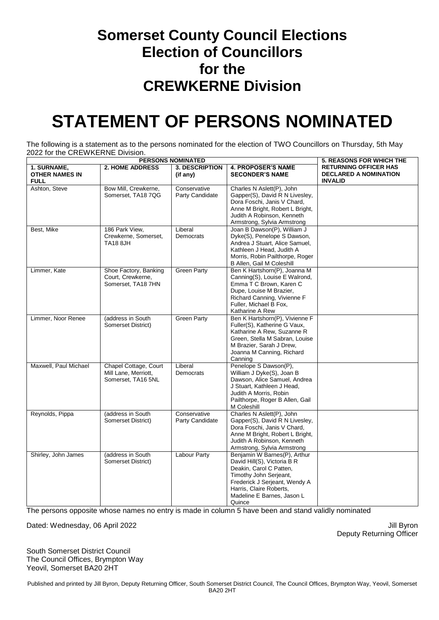#### **Somerset County Council Elections Election of Councillors for the CREWKERNE Division**

## **STATEMENT OF PERSONS NOMINATED**

The following is a statement as to the persons nominated for the election of TWO Councillors on Thursday, 5th May 2022 for the CREWKERNE Division.

| <b>PERSONS NOMINATED</b>                            |                                                                     |                                   |                                                                                                                                                                                                                      | <b>5. REASONS FOR WHICH THE</b>                                                |
|-----------------------------------------------------|---------------------------------------------------------------------|-----------------------------------|----------------------------------------------------------------------------------------------------------------------------------------------------------------------------------------------------------------------|--------------------------------------------------------------------------------|
| 1. SURNAME,<br><b>OTHER NAMES IN</b><br><b>FULL</b> | <b>2. HOME ADDRESS</b>                                              | <b>3. DESCRIPTION</b><br>(if any) | <b>4. PROPOSER'S NAME</b><br><b>SECONDER'S NAME</b>                                                                                                                                                                  | <b>RETURNING OFFICER HAS</b><br><b>DECLARED A NOMINATION</b><br><b>INVALID</b> |
| Ashton, Steve                                       | Bow Mill, Crewkerne,<br>Somerset, TA18 7QG                          | Conservative<br>Party Candidate   | Charles N Aslett(P), John<br>Gapper(S), David R N Livesley,<br>Dora Foschi, Janis V Chard,<br>Anne M Bright, Robert L Bright,<br>Judith A Robinson, Kenneth<br>Armstrong, Sylvia Armstrong                           |                                                                                |
| Best, Mike                                          | 186 Park View,<br>Crewkerne, Somerset,<br><b>TA18 8JH</b>           | Liberal<br>Democrats              | Joan B Dawson(P), William J<br>Dyke(S), Penelope S Dawson,<br>Andrea J Stuart, Alice Samuel,<br>Kathleen J Head, Judith A<br>Morris, Robin Pailthorpe, Roger<br>B Allen, Gail M Coleshill                            |                                                                                |
| Limmer, Kate                                        | Shoe Factory, Banking<br>Court, Crewkerne,<br>Somerset, TA18 7HN    | <b>Green Party</b>                | Ben K Hartshorn(P), Joanna M<br>Canning(S), Louise E Walrond,<br>Emma T C Brown, Karen C<br>Dupe, Louise M Brazier,<br>Richard Canning, Vivienne F<br>Fuller, Michael B Fox,<br>Katharine A Rew                      |                                                                                |
| Limmer, Noor Renee                                  | (address in South<br>Somerset District)                             | <b>Green Party</b>                | Ben K Hartshorn(P), Vivienne F<br>Fuller(S), Katherine G Vaux,<br>Katharine A Rew, Suzanne R<br>Green, Stella M Sabran, Louise<br>M Brazier, Sarah J Drew,<br>Joanna M Canning, Richard<br>Canning                   |                                                                                |
| Maxwell, Paul Michael                               | Chapel Cottage, Court<br>Mill Lane, Merriott,<br>Somerset, TA16 5NL | Liberal<br>Democrats              | Penelope S Dawson(P),<br>William J Dyke(S), Joan B<br>Dawson, Alice Samuel, Andrea<br>J Stuart, Kathleen J Head,<br>Judith A Morris, Robin<br>Pailthorpe, Roger B Allen, Gail<br>M Coleshill                         |                                                                                |
| Reynolds, Pippa                                     | (address in South<br>Somerset District)                             | Conservative<br>Party Candidate   | Charles N Aslett(P), John<br>Gapper(S), David R N Livesley,<br>Dora Foschi, Janis V Chard,<br>Anne M Bright, Robert L Bright,<br>Judith A Robinson, Kenneth<br>Armstrong, Sylvia Armstrong                           |                                                                                |
| Shirley, John James                                 | (address in South<br>Somerset District)                             | <b>Labour Party</b>               | Benjamin W Barnes(P), Arthur<br>David Hill(S), Victoria B R<br>Deakin, Carol C Patten,<br>Timothy John Serjeant,<br>Frederick J Serjeant, Wendy A<br>Harris, Claire Roberts,<br>Madeline E Barnes, Jason L<br>Quince |                                                                                |

The persons opposite whose names no entry is made in column 5 have been and stand validly nominated

Dated: Wednesday, 06 April 2022 **Victor** 2022 April 2012 11: Byron

Deputy Returning Officer

South Somerset District Council The Council Offices, Brympton Way Yeovil, Somerset BA20 2HT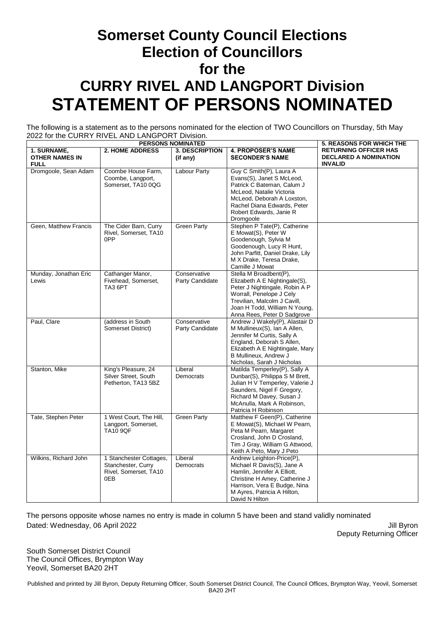### **Somerset County Council Elections Election of Councillors for the CURRY RIVEL AND LANGPORT Division STATEMENT OF PERSONS NOMINATED**

The following is a statement as to the persons nominated for the election of TWO Councillors on Thursday, 5th May 2022 for the CURRY RIVEL AND LANGPORT Division.

| <b>PERSONS NOMINATED</b>                            |                                                                               |                                   |                                                                                                                                                                                                                       | <b>5. REASONS FOR WHICH THE</b>                                                |
|-----------------------------------------------------|-------------------------------------------------------------------------------|-----------------------------------|-----------------------------------------------------------------------------------------------------------------------------------------------------------------------------------------------------------------------|--------------------------------------------------------------------------------|
| 1. SURNAME,<br><b>OTHER NAMES IN</b><br><b>FULL</b> | <b>2. HOME ADDRESS</b>                                                        | <b>3. DESCRIPTION</b><br>(if any) | <b>4. PROPOSER'S NAME</b><br><b>SECONDER'S NAME</b>                                                                                                                                                                   | <b>RETURNING OFFICER HAS</b><br><b>DECLARED A NOMINATION</b><br><b>INVALID</b> |
| Dromgoole, Sean Adam                                | Coombe House Farm,<br>Coombe, Langport,<br>Somerset, TA10 0QG                 | <b>Labour Party</b>               | Guy C Smith(P), Laura A<br>Evans(S), Janet S McLeod,<br>Patrick C Bateman, Calum J<br>McLeod, Natalie Victoria<br>McLeod, Deborah A Loxston,<br>Rachel Diana Edwards, Peter<br>Robert Edwards, Janie R<br>Dromgoole   |                                                                                |
| Geen, Matthew Francis                               | The Cider Barn, Curry<br>Rivel, Somerset, TA10<br>0PP                         | <b>Green Party</b>                | Stephen P Tate(P), Catherine<br>E Mowat(S), Peter W<br>Goodenough, Sylvia M<br>Goodenough, Lucy R Hunt,<br>John Parfitt, Daniel Drake, Lily<br>M X Drake, Teresa Drake,<br>Camille J Mowat                            |                                                                                |
| Munday, Jonathan Eric<br>Lewis                      | Cathanger Manor,<br>Fivehead, Somerset,<br>TA3 6PT                            | Conservative<br>Party Candidate   | Stella M Broadbent(P),<br>Elizabeth A E Nightingale(S),<br>Peter J Nightingale, Robin A P<br>Worrall, Penelope J Cely<br>Trevilian, Malcolm J Cavill,<br>Joan H Todd, William N Young,<br>Anna Rees, Peter D Sadgrove |                                                                                |
| Paul, Clare                                         | (address in South<br>Somerset District)                                       | Conservative<br>Party Candidate   | Andrew J Wakely(P), Alastair D<br>M Mullineux(S), Ian A Allen,<br>Jennifer M Curtis, Sally A<br>England, Deborah S Allen,<br>Elizabeth A E Nightingale, Mary<br>B Mullineux, Andrew J<br>Nicholas, Sarah J Nicholas   |                                                                                |
| Stanton, Mike                                       | King's Pleasure, 24<br>Silver Street, South<br>Petherton, TA13 5BZ            | Liberal<br>Democrats              | Matilda Temperley(P), Sally A<br>Dunbar(S), Philippa S M Brett,<br>Julian H V Temperley, Valerie J<br>Saunders, Nigel F Gregory,<br>Richard M Davey, Susan J<br>McAnulla, Mark A Robinson,<br>Patricia H Robinson     |                                                                                |
| Tate, Stephen Peter                                 | 1 West Court, The Hill,<br>Langport, Somerset,<br><b>TA10 9QF</b>             | <b>Green Party</b>                | Matthew F Geen(P), Catherine<br>E Mowat(S), Michael W Pearn,<br>Peta M Pearn, Margaret<br>Crosland, John D Crosland,<br>Tim J Gray, William G Attwood,<br>Keith A Peto, Mary J Peto                                   |                                                                                |
| Wilkins, Richard John                               | 1 Stanchester Cottages,<br>Stanchester, Curry<br>Rivel, Somerset, TA10<br>0EB | Liberal<br>Democrats              | Andrew Leighton-Price(P),<br>Michael R Davis(S), Jane A<br>Hamlin, Jennifer A Elliott,<br>Christine H Amey, Catherine J<br>Harrison, Vera E Budge, Nina<br>M Ayres, Patricia A Hilton,<br>David N Hilton              |                                                                                |

Dated: Wednesday, 06 April 2022 **Victor** 2022 April 2012 11: Byron The persons opposite whose names no entry is made in column 5 have been and stand validly nominated

Deputy Returning Officer

South Somerset District Council The Council Offices, Brympton Way Yeovil, Somerset BA20 2HT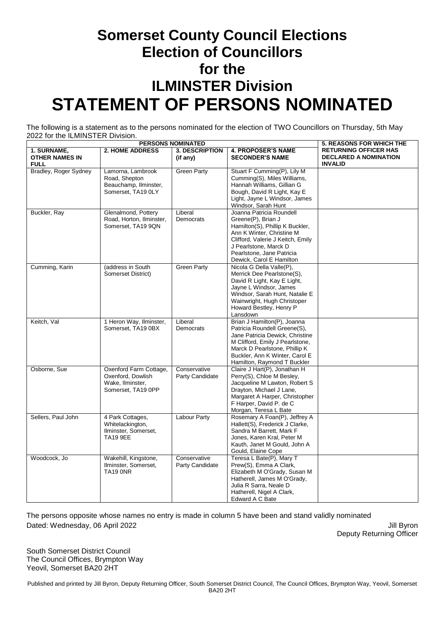### **Somerset County Council Elections Election of Councillors for the ILMINSTER Division STATEMENT OF PERSONS NOMINATED**

The following is a statement as to the persons nominated for the election of TWO Councillors on Thursday, 5th May 2022 for the ILMINSTER Division.

| <b>PERSONS NOMINATED</b>                            |                                                                                       |                                   |                                                                                                                                                                                                                                       | <b>5. REASONS FOR WHICH THE</b>                                                |
|-----------------------------------------------------|---------------------------------------------------------------------------------------|-----------------------------------|---------------------------------------------------------------------------------------------------------------------------------------------------------------------------------------------------------------------------------------|--------------------------------------------------------------------------------|
| 1. SURNAME,<br><b>OTHER NAMES IN</b><br><b>FULL</b> | <b>2. HOME ADDRESS</b>                                                                | <b>3. DESCRIPTION</b><br>(if any) | <b>4. PROPOSER'S NAME</b><br><b>SECONDER'S NAME</b>                                                                                                                                                                                   | <b>RETURNING OFFICER HAS</b><br><b>DECLARED A NOMINATION</b><br><b>INVALID</b> |
| Bradley, Roger Sydney                               | Lamorna, Lambrook<br>Road, Shepton<br>Beauchamp, Ilminster,<br>Somerset, TA19 0LY     | <b>Green Party</b>                | Stuart F Cumming(P), Lily M<br>Cumming(S), Miles Williams,<br>Hannah Williams, Gillian G<br>Bough, David R Light, Kay E<br>Light, Jayne L Windsor, James<br>Windsor, Sarah Hunt                                                       |                                                                                |
| Buckler, Ray                                        | Glenalmond, Pottery<br>Road, Horton, Ilminster,<br>Somerset, TA19 9QN                 | Liberal<br>Democrats              | Joanna Patricia Roundell<br>Greene(P), Brian J<br>Hamilton(S), Phillip K Buckler,<br>Ann K Winter, Christine M<br>Clifford, Valerie J Keitch, Emily<br>J Pearlstone, Marck D<br>Pearlstone, Jane Patricia<br>Dewick, Carol E Hamilton |                                                                                |
| Cumming, Karin                                      | (address in South<br>Somerset District)                                               | <b>Green Party</b>                | Nicola G Della Valle(P),<br>Merrick Dee Pearlstone(S),<br>David R Light, Kay E Light,<br>Jayne L Windsor, James<br>Windsor, Sarah Hunt, Natalie E<br>Wainwright, Hugh Christoper<br>Howard Bestley, Henry P<br>Lansdown               |                                                                                |
| Keitch, Val                                         | 1 Heron Way, Ilminster,<br>Somerset, TA19 0BX                                         | Liberal<br>Democrats              | Brian J Hamilton(P), Joanna<br>Patricia Roundell Greene(S),<br>Jane Patricia Dewick, Christine<br>M Clifford, Emily J Pearlstone,<br>Marck D Pearlstone, Phillip K<br>Buckler, Ann K Winter, Carol E<br>Hamilton, Raymond T Buckler   |                                                                                |
| Osborne, Sue                                        | Oxenford Farm Cottage,<br>Oxenford, Dowlish<br>Wake, Ilminster,<br>Somerset, TA19 0PP | Conservative<br>Party Candidate   | Claire J Hart(P), Jonathan H<br>Perry(S), Chloe M Besley,<br>Jacqueline M Lawton, Robert S<br>Drayton, Michael J Lane,<br>Margaret A Harper, Christopher<br>F Harper, David P. de C<br>Morgan, Teresa L Bate                          |                                                                                |
| Sellers, Paul John                                  | 4 Park Cottages,<br>Whitelackington,<br>Ilminster, Somerset,<br><b>TA19 9EE</b>       | Labour Party                      | Rosemary A Foan(P), Jeffrey A<br>Hallett(S), Frederick J Clarke,<br>Sandra M Barrett, Mark F<br>Jones, Karen Kral, Peter M<br>Kauth, Janet M Gould, John A<br>Gould, Elaine Cope                                                      |                                                                                |
| Woodcock, Jo                                        | Wakehill, Kingstone,<br>Ilminster, Somerset,<br><b>TA19 ONR</b>                       | Conservative<br>Party Candidate   | Teresa L Bate(P), Mary T<br>Prew(S), Emma A Clark,<br>Elizabeth M O'Grady, Susan M<br>Hatherell, James M O'Grady,<br>Julia R Sarra, Neale D<br>Hatherell, Nigel A Clark,<br>Edward A C Bate                                           |                                                                                |

Dated: Wednesday, 06 April 2022 **Victor** 2022 April 2012 11: Byron The persons opposite whose names no entry is made in column 5 have been and stand validly nominated

Deputy Returning Officer

South Somerset District Council The Council Offices, Brympton Way Yeovil, Somerset BA20 2HT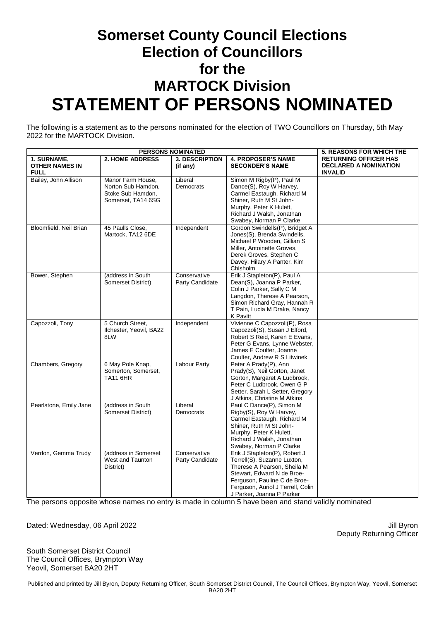### **Somerset County Council Elections Election of Councillors for the MARTOCK Division STATEMENT OF PERSONS NOMINATED**

The following is a statement as to the persons nominated for the election of TWO Councillors on Thursday, 5th May 2022 for the MARTOCK Division.

| <b>PERSONS NOMINATED</b>                            |                                                                                    |                                   |                                                                                                                                                                                                                             | <b>5. REASONS FOR WHICH THE</b>                                                |
|-----------------------------------------------------|------------------------------------------------------------------------------------|-----------------------------------|-----------------------------------------------------------------------------------------------------------------------------------------------------------------------------------------------------------------------------|--------------------------------------------------------------------------------|
| 1. SURNAME,<br><b>OTHER NAMES IN</b><br><b>FULL</b> | <b>2. HOME ADDRESS</b>                                                             | <b>3. DESCRIPTION</b><br>(if any) | <b>4. PROPOSER'S NAME</b><br><b>SECONDER'S NAME</b>                                                                                                                                                                         | <b>RETURNING OFFICER HAS</b><br><b>DECLARED A NOMINATION</b><br><b>INVALID</b> |
| Bailey, John Allison                                | Manor Farm House,<br>Norton Sub Hamdon,<br>Stoke Sub Hamdon,<br>Somerset, TA14 6SG | Liberal<br>Democrats              | Simon M Rigby(P), Paul M<br>Dance(S), Roy W Harvey,<br>Carmel Eastaugh, Richard M<br>Shiner, Ruth M St John-<br>Murphy, Peter K Hulett,<br>Richard J Walsh, Jonathan<br>Swabey, Norman P Clarke                             |                                                                                |
| Bloomfield, Neil Brian                              | 45 Paulls Close,<br>Martock, TA12 6DE                                              | Independent                       | Gordon Swindells(P), Bridget A<br>Jones(S), Brenda Swindells,<br>Michael P Wooden, Gillian S<br>Miller, Antoinette Groves,<br>Derek Groves, Stephen C<br>Davey, Hilary A Panter, Kim<br>Chisholm                            |                                                                                |
| Bower, Stephen                                      | (address in South<br>Somerset District)                                            | Conservative<br>Party Candidate   | Erik J Stapleton(P), Paul A<br>Dean(S), Joanna P Parker,<br>Colin J Parker, Sally C M<br>Langdon, Therese A Pearson,<br>Simon Richard Gray, Hannah R<br>T Pain, Lucia M Drake, Nancy<br>K Pavitt                            |                                                                                |
| Capozzoli, Tony                                     | 5 Church Street,<br>Ilchester, Yeovil, BA22<br>8LW                                 | Independent                       | Vivienne C Capozzoli(P), Rosa<br>Capozzoli(S), Susan J Elford,<br>Robert S Reid, Karen E Evans,<br>Peter G Evans, Lynne Webster,<br>James E Coulter, Joanne<br>Coulter, Andrew R S Litwinek                                 |                                                                                |
| Chambers, Gregory                                   | 6 May Pole Knap,<br>Somerton, Somerset,<br><b>TA11 6HR</b>                         | <b>Labour Party</b>               | Peter A Prady(P), Ann<br>Prady(S), Neil Gorton, Janet<br>Gorton, Margaret A Ludbrook,<br>Peter C Ludbrook, Owen G P<br>Setter, Sarah L Setter, Gregory<br>J Atkins, Christine M Atkins                                      |                                                                                |
| Pearlstone, Emily Jane                              | (address in South<br>Somerset District)                                            | Liberal<br>Democrats              | Paul C Dance(P), Simon M<br>Rigby(S), Roy W Harvey,<br>Carmel Eastaugh, Richard M<br>Shiner, Ruth M St John-<br>Murphy, Peter K Hulett,<br>Richard J Walsh, Jonathan<br>Swabey, Norman P Clarke                             |                                                                                |
| Verdon, Gemma Trudy                                 | (address in Somerset<br>West and Taunton<br>District)                              | Conservative<br>Party Candidate   | Erik J Stapleton(P), Robert J<br>Terrell(S), Suzanne Luxton,<br>Therese A Pearson, Sheila M<br>Stewart, Edward N de Broe-<br>Ferguson, Pauline C de Broe-<br>Ferguson, Auriol J Terrell, Colin<br>J Parker, Joanna P Parker |                                                                                |

The persons opposite whose names no entry is made in column 5 have been and stand validly nominated

Dated: Wednesday, 06 April 2022 **Victor** 2022 April 2012 11: Byron

Deputy Returning Officer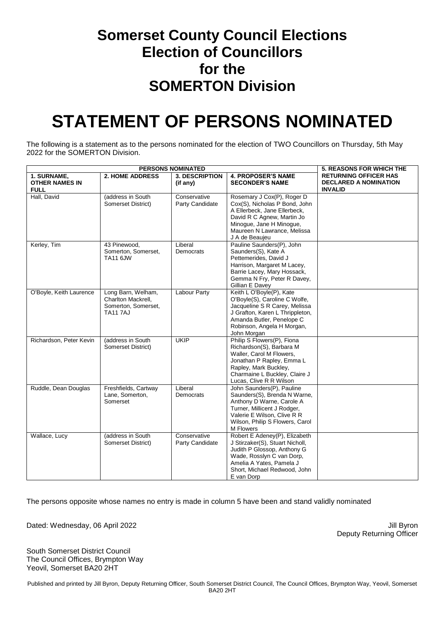#### **Somerset County Council Elections Election of Councillors for the SOMERTON Division**

## **STATEMENT OF PERSONS NOMINATED**

The following is a statement as to the persons nominated for the election of TWO Councillors on Thursday, 5th May 2022 for the SOMERTON Division.

| <b>PERSONS NOMINATED</b>                            |                                                                                    |                                   |                                                                                                                                                                                                         | <b>5. REASONS FOR WHICH THE</b>                                                |
|-----------------------------------------------------|------------------------------------------------------------------------------------|-----------------------------------|---------------------------------------------------------------------------------------------------------------------------------------------------------------------------------------------------------|--------------------------------------------------------------------------------|
| 1. SURNAME,<br><b>OTHER NAMES IN</b><br><b>FULL</b> | <b>2. HOME ADDRESS</b>                                                             | <b>3. DESCRIPTION</b><br>(if any) | <b>4. PROPOSER'S NAME</b><br><b>SECONDER'S NAME</b>                                                                                                                                                     | <b>RETURNING OFFICER HAS</b><br><b>DECLARED A NOMINATION</b><br><b>INVALID</b> |
| Hall, David                                         | (address in South<br>Somerset District)                                            | Conservative<br>Party Candidate   | Rosemary J Cox(P), Roger D<br>Cox(S), Nicholas P Bond, John<br>A Ellerbeck, Jane Ellerbeck,<br>David R C Agnew, Martin Jo<br>Minogue, Jane H Minogue,<br>Maureen N Lawrance, Melissa<br>J A de Beaujeu  |                                                                                |
| Kerley, Tim                                         | 43 Pinewood,<br>Somerton, Somerset,<br><b>TA11 6JW</b>                             | Liberal<br>Democrats              | Pauline Saunders(P), John<br>Saunders(S), Kate A<br>Pettemerides, David J<br>Harrison, Margaret M Lacey,<br>Barrie Lacey, Mary Hossack,<br>Gemma N Fry, Peter R Davey,<br>Gillian E Davey               |                                                                                |
| O'Boyle, Keith Laurence                             | Long Barn, Welham,<br>Charlton Mackrell.<br>Somerton, Somerset,<br><b>TA11 7AJ</b> | <b>Labour Party</b>               | Keith L O'Boyle(P), Kate<br>O'Boyle(S), Caroline C Wolfe,<br>Jacqueline S R Carey, Melissa<br>J Grafton, Karen L Thrippleton,<br>Amanda Butler, Penelope C<br>Robinson, Angela H Morgan,<br>John Morgan |                                                                                |
| Richardson, Peter Kevin                             | (address in South)<br>Somerset District)                                           | <b>UKIP</b>                       | Philip S Flowers(P), Fiona<br>Richardson(S), Barbara M<br>Waller, Carol M Flowers,<br>Jonathan P Rapley, Emma L<br>Rapley, Mark Buckley,<br>Charmaine L Buckley, Claire J<br>Lucas, Clive R R Wilson    |                                                                                |
| Ruddle, Dean Douglas                                | Freshfields, Cartway<br>Lane, Somerton,<br>Somerset                                | Liberal<br>Democrats              | John Saunders(P), Pauline<br>Saunders(S), Brenda N Warne,<br>Anthony D Warne, Carole A<br>Turner, Millicent J Rodger,<br>Valerie E Wilson, Clive R R<br>Wilson, Philip S Flowers, Carol<br>M Flowers    |                                                                                |
| Wallace, Lucy                                       | (address in South<br>Somerset District)                                            | Conservative<br>Party Candidate   | Robert E Adeney(P), Elizabeth<br>J Stirzaker(S), Stuart Nicholl,<br>Judith P Glossop, Anthony G<br>Wade, Rosslyn C van Dorp,<br>Amelia A Yates, Pamela J<br>Short, Michael Redwood, John<br>E van Dorp  |                                                                                |

The persons opposite whose names no entry is made in column 5 have been and stand validly nominated

Dated: Wednesday, 06 April 2022 **Victor** 2022 April 2012 11: Byron

Deputy Returning Officer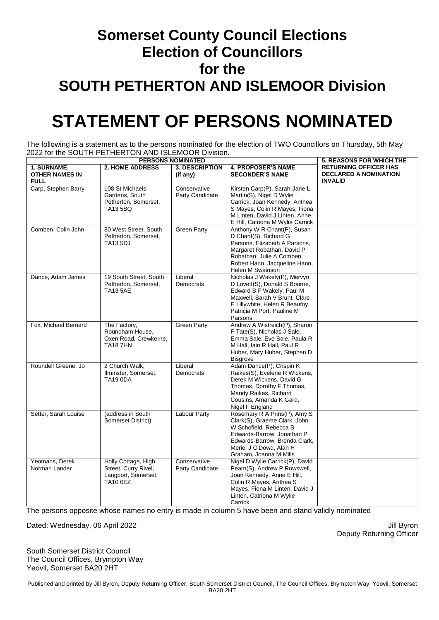### **Somerset County Council Elections Election of Councillors for the SOUTH PETHERTON AND ISLEMOOR Division**

## **STATEMENT OF PERSONS NOMINATED**

The following is a statement as to the persons nominated for the election of TWO Councillors on Thursday, 5th May 2022 for the SOUTH PETHERTON AND ISLEMOOR Division.

| <b>PERSONS NOMINATED</b>                            |                                                                                       |                                   |                                                                                                                                                                                                            | <b>5. REASONS FOR WHICH THE</b>                                                |
|-----------------------------------------------------|---------------------------------------------------------------------------------------|-----------------------------------|------------------------------------------------------------------------------------------------------------------------------------------------------------------------------------------------------------|--------------------------------------------------------------------------------|
| 1. SURNAME,<br><b>OTHER NAMES IN</b><br><b>FULL</b> | <b>2. HOME ADDRESS</b>                                                                | <b>3. DESCRIPTION</b><br>(if any) | <b>4. PROPOSER'S NAME</b><br><b>SECONDER'S NAME</b>                                                                                                                                                        | <b>RETURNING OFFICER HAS</b><br><b>DECLARED A NOMINATION</b><br><b>INVALID</b> |
| Carp, Stephen Barry                                 | 108 St Michaels<br>Gardens, South<br>Petherton, Somerset,<br><b>TA13 5BQ</b>          | Conservative<br>Party Candidate   | Kirsten Carp(P), Sarah-Jane L<br>Martin(S), Nigel D Wylie<br>Carrick, Joan Kennedy, Anthea<br>S Mayes, Colin R Mayes, Fiona<br>M Linten, David J Linten, Anne<br>E Hill, Catriona M Wylie Carrick          |                                                                                |
| Comben, Colin John                                  | 80 West Street, South<br>Petherton, Somerset,<br><b>TA13 5DJ</b>                      | <b>Green Party</b>                | Anthony W R Chant(P), Susan<br>D Chant(S), Richard G<br>Parsons, Elizabeth A Parsons,<br>Margaret Robathan, David P<br>Robathan, Julie A Comben,<br>Robert Hann, Jacqueline Hann,<br>Helen M Swainson      |                                                                                |
| Dance, Adam James                                   | 19 South Street, South<br>Petherton, Somerset,<br><b>TA13 5AE</b>                     | Liberal<br>Democrats              | Nicholas J Wakely(P), Mervyn<br>D Lovett(S), Donald S Bourne,<br>Edward B F Wakely, Paul M<br>Maxwell, Sarah V Brunt, Clare<br>E Lillywhite, Helen R Beaufoy,<br>Patricia M Port, Pauline M<br>Parsons     |                                                                                |
| Fox, Michael Bernard                                | The Factory,<br>Roundham House,<br>Oxen Road, Crewkerne,<br><b>TA187HN</b>            | <b>Green Party</b>                | Andrew A Wistreich(P), Sharon<br>F Tate(S), Nicholas J Sale,<br>Emma Sale, Eve Sale, Paula R<br>M Hall, Iain R Hall, Paul R<br>Huber, Mary Huber, Stephen D<br><b>Bisgrove</b>                             |                                                                                |
| Roundell Greene, Jo                                 | 2 Church Walk,<br>Ilminster, Somerset,<br><b>TA19 0DA</b>                             | Liberal<br>Democrats              | Adam Dance(P), Crispin K<br>Raikes(S), Evelene R Wickens,<br>Derek M Wickens, David G<br>Thomas, Dorothy F Thomas,<br>Mandy Raikes, Richard<br>Cousins, Amanda K Gard,<br>Nigel F England                  |                                                                                |
| Setter, Sarah Louise                                | (address in South<br>Somerset District)                                               | <b>Labour Party</b>               | Rosemary R A Prins(P), Amy S<br>Clark(S), Graeme Clark, John<br>W Schofield, Rebecca B<br>Edwards-Barrow, Jonathan P<br>Edwards-Barrow, Brenda Clark,<br>Meriel J O'Dowd, Alan H<br>Graham, Joanna M Mills |                                                                                |
| Yeomans, Derek<br>Norman Lander                     | Holly Cottage, High<br>Street, Curry Rivel,<br>Langport, Somerset,<br><b>TA10 0EZ</b> | Conservative<br>Party Candidate   | Nigel D Wylie Carrick(P), David<br>Pearn(S), Andrew P Rowswell,<br>Joan Kennedy, Anne E Hill,<br>Colin R Mayes, Anthea S<br>Mayes, Fiona M Linten, David J<br>Linten, Catriona M Wylie<br>Carrick          |                                                                                |

The persons opposite whose names no entry is made in column 5 have been and stand validly nominated

Dated: Wednesday, 06 April 2022 **Jill Byron** Dated: Wednesday, 06 April 2022

Deputy Returning Officer

South Somerset District Council The Council Offices, Brympton Way Yeovil, Somerset BA20 2HT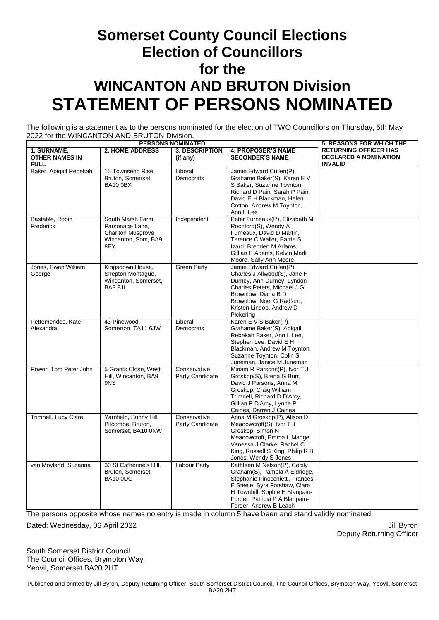### **Somerset County Council Elections Election of Councillors for the WINCANTON AND BRUTON Division STATEMENT OF PERSONS NOMINATED**

The following is a statement as to the persons nominated for the election of TWO Councillors on Thursday, 5th May 2022 for the WINCANTON AND BRUTON Division.

| <b>PERSONS NOMINATED</b>                            |                                                                                          |                                   |                                                                                                                                                                                                                                 | <b>5. REASONS FOR WHICH THE</b>                                                |
|-----------------------------------------------------|------------------------------------------------------------------------------------------|-----------------------------------|---------------------------------------------------------------------------------------------------------------------------------------------------------------------------------------------------------------------------------|--------------------------------------------------------------------------------|
| 1. SURNAME,<br><b>OTHER NAMES IN</b><br><b>FULL</b> | <b>2. HOME ADDRESS</b>                                                                   | <b>3. DESCRIPTION</b><br>(if any) | <b>4. PROPOSER'S NAME</b><br><b>SECONDER'S NAME</b>                                                                                                                                                                             | <b>RETURNING OFFICER HAS</b><br><b>DECLARED A NOMINATION</b><br><b>INVALID</b> |
| Baker, Abigail Rebekah                              | 15 Townsend Rise,<br>Bruton, Somerset,<br><b>BA10 0BX</b>                                | Liberal<br>Democrats              | Jamie Edward Cullen(P),<br>Grahame Baker(S), Karen E V<br>S Baker, Suzanne Toynton,<br>Richard D Pain, Sarah P Pain,<br>David E H Blackman, Helen<br>Cotton, Andrew M Toynton,<br>Ann L Lee                                     |                                                                                |
| Bastable, Robin<br>Frederick                        | South Marsh Farm,<br>Parsonage Lane,<br>Charlton Musgrove,<br>Wincanton, Som, BA9<br>8EY | Independent                       | Peter Furneaux(P), Elizabeth M<br>Rochford(S), Wendy A<br>Furneaux, David D Martin,<br>Terence C Waller, Barrie S<br>Izard, Brenden M Adams,<br>Gillian E Adams, Kelvin Mark<br>Moore, Sally Ann Moore                          |                                                                                |
| Jones, Ewan William<br>George                       | Kingsdown House,<br>Shepton Montaque,<br>Wincanton, Somerset,<br>BA9 8JL                 | <b>Green Party</b>                | Jamie Edward Cullen(P),<br>Charles J Allwood(S), Jane H<br>Durney, Ann Durney, Lyndon<br>Charles Peters, Michael J G<br>Brownlow, Diana B D<br>Brownlow, Noel G Radford,<br>Kristen Lindop, Andrew D<br>Pickering               |                                                                                |
| Pettemerides, Kate<br>Alexandra                     | 43 Pinewood,<br>Somerton, TA11 6JW                                                       | Liberal<br>Democrats              | Karen E V S Baker(P),<br>Grahame Baker(S), Abigail<br>Rebekah Baker, Ann L Lee,<br>Stephen Lee, David E H<br>Blackman, Andrew M Toynton,<br>Suzanne Toynton, Colin S<br>Juneman, Janice M Juneman                               |                                                                                |
| Power, Tom Peter John                               | 5 Grants Close, West<br>Hill, Wincanton, BA9<br>9NS                                      | Conservative<br>Party Candidate   | Miriam R Parsons(P), Ivor T J<br>Groskop(S), Brena G Burr,<br>David J Parsons, Anna M<br>Groskop, Craig William<br>Trimnell, Richard D D'Arcy,<br>Gillian P D'Arcy, Lynne P<br>Caines, Darren J Caines                          |                                                                                |
| Trimnell, Lucy Clare                                | Yarnfield, Sunny Hill,<br>Pitcombe, Bruton,<br>Somerset, BA10 ONW                        | Conservative<br>Party Candidate   | Anna M Groskop(P), Alison D<br>Meadowcroft(S), Ivor T J<br>Groskop, Simon N<br>Meadowcroft, Emma L Madge,<br>Vanessa J Clarke, Rachel C<br>King, Russell S King, Philip R B<br>Jones, Wendy S Jones                             |                                                                                |
| van Moyland, Suzanna                                | 30 St Catherine's Hill,<br>Bruton, Somerset.<br><b>BA10 0DG</b>                          | <b>Labour Party</b>               | Kathleen M Nelson(P), Cecily<br>Graham(S), Pamela A Eldridge,<br>Stephanie Finocchietti, Frances<br>E Steele, Syra Forshaw, Clare<br>H Townhill, Sophie E Blanpain-<br>Forder, Patricia P A Blanpain-<br>Forder, Andrew B Leach |                                                                                |

The persons opposite whose names no entry is made in column 5 have been and stand validly nominated

Dated: Wednesday, 06 April 2022 **Victor** 2022 April 2012 11: Byron

Deputy Returning Officer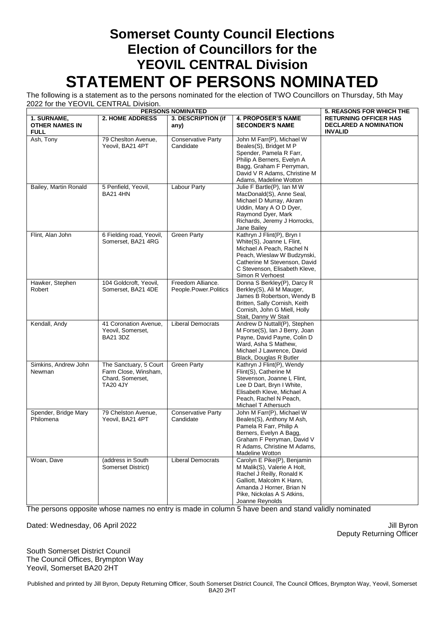#### **Somerset County Council Elections Election of Councillors for the YEOVIL CENTRAL Division STATEMENT OF PERSONS NOMINATED**

The following is a statement as to the persons nominated for the election of TWO Councillors on Thursday, 5th May 2022 for the YEOVIL CENTRAL Division.

| $100 + 20$ vie $001$ , $110 + 21$                   | <b>5. REASONS FOR WHICH THE</b>                                                       |                                                        |                                                                                                                                                                                                          |                                                                                |
|-----------------------------------------------------|---------------------------------------------------------------------------------------|--------------------------------------------------------|----------------------------------------------------------------------------------------------------------------------------------------------------------------------------------------------------------|--------------------------------------------------------------------------------|
| 1. SURNAME,<br><b>OTHER NAMES IN</b><br><b>FULL</b> | <b>2. HOME ADDRESS</b>                                                                | <b>PERSONS NOMINATED</b><br>3. DESCRIPTION (if<br>any) | <b>4. PROPOSER'S NAME</b><br><b>SECONDER'S NAME</b>                                                                                                                                                      | <b>RETURNING OFFICER HAS</b><br><b>DECLARED A NOMINATION</b><br><b>INVALID</b> |
| Ash, Tony                                           | 79 Cheslton Avenue,<br>Yeovil, BA21 4PT                                               | <b>Conservative Party</b><br>Candidate                 | John M Farr(P), Michael W<br>Beales(S), Bridget M P<br>Spender, Pamela R Farr,<br>Philip A Berners, Evelyn A<br>Bagg, Graham F Perryman,<br>David V R Adams, Christine M<br>Adams, Madeline Wotton       |                                                                                |
| Bailey, Martin Ronald                               | 5 Penfield, Yeovil,<br><b>BA21 4HN</b>                                                | Labour Party                                           | Julie F Bartle(P), Ian M W<br>MacDonald(S), Anne Seal,<br>Michael D Murray, Akram<br>Uddin, Mary A O D Dyer,<br>Raymond Dyer, Mark<br>Richards, Jeremy J Horrocks,<br>Jane Bailey                        |                                                                                |
| Flint, Alan John                                    | 6 Fielding road, Yeovil,<br>Somerset, BA21 4RG                                        | <b>Green Party</b>                                     | Kathryn J Flint(P), Bryn I<br>White(S), Joanne L Flint,<br>Michael A Peach, Rachel N<br>Peach, Wieslaw W Budzynski,<br>Catherine M Stevenson, David<br>C Stevenson, Elisabeth Kleve,<br>Simon R Verhoest |                                                                                |
| Hawker, Stephen<br>Robert                           | 104 Goldcroft, Yeovil,<br>Somerset, BA21 4DE                                          | Freedom Alliance.<br>People.Power.Politics             | Donna S Berkley(P), Darcy R<br>Berkley(S), Ali M Mauger,<br>James B Robertson, Wendy B<br>Britten, Sally Cornish, Keith<br>Cornish, John G Miell, Holly<br>Stait, Danny W Stait                          |                                                                                |
| Kendall, Andy                                       | 41 Coronation Avenue,<br>Yeovil, Somerset,<br><b>BA21 3DZ</b>                         | <b>Liberal Democrats</b>                               | Andrew D Nuttall(P), Stephen<br>M Forse(S), Ian J Berry, Joan<br>Payne, David Payne, Colin D<br>Ward, Asha S Mathew,<br>Michael J Lawrence, David<br>Black, Douglas R Butler                             |                                                                                |
| Simkins, Andrew John<br>Newman                      | The Sanctuary, 5 Court<br>Farm Close, Winsham,<br>Chard, Somerset,<br><b>TA20 4JY</b> | <b>Green Party</b>                                     | Kathryn J Flint(P), Wendy<br>Flint(S), Catherine M<br>Stevenson, Joanne L Flint,<br>Lee D Dart, Bryn I White,<br>Elisabeth Kleve, Michael A<br>Peach, Rachel N Peach,<br>Michael T Athersuch             |                                                                                |
| Spender, Bridge Mary<br>Philomena                   | 79 Chelston Avenue,<br>Yeovil, BA21 4PT                                               | <b>Conservative Party</b><br>Candidate                 | John M Farr(P), Michael W<br>Beales(S), Anthony M Ash,<br>Pamela R Farr, Philip A<br>Berners, Evelyn A Bagg,<br>Graham F Perryman, David V<br>R Adams, Christine M Adams,<br><b>Madeline Wotton</b>      |                                                                                |
| Woan, Dave                                          | (address in South<br>Somerset District)                                               | <b>Liberal Democrats</b>                               | Carolyn E Pike(P), Benjamin<br>M Malik(S), Valerie A Holt,<br>Rachel J Reilly, Ronald K<br>Galliott, Malcolm K Hann,<br>Amanda J Horner, Brian N<br>Pike, Nickolas A S Atkins,<br>Joanne Reynolds        |                                                                                |

The persons opposite whose names no entry is made in column 5 have been and stand validly nominated

Dated: Wednesday, 06 April 2022 **Victor** 2022 April 2012 11: Byron

Deputy Returning Officer

South Somerset District Council The Council Offices, Brympton Way Yeovil, Somerset BA20 2HT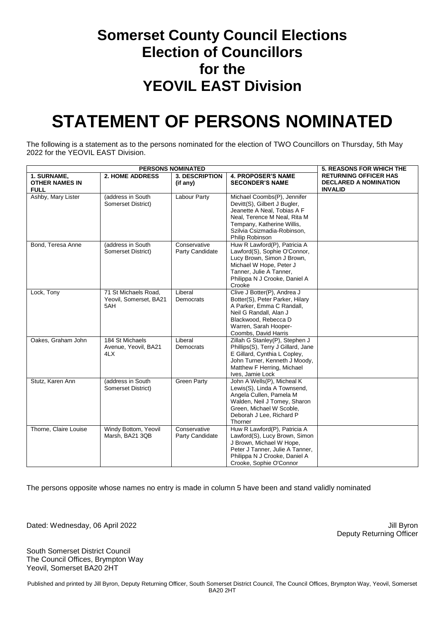#### **Somerset County Council Elections Election of Councillors for the YEOVIL EAST Division**

## **STATEMENT OF PERSONS NOMINATED**

The following is a statement as to the persons nominated for the election of TWO Councillors on Thursday, 5th May 2022 for the YEOVIL EAST Division.

|                                                     | <b>5. REASONS FOR WHICH THE</b>                       |                                   |                                                                                                                                                                                                            |                                                                                |
|-----------------------------------------------------|-------------------------------------------------------|-----------------------------------|------------------------------------------------------------------------------------------------------------------------------------------------------------------------------------------------------------|--------------------------------------------------------------------------------|
| 1. SURNAME,<br><b>OTHER NAMES IN</b><br><b>FULL</b> | <b>2. HOME ADDRESS</b>                                | <b>3. DESCRIPTION</b><br>(if any) | <b>4. PROPOSER'S NAME</b><br><b>SECONDER'S NAME</b>                                                                                                                                                        | <b>RETURNING OFFICER HAS</b><br><b>DECLARED A NOMINATION</b><br><b>INVALID</b> |
| Ashby, Mary Lister                                  | (address in South<br>Somerset District)               | Labour Party                      | Michael Coombs(P), Jennifer<br>Devitt(S), Gilbert J Bugler,<br>Jeanette A Neal, Tobias A F<br>Neal, Terence M Neal, Rita M<br>Tempany, Katherine Willis,<br>Szilvia Csizmadia-Robinson,<br>Philip Robinson |                                                                                |
| Bond, Teresa Anne                                   | (address in South<br>Somerset District)               | Conservative<br>Party Candidate   | Huw R Lawford(P), Patricia A<br>Lawford(S), Sophie O'Connor,<br>Lucy Brown, Simon J Brown,<br>Michael W Hope, Peter J<br>Tanner, Julie A Tanner,<br>Philippa N J Crooke, Daniel A<br>Crooke                |                                                                                |
| Lock, Tony                                          | 71 St Michaels Road,<br>Yeovil, Somerset, BA21<br>5AH | Liberal<br>Democrats              | Clive J Botter(P), Andrea J<br>Botter(S), Peter Parker, Hilary<br>A Parker, Emma C Randall,<br>Neil G Randall, Alan J<br>Blackwood, Rebecca D<br>Warren, Sarah Hooper-<br>Coombs, David Harris             |                                                                                |
| Oakes, Graham John                                  | 184 St Michaels<br>Avenue, Yeovil, BA21<br>4LX        | Liberal<br>Democrats              | Zillah G Stanley(P), Stephen J<br>Phillips(S), Terry J Gillard, Jane<br>E Gillard, Cynthia L Copley,<br>John Turner, Kenneth J Moody,<br>Matthew F Herring, Michael<br>Ives, Jamie Lock                    |                                                                                |
| Stutz, Karen Ann                                    | (address in South)<br>Somerset District)              | <b>Green Party</b>                | John A Wells(P), Micheal K<br>Lewis(S), Linda A Townsend,<br>Angela Cullen, Pamela M<br>Walden, Neil J Tomey, Sharon<br>Green, Michael W Scoble,<br>Deborah J Lee, Richard P<br>Thorner                    |                                                                                |
| Thorne, Claire Louise                               | Windy Bottom, Yeovil<br>Marsh, BA21 3QB               | Conservative<br>Party Candidate   | Huw R Lawford(P), Patricia A<br>Lawford(S), Lucy Brown, Simon<br>J Brown, Michael W Hope,<br>Peter J Tanner, Julie A Tanner,<br>Philippa N J Crooke, Daniel A<br>Crooke, Sophie O'Connor                   |                                                                                |

The persons opposite whose names no entry is made in column 5 have been and stand validly nominated

Dated: Wednesday, 06 April 2022 **Accord 2012** Jill Byron

Deputy Returning Officer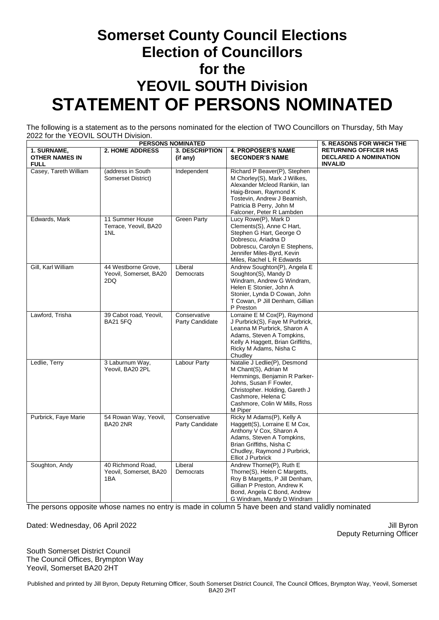### **Somerset County Council Elections Election of Councillors for the YEOVIL SOUTH Division STATEMENT OF PERSONS NOMINATED**

The following is a statement as to the persons nominated for the election of TWO Councillors on Thursday, 5th May 2022 for the YEOVIL SOUTH Division.

| <b>PERSONS NOMINATED</b>                            |                                                      |                                   |                                                                                                                                                                                                                    | <b>5. REASONS FOR WHICH THE</b>                                                |
|-----------------------------------------------------|------------------------------------------------------|-----------------------------------|--------------------------------------------------------------------------------------------------------------------------------------------------------------------------------------------------------------------|--------------------------------------------------------------------------------|
| 1. SURNAME,<br><b>OTHER NAMES IN</b><br><b>FULL</b> | <b>2. HOME ADDRESS</b>                               | <b>3. DESCRIPTION</b><br>(if any) | <b>4. PROPOSER'S NAME</b><br><b>SECONDER'S NAME</b>                                                                                                                                                                | <b>RETURNING OFFICER HAS</b><br><b>DECLARED A NOMINATION</b><br><b>INVALID</b> |
| Casey, Tareth William                               | (address in South)<br>Somerset District)             | Independent                       | Richard P Beaver(P), Stephen<br>M Chorley(S), Mark J Wilkes,<br>Alexander Mcleod Rankin, Ian<br>Haig-Brown, Raymond K<br>Tostevin, Andrew J Beamish,<br>Patricia B Perry, John M<br>Falconer, Peter R Lambden      |                                                                                |
| Edwards, Mark                                       | 11 Summer House<br>Terrace, Yeovil, BA20<br>1NL      | <b>Green Party</b>                | Lucy Rowe(P), Mark D<br>Clements(S), Anne C Hart,<br>Stephen G Hart, George O<br>Dobrescu. Ariadna D<br>Dobrescu, Carolyn E Stephens,<br>Jennifer Miles-Byrd, Kevin<br>Miles, Rachel L R Edwards                   |                                                                                |
| Gill, Karl William                                  | 44 Westborne Grove,<br>Yeovil, Somerset, BA20<br>2DQ | Liberal<br>Democrats              | Andrew Soughton(P), Angela E<br>Soughton(S), Mandy D<br>Windram, Andrew G Windram,<br>Helen E Stonier, John A<br>Stonier, Lynda D Cowan, John<br>T Cowan, P Jill Denham, Gillian<br>P Preston                      |                                                                                |
| Lawford, Trisha                                     | 39 Cabot road, Yeovil,<br><b>BA21 5FQ</b>            | Conservative<br>Party Candidate   | Lorraine E M Cox(P), Raymond<br>J Purbrick(S), Faye M Purbrick,<br>Leanna M Purbrick, Sharon A<br>Adams, Steven A Tompkins,<br>Kelly A Haggett, Brian Griffiths,<br>Ricky M Adams, Nisha C<br>Chudley              |                                                                                |
| Ledlie, Terry                                       | 3 Laburnum Way,<br>Yeovil, BA20 2PL                  | <b>Labour Party</b>               | Natalie J Ledlie(P), Desmond<br>M Chant(S), Adrian M<br>Hemmings, Benjamin R Parker-<br>Johns, Susan F Fowler,<br>Christopher. Holding, Gareth J<br>Cashmore, Helena C<br>Cashmore, Colin W Mills, Ross<br>M Piper |                                                                                |
| Purbrick, Faye Marie                                | 54 Rowan Way, Yeovil,<br><b>BA20 2NR</b>             | Conservative<br>Party Candidate   | Ricky M Adams(P), Kelly A<br>Haggett(S), Lorraine E M Cox,<br>Anthony V Cox, Sharon A<br>Adams, Steven A Tompkins,<br>Brian Griffiths, Nisha C<br>Chudley, Raymond J Purbrick,<br><b>Elliot J Purbrick</b>         |                                                                                |
| Soughton, Andy                                      | 40 Richmond Road.<br>Yeovil, Somerset, BA20<br>1BA   | Liberal<br>Democrats              | Andrew Thorne(P), Ruth E<br>Thorne(S), Helen C Margetts,<br>Roy B Margetts, P Jill Denham,<br>Gillian P Preston, Andrew K<br>Bond, Angela C Bond, Andrew<br>G Windram, Mandy D Windram                             |                                                                                |

The persons opposite whose names no entry is made in column 5 have been and stand validly nominated

Dated: Wednesday, 06 April 2022 **Victor** 2022 April 2012 11: Byron

Deputy Returning Officer

South Somerset District Council The Council Offices, Brympton Way Yeovil, Somerset BA20 2HT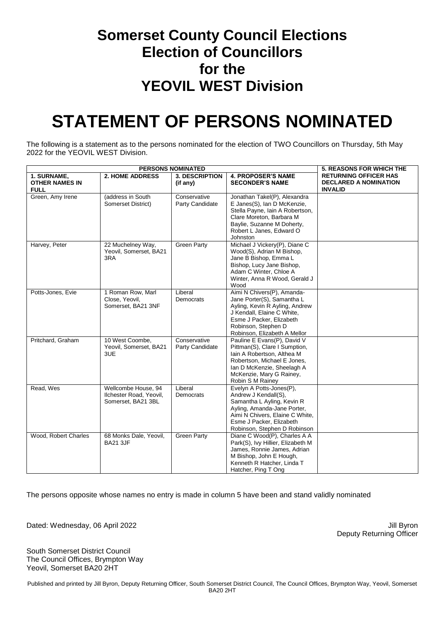#### **Somerset County Council Elections Election of Councillors for the YEOVIL WEST Division**

## **STATEMENT OF PERSONS NOMINATED**

The following is a statement as to the persons nominated for the election of TWO Councillors on Thursday, 5th May 2022 for the YEOVIL WEST Division.

| <b>PERSONS NOMINATED</b>                            |                                                                      |                                   |                                                                                                                                                                                                              | <b>5. REASONS FOR WHICH THE</b>                                                |
|-----------------------------------------------------|----------------------------------------------------------------------|-----------------------------------|--------------------------------------------------------------------------------------------------------------------------------------------------------------------------------------------------------------|--------------------------------------------------------------------------------|
| 1. SURNAME,<br><b>OTHER NAMES IN</b><br><b>FULL</b> | <b>2. HOME ADDRESS</b>                                               | <b>3. DESCRIPTION</b><br>(if any) | <b>4. PROPOSER'S NAME</b><br><b>SECONDER'S NAME</b>                                                                                                                                                          | <b>RETURNING OFFICER HAS</b><br><b>DECLARED A NOMINATION</b><br><b>INVALID</b> |
| Green, Amy Irene                                    | (address in South<br>Somerset District)                              | Conservative<br>Party Candidate   | Jonathan Takel(P), Alexandra<br>E Janes(S), Ian D McKenzie,<br>Stella Payne, Iain A Robertson,<br>Clare Moreton, Barbara M<br>Baylie, Suzanne M Doherty,<br>Robert L Janes, Edward O<br>Johnston             |                                                                                |
| Harvey, Peter                                       | 22 Muchelney Way,<br>Yeovil, Somerset, BA21<br>3RA                   | <b>Green Party</b>                | Michael J Vickery(P), Diane C<br>Wood(S), Adrian M Bishop,<br>Jane B Bishop, Emma L<br>Bishop, Lucy Jane Bishop,<br>Adam C Winter, Chloe A<br>Winter, Anna R Wood, Gerald J<br>Wood                          |                                                                                |
| Potts-Jones, Evie                                   | 1 Roman Row, Marl<br>Close, Yeovil,<br>Somerset, BA21 3NF            | Liberal<br>Democrats              | Aimi N Chivers(P), Amanda-<br>Jane Porter(S), Samantha L<br>Ayling, Kevin R Ayling, Andrew<br>J Kendall, Elaine C White,<br>Esme J Packer, Elizabeth<br>Robinson, Stephen D<br>Robinson, Elizabeth A Mellor  |                                                                                |
| Pritchard, Graham                                   | 10 West Coombe.<br>Yeovil, Somerset, BA21<br>3UE                     | Conservative<br>Party Candidate   | Pauline E Evans(P), David V<br>Pittman(S), Clare I Sumption,<br>Iain A Robertson, Althea M<br>Robertson, Michael E Jones,<br>Ian D McKenzie, Sheelagh A<br>McKenzie, Mary G Rainey,<br>Robin S M Rainey      |                                                                                |
| Read, Wes                                           | Wellcombe House, 94<br>Ilchester Road, Yeovil,<br>Somerset, BA21 3BL | Liberal<br>Democrats              | Evelyn A Potts-Jones(P),<br>Andrew J Kendall(S),<br>Samantha L Ayling, Kevin R<br>Ayling, Amanda-Jane Porter,<br>Aimi N Chivers, Elaine C White,<br>Esme J Packer, Elizabeth<br>Robinson, Stephen D Robinson |                                                                                |
| Wood, Robert Charles                                | 68 Monks Dale, Yeovil,<br><b>BA21 3JF</b>                            | <b>Green Party</b>                | Diane C Wood(P), Charles A A<br>Park(S), Ivy Hillier, Elizabeth M<br>James, Ronnie James, Adrian<br>M Bishop, John E Hough,<br>Kenneth R Hatcher, Linda T<br>Hatcher, Ping T Ong                             |                                                                                |

The persons opposite whose names no entry is made in column 5 have been and stand validly nominated

Dated: Wednesday, 06 April 2022 **Victor** 2022 April 2012 11: Byron

Deputy Returning Officer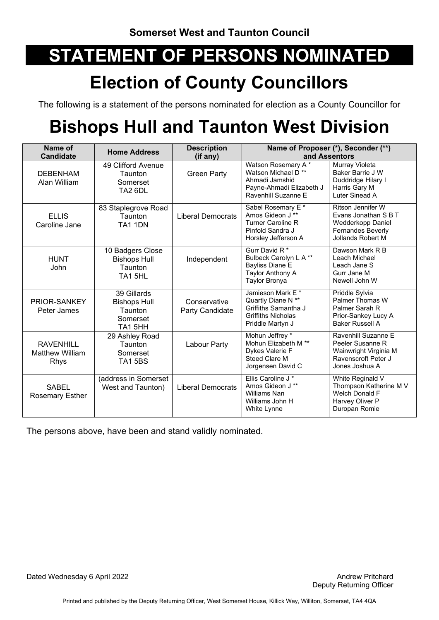## **Election of County Councillors**

The following is a statement of the persons nominated for election as a County Councillor for

# **Bishops Hull and Taunton West Division**

| Name of<br><b>Candidate</b>                               | <b>Home Address</b>                                                     | <b>Description</b><br>(if any)  |                                                                                                                           | Name of Proposer (*), Seconder (**)<br>and Assentors                                                            |
|-----------------------------------------------------------|-------------------------------------------------------------------------|---------------------------------|---------------------------------------------------------------------------------------------------------------------------|-----------------------------------------------------------------------------------------------------------------|
| <b>DEBENHAM</b><br>Alan William                           | 49 Clifford Avenue<br><b>Taunton</b><br>Somerset<br>TA <sub>2</sub> 6DL | <b>Green Party</b>              | Watson Rosemary A*<br>Watson Michael D <sup>**</sup><br>Ahmadi Jamshid<br>Payne-Ahmadi Elizabeth J<br>Ravenhill Suzanne E | Murray Violeta<br>Baker Barrie J W<br>Duddridge Hilary I<br>Harris Gary M<br>Luter Sinead A                     |
| <b>ELLIS</b><br>Caroline Jane                             | 83 Staplegrove Road<br>Taunton<br>TA1 1DN                               | <b>Liberal Democrats</b>        | Sabel Rosemary E *<br>Amos Gideon J **<br><b>Turner Caroline R</b><br>Pinfold Sandra J<br>Horsley Jefferson A             | Ritson Jennifer W<br>Evans Jonathan S B T<br>Wedderkopp Daniel<br><b>Fernandes Beverly</b><br>Jollands Robert M |
| <b>HUNT</b><br>John                                       | 10 Badgers Close<br><b>Bishops Hull</b><br>Taunton<br>TA15HL            | Independent                     | Gurr David R <sup>*</sup><br>Bulbeck Carolyn L A **<br><b>Bayliss Diane E</b><br>Taylor Anthony A<br>Taylor Bronya        | Dawson Mark R B<br>Leach Michael<br>Leach Jane S<br>Gurr Jane M<br>Newell John W                                |
| PRIOR-SANKEY<br>Peter James                               | 39 Gillards<br><b>Bishops Hull</b><br>Taunton<br>Somerset<br>TA1 5HH    | Conservative<br>Party Candidate | Jamieson Mark E *<br>Quartly Diane N **<br>Griffiths Samantha J<br><b>Griffiths Nicholas</b><br>Priddle Martyn J          | Priddle Sylvia<br>Palmer Thomas W<br>Palmer Sarah R<br>Prior-Sankey Lucy A<br><b>Baker Russell A</b>            |
| <b>RAVENHILL</b><br><b>Matthew William</b><br><b>Rhys</b> | 29 Ashley Road<br><b>Taunton</b><br>Somerset<br>TA15BS                  | Labour Party                    | Mohun Jeffrey *<br>Mohun Elizabeth M <sup>**</sup><br>Dykes Valerie F<br>Steed Clare M<br>Jorgensen David C               | Ravenhill Suzanne E<br>Peeler Susanne R<br>Wainwright Virginia M<br>Ravenscroft Peter J<br>Jones Joshua A       |
| SABEL<br><b>Rosemary Esther</b>                           | (address in Somerset<br>West and Taunton)                               | <b>Liberal Democrats</b>        | Ellis Caroline J*<br>Amos Gideon J **<br><b>Williams Nan</b><br>Williams John H<br>White Lynne                            | White Reginald V<br>Thompson Katherine M V<br><b>Welch Donald F</b><br>Harvey Oliver P<br>Duropan Romie         |

The persons above, have been and stand validly nominated.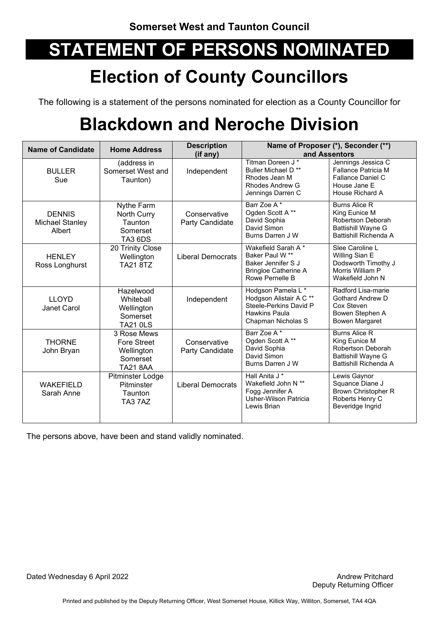## **Election of County Councillors**

The following is a statement of the persons nominated for election as a County Councillor for

## **Blackdown and Neroche Division**

| <b>Name of Candidate</b>                          | <b>Home Address</b>                                                            | <b>Description</b><br>(if any)  |                                                                                                                                 | Name of Proposer (*), Seconder (**)<br>and Assentors                                                             |
|---------------------------------------------------|--------------------------------------------------------------------------------|---------------------------------|---------------------------------------------------------------------------------------------------------------------------------|------------------------------------------------------------------------------------------------------------------|
| <b>BULLER</b><br>Sue                              | (address in<br>Somerset West and<br>Taunton)                                   | Independent                     | Titman Doreen J*<br>Buller Michael D <sup>**</sup><br>Rhodes Jean M<br>Rhodes Andrew G<br>Jennings Darren C                     | Jennings Jessica C<br>Fallance Patricia M<br>Fallance Daniel C<br>House Jane E<br>House Richard A                |
| <b>DENNIS</b><br><b>Michael Stanley</b><br>Albert | Nythe Farm<br>North Curry<br>Taunton<br>Somerset<br>TA3 6DS                    | Conservative<br>Party Candidate | Barr Zoe A*<br>Ogden Scott A**<br>David Sophia<br>David Simon<br>Burns Darren J W                                               | <b>Burns Alice R</b><br>King Eunice M<br>Robertson Deborah<br><b>Battishill Wayne G</b><br>Battishill Richenda A |
| <b>HENLEY</b><br>Ross Longhurst                   | 20 Trinity Close<br>Wellington<br><b>TA21 8TZ</b>                              | <b>Liberal Democrats</b>        | Wakefield Sarah A*<br>Baker Paul W <sup>**</sup><br>Baker Jennifer S J<br><b>Bringloe Catherine A</b><br>Rowe Pernelle B        | Slee Caroline L<br>Willing Sian E<br>Dodsworth Timothy J<br>Morris William P<br>Wakefield John N                 |
| <b>LLOYD</b><br>Janet Carol                       | Hazelwood<br>Whiteball<br>Wellington<br>Somerset<br><b>TA21 0LS</b>            | Independent                     | Hodgson Pamela L*<br>Hodgson Alistair A C <sup>**</sup><br>Steele-Perkins David P<br><b>Hawkins Paula</b><br>Chapman Nicholas S | Radford Lisa-marie<br><b>Gothard Andrew D</b><br>Cox Steven<br>Bowen Stephen A<br>Bowen Margaret                 |
| <b>THORNE</b><br>John Bryan                       | 3 Rose Mews<br><b>Fore Street</b><br>Wellington<br>Somerset<br><b>TA21 8AA</b> | Conservative<br>Party Candidate | Barr Zoe A*<br>Ogden Scott A**<br>David Sophia<br>David Simon<br>Burns Darren J W                                               | <b>Burns Alice R</b><br>King Eunice M<br>Robertson Deborah<br>Battishill Wayne G<br>Battishill Richenda A        |
| <b>WAKEFIELD</b><br>Sarah Anne                    | Pitminster Lodge<br>Pitminster<br>Taunton<br>TA37AZ                            | <b>Liberal Democrats</b>        | Hall Anita J <sup>*</sup><br>Wakefield John N **<br>Fogg Jennifer A<br>Usher-Wilson Patricia<br>Lewis Brian                     | Lewis Gaynor<br>Squance Diane J<br><b>Brown Christopher R</b><br>Roberts Henry C<br>Beveridge Ingrid             |

The persons above, have been and stand validly nominated.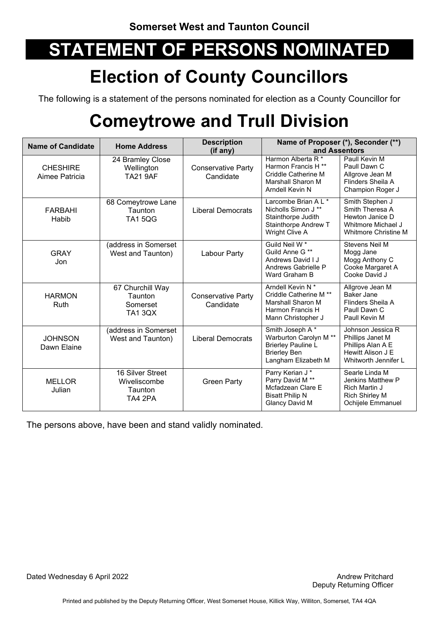## **Election of County Councillors**

The following is a statement of the persons nominated for election as a County Councillor for

## **Comeytrowe and Trull Division**

| <b>Name of Candidate</b>          | <b>Home Address</b>                                       | <b>Description</b><br>$(if$ any)       | Name of Proposer (*), Seconder (**)<br>and Assentors                                                                           |                                                                                                            |
|-----------------------------------|-----------------------------------------------------------|----------------------------------------|--------------------------------------------------------------------------------------------------------------------------------|------------------------------------------------------------------------------------------------------------|
| <b>CHESHIRE</b><br>Aimee Patricia | 24 Bramley Close<br>Wellington<br><b>TA21 9AF</b>         | <b>Conservative Party</b><br>Candidate | Harmon Alberta R <sup>*</sup><br>Harmon Francis H <sup>**</sup><br>Criddle Catherine M<br>Marshall Sharon M<br>Arndell Kevin N | Paull Kevin M<br>Paull Dawn C<br>Allgrove Jean M<br>Flinders Sheila A<br>Champion Roger J                  |
| FARBAHI<br>Habib                  | 68 Comeytrowe Lane<br>Taunton<br><b>TA1 5QG</b>           | <b>Liberal Democrats</b>               | Larcombe Brian A L *<br>Nicholls Simon J **<br>Stainthorpe Judith<br>Stainthorpe Andrew T<br>Wright Clive A                    | Smith Stephen J<br>Smith Theresa A<br>Hewton Janice D<br>Whitmore Michael J<br><b>Whitmore Christine M</b> |
| GRAY<br>Jon                       | (address in Somerset<br>West and Taunton)                 | Labour Party                           | Guild Neil W <sup>*</sup><br>Guild Anne G **<br>Andrews David I J<br>Andrews Gabrielle P<br>Ward Graham B                      | Stevens Neil M<br>Mogg Jane<br>Mogg Anthony C<br>Cooke Margaret A<br>Cooke David J                         |
| <b>HARMON</b><br>Ruth             | 67 Churchill Way<br>Taunton<br>Somerset<br><b>TA1 3QX</b> | <b>Conservative Party</b><br>Candidate | Arndell Kevin N*<br>Criddle Catherine M <sup>**</sup><br>Marshall Sharon M<br>Harmon Francis H<br>Mann Christopher J           | Allgrove Jean M<br>Baker Jane<br>Flinders Sheila A<br>Paull Dawn C<br>Paull Kevin M                        |
| <b>JOHNSON</b><br>Dawn Elaine     | (address in Somerset<br>West and Taunton)                 | <b>Liberal Democrats</b>               | Smith Joseph A*<br>Warburton Carolyn M **<br><b>Brierley Pauline L</b><br><b>Brierley Ben</b><br>Langham Elizabeth M           | Johnson Jessica R<br>Phillips Janet M<br>Phillips Alan A E<br>Hewitt Alison J E<br>Whitworth Jennifer L    |
| <b>MELLOR</b><br>Julian           | 16 Silver Street<br>Wiveliscombe<br>Taunton<br>TA4 2PA    | <b>Green Party</b>                     | Parry Kerian J*<br>Parry David M **<br>Mcfadzean Clare E<br><b>Bisatt Philip N</b><br><b>Glancy David M</b>                    | Searle Linda M<br>Jenkins Matthew P<br>Rich Martin J<br><b>Rich Shirley M</b><br>Ochijele Emmanuel         |

The persons above, have been and stand validly nominated.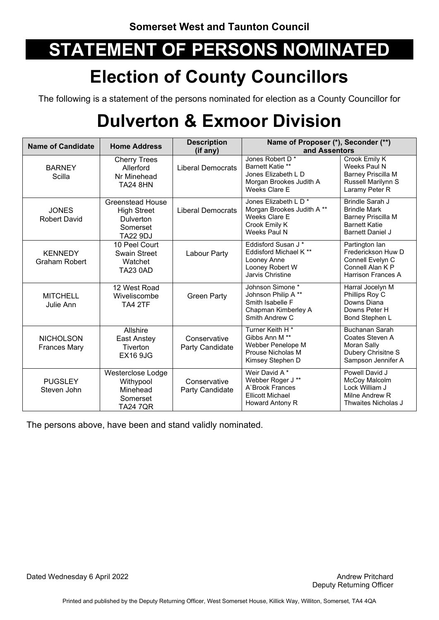## **Election of County Councillors**

The following is a statement of the persons nominated for election as a County Councillor for

## **Dulverton & Exmoor Division**

| <b>Name of Candidate</b>                | <b>Home Address</b>                                                                | <b>Description</b><br>$(if$ any) | Name of Proposer (*), Seconder (**)<br>and Assentors                                                                   |                                                                                                                 |
|-----------------------------------------|------------------------------------------------------------------------------------|----------------------------------|------------------------------------------------------------------------------------------------------------------------|-----------------------------------------------------------------------------------------------------------------|
| <b>BARNEY</b><br>Scilla                 | <b>Cherry Trees</b><br>Allerford<br>Nr Minehead<br><b>TA24 8HN</b>                 | <b>Liberal Democrats</b>         | Jones Robert D*<br>Barnett Katie **<br>Jones Elizabeth L D<br>Morgan Brookes Judith A<br>Weeks Clare E                 | Crook Emily K<br>Weeks Paul N<br><b>Barney Priscilla M</b><br>Russell Marilynn S<br>Laramy Peter R              |
| <b>JONES</b><br><b>Robert David</b>     | Greenstead House<br><b>High Street</b><br>Dulverton<br>Somerset<br><b>TA22 9DJ</b> | <b>Liberal Democrats</b>         | Jones Elizabeth L D *<br>Morgan Brookes Judith A**<br>Weeks Clare E<br>Crook Emily K<br>Weeks Paul N                   | Brindle Sarah J<br><b>Brindle Mark</b><br>Barney Priscilla M<br><b>Barnett Katie</b><br><b>Barnett Daniel J</b> |
| <b>KENNEDY</b><br><b>Graham Robert</b>  | 10 Peel Court<br><b>Swain Street</b><br>Watchet<br><b>TA23 0AD</b>                 | Labour Party                     | Eddisford Susan J*<br>Eddisford Michael K <sup>**</sup><br>Looney Anne<br>Looney Robert W<br><b>Jarvis Christine</b>   | Partington lan<br>Frederickson Huw D<br>Connell Evelyn C<br>Connell Alan K P<br><b>Harrison Frances A</b>       |
| <b>MITCHELL</b><br>Julie Ann            | 12 West Road<br>Wiveliscombe<br>TA4 2TF                                            | <b>Green Party</b>               | Johnson Simone *<br>Johnson Philip A**<br>Smith Isabelle F<br>Chapman Kimberley A<br>Smith Andrew C                    | Harral Jocelyn M<br>Phillips Roy C<br>Downs Diana<br>Downs Peter H<br>Bond Stephen L                            |
| <b>NICHOLSON</b><br><b>Frances Mary</b> | Allshire<br>East Anstey<br>Tiverton<br><b>EX16 9JG</b>                             | Conservative<br>Party Candidate  | Turner Keith H <sup>*</sup><br>Gibbs Ann M <sup>**</sup><br>Webber Penelope M<br>Prouse Nicholas M<br>Kimsey Stephen D | <b>Buchanan Sarah</b><br>Coates Steven A<br>Moran Sally<br>Dubery Chrisitne S<br>Sampson Jennifer A             |
| <b>PUGSLEY</b><br>Steven John           | Westerclose Lodge<br>Withypool<br>Minehead<br>Somerset<br>TA24 7QR                 | Conservative<br>Party Candidate  | Weir David A*<br>Webber Roger J **<br>A'Brook Frances<br><b>Ellicott Michael</b><br>Howard Antony R                    | Powell David J<br>McCoy Malcolm<br>Lock William J<br>Milne Andrew R<br>Thwaites Nicholas J                      |

The persons above, have been and stand validly nominated.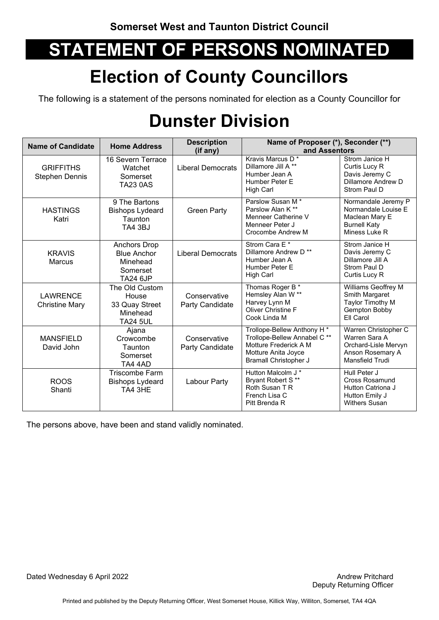## **Election of County Councillors**

The following is a statement of the persons nominated for election as a County Councillor for

## **Dunster Division**

| <b>Name of Candidate</b>                  | <b>Home Address</b>                                                                  | <b>Description</b><br>(if any)  | Name of Proposer (*), Seconder (**)<br>and Assentors                                                                                |                                                                                                      |
|-------------------------------------------|--------------------------------------------------------------------------------------|---------------------------------|-------------------------------------------------------------------------------------------------------------------------------------|------------------------------------------------------------------------------------------------------|
| <b>GRIFFITHS</b><br><b>Stephen Dennis</b> | 16 Severn Terrace<br>Watchet<br>Somerset<br><b>TA23 0AS</b>                          | <b>Liberal Democrats</b>        | Kravis Marcus D <sup>*</sup><br>Dillamore Jill A **<br>Humber Jean A<br>Humber Peter E<br>High Carl                                 | Strom Janice H<br>Curtis Lucy R<br>Davis Jeremy C<br>Dillamore Andrew D<br>Strom Paul D              |
| <b>HASTINGS</b><br>Katri                  | 9 The Bartons<br><b>Bishops Lydeard</b><br>Taunton<br><b>TA4 3BJ</b>                 | <b>Green Party</b>              | Parslow Susan M <sup>*</sup><br>Parslow Alan K**<br>Menneer Catherine V<br>Menneer Peter J<br>Crocombe Andrew M                     | Normandale Jeremy P<br>Normandale Louise E<br>Maclean Mary E<br><b>Burnell Katy</b><br>Miness Luke R |
| <b>KRAVIS</b><br><b>Marcus</b>            | <b>Anchors Drop</b><br><b>Blue Anchor</b><br>Minehead<br>Somerset<br><b>TA24 6JP</b> | <b>Liberal Democrats</b>        | Strom Cara E*<br>Dillamore Andrew D <sup>**</sup><br>Humber Jean A<br>Humber Peter E<br>High Carl                                   | Strom Janice H<br>Davis Jeremy C<br>Dillamore Jill A<br>Strom Paul D<br>Curtis Lucy R                |
| <b>LAWRENCE</b><br><b>Christine Mary</b>  | The Old Custom<br>House<br>33 Quay Street<br>Minehead<br><b>TA24 5UL</b>             | Conservative<br>Party Candidate | Thomas Roger B <sup>*</sup><br>Hemsley Alan W **<br>Harvey Lynn M<br><b>Oliver Christine F</b><br>Cook Linda M                      | Williams Geoffrey M<br>Smith Margaret<br>Taylor Timothy M<br>Gempton Bobby<br>Ell Carol              |
| <b>MANSFIELD</b><br>David John            | Ajana<br>Crowcombe<br>Taunton<br>Somerset<br>TA4 4AD                                 | Conservative<br>Party Candidate | Trollope-Bellew Anthony H*<br>Trollope-Bellew Annabel C **<br>Motture Frederick A M<br>Motture Anita Joyce<br>Bramall Christopher J | Warren Christopher C<br>Warren Sara A<br>Orchard-Lisle Mervyn<br>Anson Rosemary A<br>Mansfield Trudi |
| <b>ROOS</b><br>Shanti                     | <b>Triscombe Farm</b><br><b>Bishops Lydeard</b><br>TA4 3HE                           | Labour Party                    | Hutton Malcolm J *<br>Bryant Robert S**<br>Roth Susan T R<br>French Lisa C<br>Pitt Brenda R                                         | Hull Peter J<br><b>Cross Rosamund</b><br>Hutton Catriona J<br>Hutton Emily J<br><b>Withers Susan</b> |

The persons above, have been and stand validly nominated.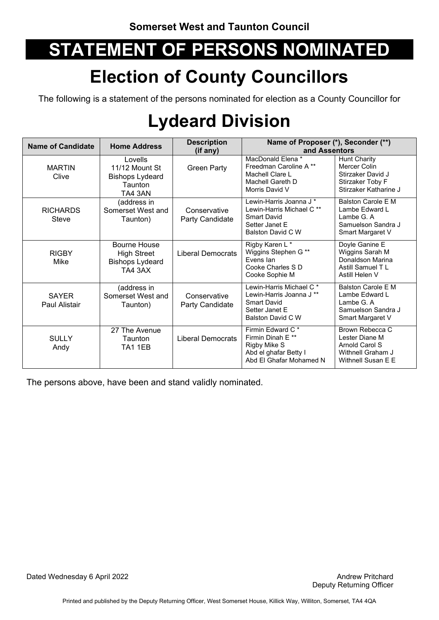## **Election of County Councillors**

The following is a statement of the persons nominated for election as a County Councillor for

## **Lydeard Division**

| <b>Name of Candidate</b>        | <b>Home Address</b>                                                            | <b>Description</b><br>(if any)  | Name of Proposer (*), Seconder (**)<br>and Assentors                                                                                    |                                                                                                       |
|---------------------------------|--------------------------------------------------------------------------------|---------------------------------|-----------------------------------------------------------------------------------------------------------------------------------------|-------------------------------------------------------------------------------------------------------|
| <b>MARTIN</b><br>Clive          | Lovells<br>11/12 Mount St<br><b>Bishops Lydeard</b><br>Taunton<br>TA4 3AN      | <b>Green Party</b>              | MacDonald Elena *<br>Freedman Caroline A **<br>Machell Clare L<br>Machell Gareth D<br>Morris David V                                    | <b>Hunt Charity</b><br>Mercer Colin<br>Stirzaker David J<br>Stirzaker Toby F<br>Stirzaker Katharine J |
| <b>RICHARDS</b><br><b>Steve</b> | (address in<br>Somerset West and<br>Taunton)                                   | Conservative<br>Party Candidate | Lewin-Harris Joanna J <sup>*</sup><br>Lewin-Harris Michael C <sup>**</sup><br><b>Smart David</b><br>Setter Janet E<br>Balston David C W | Balston Carole E M<br>Lambe Edward L<br>Lambe G.A<br>Samuelson Sandra J<br>Smart Margaret V           |
| <b>RIGBY</b><br>Mike            | <b>Bourne House</b><br><b>High Street</b><br><b>Bishops Lydeard</b><br>TA4 3AX | <b>Liberal Democrats</b>        | Rigby Karen L*<br>Wiggins Stephen G **<br>Fvens lan<br>Cooke Charles S D<br>Cooke Sophie M                                              | Doyle Ganine E<br>Wiggins Sarah M<br>Donaldson Marina<br>Astill Samuel TL<br>Astill Helen V           |
| <b>SAYER</b><br>Paul Alistair   | (address in<br>Somerset West and<br>Taunton)                                   | Conservative<br>Party Candidate | Lewin-Harris Michael C <sup>*</sup><br>Lewin-Harris Joanna J <sup>**</sup><br><b>Smart David</b><br>Setter Janet E<br>Balston David C W | <b>Balston Carole F M</b><br>Lambe Edward L<br>Lambe G. A<br>Samuelson Sandra J<br>Smart Margaret V   |
| <b>SULLY</b><br>Andy            | 27 The Avenue<br>Taunton<br>TA1 1EB                                            | <b>Liberal Democrats</b>        | Firmin Edward C*<br>Firmin Dinah E **<br>Rigby Mike S<br>Abd el ghafar Betty I<br>Abd El Ghafar Mohamed N                               | Brown Rebecca C<br>Lester Diane M<br>Arnold Carol S<br>Withnell Graham J<br>Withnell Susan E E        |

The persons above, have been and stand validly nominated.

Dated Wednesday 6 April 2022 **Andrew Pritchard Andrew Pritchard Andrew Pritchard**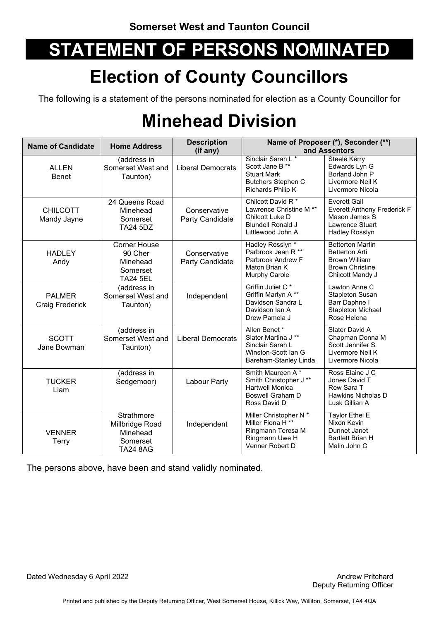## **Election of County Councillors**

The following is a statement of the persons nominated for election as a County Councillor for

## **Minehead Division**

| <b>Name of Candidate</b>                | <b>Home Address</b>                                                       | <b>Description</b><br>(if any)  |                                                                                                                              | Name of Proposer (*), Seconder (**)<br>and Assentors                                                                   |
|-----------------------------------------|---------------------------------------------------------------------------|---------------------------------|------------------------------------------------------------------------------------------------------------------------------|------------------------------------------------------------------------------------------------------------------------|
| <b>ALLEN</b><br><b>Benet</b>            | (address in<br>Somerset West and<br>Taunton)                              | <b>Liberal Democrats</b>        | Sinclair Sarah L <sup>*</sup><br>Scott Jane B **<br><b>Stuart Mark</b><br><b>Butchers Stephen C</b><br>Richards Philip K     | <b>Steele Kerry</b><br>Edwards Lyn G<br>Borland John P<br>Livermore Neil K<br>Livermore Nicola                         |
| <b>CHILCOTT</b><br>Mandy Jayne          | 24 Queens Road<br>Minehead<br>Somerset<br><b>TA24 5DZ</b>                 | Conservative<br>Party Candidate | Chilcott David R <sup>*</sup><br>Lawrence Christine M **<br>Chilcott Luke D<br><b>Blundell Ronald J</b><br>Littlewood John A | <b>Everett Gail</b><br><b>Everett Anthony Frederick F</b><br>Mason James S<br>Lawrence Stuart<br><b>Hadley Rosslyn</b> |
| <b>HADLEY</b><br>Andy                   | <b>Corner House</b><br>90 Cher<br>Minehead<br>Somerset<br><b>TA24 5EL</b> | Conservative<br>Party Candidate | Hadley Rosslyn <sup>*</sup><br>Parbrook Jean R **<br>Parbrook Andrew F<br>Maton Brian K<br>Murphy Carole                     | <b>Betterton Martin</b><br><b>Betterton Arti</b><br>Brown William<br><b>Brown Christine</b><br>Chilcott Mandy J        |
| <b>PALMER</b><br><b>Craig Frederick</b> | (address in<br>Somerset West and<br>Taunton)                              | Independent                     | Griffin Juliet C*<br>Griffin Martyn A**<br>Davidson Sandra L<br>Davidson Ian A<br>Drew Pamela J                              | Lawton Anne C<br><b>Stapleton Susan</b><br>Barr Daphne I<br><b>Stapleton Michael</b><br>Rose Helena                    |
| <b>SCOTT</b><br>Jane Bowman             | (address in<br>Somerset West and<br>Taunton)                              | <b>Liberal Democrats</b>        | Allen Benet *<br>Slater Martina J **<br>Sinclair Sarah L<br>Winston-Scott Ian G<br>Bareham-Stanley Linda                     | Slater David A<br>Chapman Donna M<br>Scott Jennifer S<br>Livermore Neil K<br>Livermore Nicola                          |
| <b>TUCKER</b><br>Liam                   | (address in<br>Sedgemoor)                                                 | Labour Party                    | Smith Maureen A*<br>Smith Christopher J **<br><b>Hartwell Monica</b><br>Boswell Graham D<br>Ross David D                     | Ross Elaine J C<br>Jones David T<br>Rew Sara T<br>Hawkins Nicholas D<br>Lusk Gillian A                                 |
| <b>VENNER</b><br><b>Terry</b>           | Strathmore<br>Millbridge Road<br>Minehead<br>Somerset<br><b>TA24 8AG</b>  | Independent                     | Miller Christopher N *<br>Miller Fiona H <sup>**</sup><br>Ringmann Teresa M<br>Ringmann Uwe H<br>Venner Robert D             | Taylor Ethel E<br>Nixon Kevin<br>Dunnet Janet<br><b>Bartlett Brian H</b><br>Malin John C                               |

The persons above, have been and stand validly nominated.

Dated Wednesday 6 April 2022 **Andrew Pritchard Andrew Pritchard Andrew Pritchard**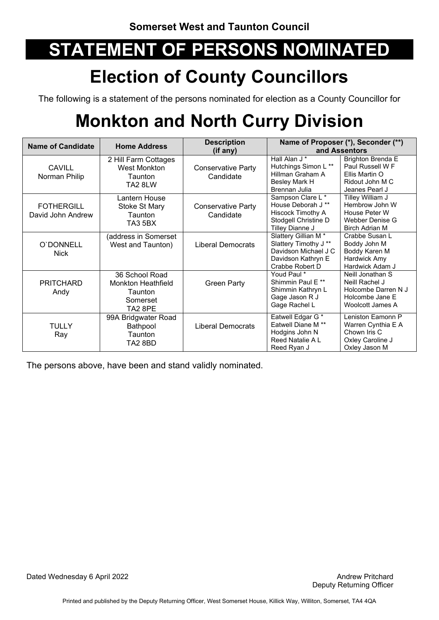## **Election of County Councillors**

The following is a statement of the persons nominated for election as a County Councillor for

## **Monkton and North Curry Division**

| <b>Name of Candidate</b>               | <b>Home Address</b>                                                           | <b>Description</b><br>(if any)         |                                                                                                                          | Name of Proposer (*), Seconder (**)<br>and Assentors                                                |
|----------------------------------------|-------------------------------------------------------------------------------|----------------------------------------|--------------------------------------------------------------------------------------------------------------------------|-----------------------------------------------------------------------------------------------------|
| <b>CAVILL</b><br>Norman Philip         | 2 Hill Farm Cottages<br><b>West Monkton</b><br>Taunton<br>TA2 8LW             | <b>Conservative Party</b><br>Candidate | Hall Alan J *<br>Hutchings Simon L **<br>Hillman Graham A<br>Besley Mark H<br>Brennan Julia                              | <b>Brighton Brenda E</b><br>Paul Russell W F<br>Ellis Martin O<br>Ridout John M C<br>Jeanes Pearl J |
| <b>FOTHERGILL</b><br>David John Andrew | Lantern House<br>Stoke St Mary<br>Taunton<br>TA3 5BX                          | <b>Conservative Party</b><br>Candidate | Sampson Clare L*<br>House Deborah J **<br>Hiscock Timothy A<br>Stodgell Christine D<br>Tilley Dianne J                   | Tilley William J<br>Hembrow John W<br>House Peter W<br>Webber Denise G<br><b>Birch Adrian M</b>     |
| O'DONNELL<br><b>Nick</b>               | (address in Somerset<br>West and Taunton)                                     | Liberal Democrats                      | Slattery Gillian M <sup>*</sup><br>Slattery Timothy J**<br>Davidson Michael J C<br>Davidson Kathryn E<br>Crabbe Robert D | Crabbe Susan L<br>Boddy John M<br>Boddy Karen M<br>Hardwick Amy<br>Hardwick Adam J                  |
| <b>PRITCHARD</b><br>Andy               | 36 School Road<br><b>Monkton Heathfield</b><br>Taunton<br>Somerset<br>TA2 8PE | <b>Green Party</b>                     | Youd Paul *<br>Shimmin Paul E**<br>Shimmin Kathryn L<br>Gage Jason R J<br>Gage Rachel L                                  | Neill Jonathan S<br>Neill Rachel J<br>Holcombe Darren N J<br>Holcombe Jane E<br>Woolcott James A    |
| <b>TULLY</b><br>Ray                    | 99A Bridgwater Road<br>Bathpool<br>Taunton<br>TA2 8BD                         | Liberal Democrats                      | Eatwell Edgar G*<br>Eatwell Diane M <sup>**</sup><br>Hodgins John N<br>Reed Natalie A L<br>Reed Ryan J                   | Leniston Eamonn P<br>Warren Cynthia E A<br>Chown Iris C<br>Oxley Caroline J<br>Oxley Jason M        |

The persons above, have been and stand validly nominated.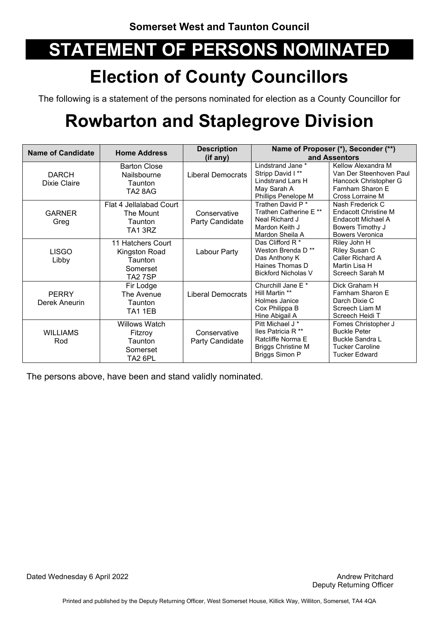## **Election of County Councillors**

The following is a statement of the persons nominated for election as a County Councillor for

## **Rowbarton and Staplegrove Division**

| <b>Name of Candidate</b>      | <b>Home Address</b>                                                  | <b>Description</b>                   |                                                                                                                                         | Name of Proposer (*), Seconder (**)                                                                                             |
|-------------------------------|----------------------------------------------------------------------|--------------------------------------|-----------------------------------------------------------------------------------------------------------------------------------------|---------------------------------------------------------------------------------------------------------------------------------|
| <b>DARCH</b><br>Dixie Claire  | <b>Barton Close</b><br>Nailsbourne<br>Taunton<br>TA2 8AG             | (if any)<br><b>Liberal Democrats</b> | Lindstrand Jane *<br>Stripp David I**<br>Lindstrand Lars H<br>May Sarah A<br>Phillips Penelope M                                        | and Assentors<br>Kellow Alexandra M<br>Van Der Steenhoven Paul<br>Hancock Christopher G<br>Farnham Sharon E<br>Cross Lorraine M |
| <b>GARNER</b><br>Greg         | Flat 4 Jellalabad Court<br>The Mount<br>Taunton<br>TA13RZ            | Conservative<br>Party Candidate      | Trathen David P <sup>*</sup><br>Trathen Catherine E **<br>Neal Richard J<br>Mardon Keith J<br>Mardon Sheila A                           | Nash Frederick C<br>Endacott Christine M<br>Endacott Michael A<br>Bowers Timothy J<br><b>Bowers Veronica</b>                    |
| <b>LISGO</b><br>Libby         | 11 Hatchers Court<br>Kingston Road<br>Taunton<br>Somerset<br>TA2 7SP | Labour Party                         | Das Clifford R*<br>Weston Brenda D <sup>**</sup><br>Das Anthony K<br>Haines Thomas D<br><b>Bickford Nicholas V</b>                      | Riley John H<br>Riley Susan C<br>Caller Richard A<br>Martin Lisa H<br>Screech Sarah M                                           |
| <b>PERRY</b><br>Derek Aneurin | Fir Lodge<br>The Avenue<br>Taunton<br>TA1 1EB                        | <b>Liberal Democrats</b>             | Churchill Jane E <sup>*</sup><br>Hill Martin **<br>Holmes Janice<br>Cox Philippa B<br>Hine Abigail A                                    | Dick Graham H<br>Farnham Sharon E<br>Darch Dixie C<br>Screech Liam M<br>Screech Heidi T                                         |
| <b>WILLIAMS</b><br>Rod        | <b>Willows Watch</b><br>Fitzroy<br>Taunton<br>Somerset<br>TA2 6PL    | Conservative<br>Party Candidate      | Pitt Michael J <sup>*</sup><br>lles Patricia R <sup>**</sup><br>Ratcliffe Norma E<br><b>Briggs Christine M</b><br><b>Briggs Simon P</b> | Fomes Christopher J<br><b>Buckle Peter</b><br><b>Buckle Sandra L</b><br><b>Tucker Caroline</b><br><b>Tucker Edward</b>          |

The persons above, have been and stand validly nominated.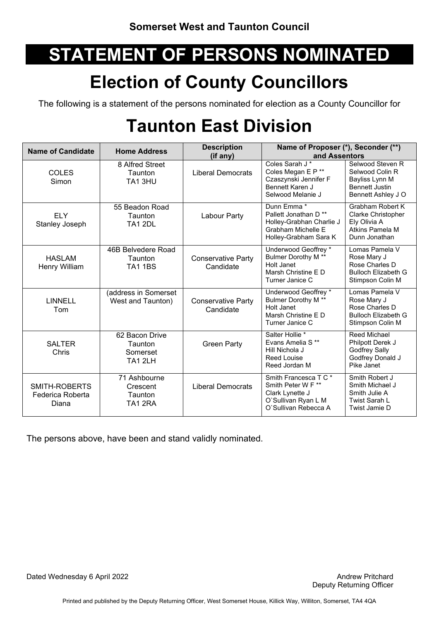## **Election of County Councillors**

The following is a statement of the persons nominated for election as a County Councillor for

## **Taunton East Division**

| <b>Name of Candidate</b>                   | <b>Home Address</b>                                     | <b>Description</b>                     | Name of Proposer (*), Seconder (**)                                                                                        |                                                                                                      |
|--------------------------------------------|---------------------------------------------------------|----------------------------------------|----------------------------------------------------------------------------------------------------------------------------|------------------------------------------------------------------------------------------------------|
|                                            |                                                         | (if any)                               | and Assentors                                                                                                              |                                                                                                      |
| <b>COLES</b><br>Simon                      | 8 Alfred Street<br>Taunton<br>TA13HU                    | <b>Liberal Democrats</b>               | Coles Sarah J *<br>Coles Megan E P <sup>**</sup><br>Czaszynski Jennifer F<br><b>Bennett Karen J</b><br>Selwood Melanie J   | Selwood Steven R<br>Selwood Colin R<br>Bayliss Lynn M<br><b>Bennett Justin</b><br>Bennett Ashley J O |
| <b>ELY</b><br>Stanley Joseph               | 55 Beadon Road<br><b>Taunton</b><br><b>TA1 2DL</b>      | Labour Party                           | Dunn Emma *<br>Pallett Jonathan D <sup>**</sup><br>Holley-Grabhan Charlie J<br>Grabham Michelle E<br>Holley-Grabham Sara K | Grabham Robert K<br>Clarke Christopher<br>Ely Olivia A<br>Atkins Pamela M<br>Dunn Jonathan           |
| <b>HASLAM</b><br>Henry William             | 46B Belvedere Road<br>Taunton<br><b>TA1 1BS</b>         | <b>Conservative Party</b><br>Candidate | Underwood Geoffrey *<br><b>Bulmer Dorothy M **</b><br>Holt Janet<br>Marsh Christine E D<br>Turner Janice C                 | Lomas Pamela V<br>Rose Mary J<br>Rose Charles D<br><b>Bulloch Elizabeth G</b><br>Stimpson Colin M    |
| <b>LINNELL</b><br>Tom                      | (address in Somerset<br>West and Taunton)               | <b>Conservative Party</b><br>Candidate | Underwood Geoffrey *<br><b>Bulmer Dorothy M **</b><br>Holt Janet<br>Marsh Christine E D<br>Turner Janice C                 | I omas Pamela V<br>Rose Mary J<br>Rose Charles D<br><b>Bulloch Elizabeth G</b><br>Stimpson Colin M   |
| <b>SALTER</b><br>Chris                     | 62 Bacon Drive<br><b>Taunton</b><br>Somerset<br>TA1 2LH | <b>Green Party</b>                     | Salter Hollie <sup>*</sup><br>Evans Amelia S <sup>**</sup><br>Hill Nichola J<br><b>Reed Louise</b><br>Reed Jordan M        | <b>Reed Michael</b><br>Philpott Derek J<br><b>Godfrey Sally</b><br>Godfrey Donald J<br>Pike Janet    |
| SMITH-ROBERTS<br>Federica Roberta<br>Diana | 71 Ashbourne<br>Crescent<br><b>Taunton</b><br>TA1 2RA   | <b>Liberal Democrats</b>               | Smith Francesca T C *<br>Smith Peter W F **<br>Clark Lynette J<br>O'Sullivan Ryan L M<br>O'Sullivan Rebecca A              | Smith Robert J<br>Smith Michael J<br>Smith Julie A<br>Twist Sarah L<br>Twist Jamie D                 |

The persons above, have been and stand validly nominated.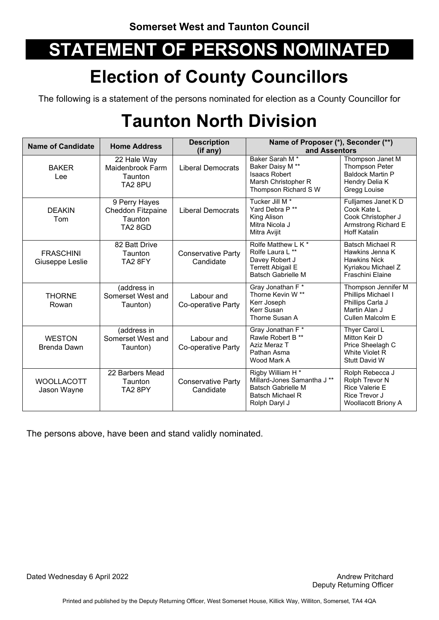## **Election of County Councillors**

The following is a statement of the persons nominated for election as a County Councillor for

## **Taunton North Division**

| <b>Name of Candidate</b>            | <b>Home Address</b>                                                      | <b>Description</b><br>(if any)         | Name of Proposer (*), Seconder (**)<br>and Assentors                                                                          |                                                                                                                    |
|-------------------------------------|--------------------------------------------------------------------------|----------------------------------------|-------------------------------------------------------------------------------------------------------------------------------|--------------------------------------------------------------------------------------------------------------------|
| <b>BAKER</b><br>Lee                 | 22 Hale Way<br>Maidenbrook Farm<br><b>Taunton</b><br>TA <sub>2</sub> 8PU | <b>Liberal Democrats</b>               | Baker Sarah M <sup>*</sup><br>Baker Daisy M **<br><b>Isaacs Robert</b><br>Marsh Christopher R<br>Thompson Richard S W         | Thompson Janet M<br><b>Thompson Peter</b><br><b>Baldock Martin P</b><br>Hendry Delia K<br>Gregg Louise             |
| <b>DEAKIN</b><br>Tom                | 9 Perry Hayes<br><b>Cheddon Fitzpaine</b><br>Taunton<br>TA2 8GD          | <b>Liberal Democrats</b>               | Tucker Jill M <sup>*</sup><br>Yard Debra P**<br>King Alison<br>Mitra Nicola J<br>Mitra Avijit                                 | Fulljames Janet KD<br>Cook Kate L<br>Cook Christopher J<br>Armstrong Richard E<br><b>Hoff Katalin</b>              |
| <b>FRASCHINI</b><br>Giuseppe Leslie | 82 Batt Drive<br><b>Taunton</b><br>TA2 8FY                               | <b>Conservative Party</b><br>Candidate | Rolfe Matthew L K *<br>Rolfe Laura L **<br>Davey Robert J<br><b>Terrett Abigail E</b><br><b>Batsch Gabrielle M</b>            | <b>Batsch Michael R</b><br>Hawkins Jenna K<br><b>Hawkins Nick</b><br>Kyriakou Michael Z<br><b>Fraschini Elaine</b> |
| <b>THORNE</b><br>Rowan              | (address in<br>Somerset West and<br>Taunton)                             | Labour and<br>Co-operative Party       | Gray Jonathan F*<br>Thorne Kevin W <sup>**</sup><br>Kerr Joseph<br>Kerr Susan<br>Thorne Susan A                               | Thompson Jennifer M<br>Phillips Michael I<br>Phillips Carla J<br>Martin Alan J<br>Cullen Malcolm E                 |
| <b>WESTON</b><br><b>Brenda Dawn</b> | (address in<br>Somerset West and<br>Taunton)                             | Labour and<br>Co-operative Party       | Gray Jonathan F*<br>Rawle Robert B **<br>Aziz Meraz T<br>Pathan Asma<br>Wood Mark A                                           | Thyer Carol L<br>Mitton Keir D<br>Price Sheelagh C<br>White Violet R<br>Stutt David W                              |
| <b>WOOLLACOTT</b><br>Jason Wayne    | 22 Barbers Mead<br>Taunton<br>TA2 8PY                                    | <b>Conservative Party</b><br>Candidate | Rigby William H <sup>*</sup><br>Millard-Jones Samantha J **<br><b>Batsch Gabrielle M</b><br>Batsch Michael R<br>Rolph Daryl J | Rolph Rebecca J<br>Rolph Trevor N<br><b>Rice Valerie E</b><br>Rice Trevor J<br><b>Woollacott Briony A</b>          |

The persons above, have been and stand validly nominated.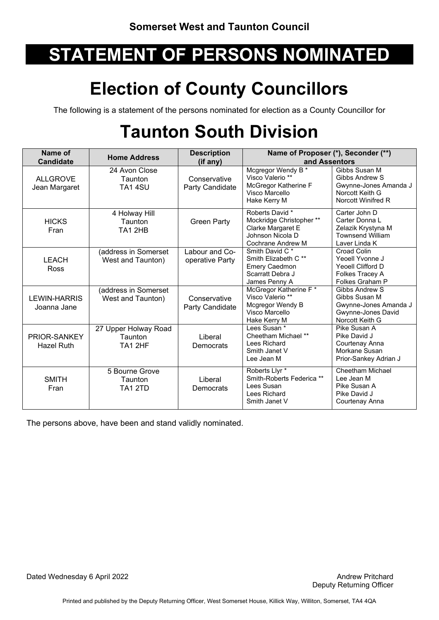## **Election of County Councillors**

The following is a statement of the persons nominated for election as a County Councillor for

## **Taunton South Division**

| Name of<br><b>Candidate</b>        | <b>Home Address</b>                        | <b>Description</b><br>(if any)    | Name of Proposer (*), Seconder (**)<br>and Assentors                                                        |                                                                                                          |
|------------------------------------|--------------------------------------------|-----------------------------------|-------------------------------------------------------------------------------------------------------------|----------------------------------------------------------------------------------------------------------|
| <b>ALLGROVE</b><br>Jean Margaret   | 24 Avon Close<br>Taunton<br><b>TA1 4SU</b> | Conservative<br>Party Candidate   | Mcgregor Wendy B <sup>*</sup><br>Visco Valerio **<br>McGregor Katherine F<br>Visco Marcello<br>Hake Kerry M | Gibbs Susan M<br>Gibbs Andrew S<br>Gwynne-Jones Amanda J<br>Norcott Keith G<br>Norcott Winifred R        |
| <b>HICKS</b><br>Fran               | 4 Holway Hill<br>Taunton<br>TA12HB         | <b>Green Party</b>                | Roberts David *<br>Mockridge Christopher **<br>Clarke Margaret E<br>Johnson Nicola D<br>Cochrane Andrew M   | Carter John D<br>Carter Donna L<br>Zelazik Krystyna M<br><b>Townsend William</b><br>Laver Linda K        |
| <b>LEACH</b><br>Ross               | (address in Somerset<br>West and Taunton)  | Labour and Co-<br>operative Party | Smith David C*<br>Smith Elizabeth C**<br><b>Emery Caedmon</b><br>Scarratt Debra J<br>James Penny A          | Croad Colin<br>Yeoell Yvonne J<br>Yeoell Clifford D<br>Folkes Tracey A<br>Folkes Graham P                |
| <b>LEWIN-HARRIS</b><br>Joanna Jane | (address in Somerset<br>West and Taunton)  | Conservative<br>Party Candidate   | McGregor Katherine F*<br>Visco Valerio **<br>Mcgregor Wendy B<br>Visco Marcello<br>Hake Kerry M             | <b>Gibbs Andrew S</b><br>Gibbs Susan M<br>Gwynne-Jones Amanda J<br>Gwynne-Jones David<br>Norcott Keith G |
| PRIOR-SANKEY<br><b>Hazel Ruth</b>  | 27 Upper Holway Road<br>Taunton<br>TA1 2HF | Liberal<br>Democrats              | Lees Susan *<br>Cheetham Michael **<br>Lees Richard<br>Smith Janet V<br>Lee Jean M                          | Pike Susan A<br>Pike David J<br>Courtenay Anna<br>Morkane Susan<br>Prior-Sankey Adrian J                 |
| <b>SMITH</b><br>Fran               | 5 Bourne Grove<br>Taunton<br>TA1 2TD       | Liberal<br>Democrats              | Roberts Llyr <sup>*</sup><br>Smith-Roberts Federica **<br>Lees Susan<br>Lees Richard<br>Smith Janet V       | Cheetham Michael<br>Lee Jean M<br>Pike Susan A<br>Pike David J<br>Courtenay Anna                         |

The persons above, have been and stand validly nominated.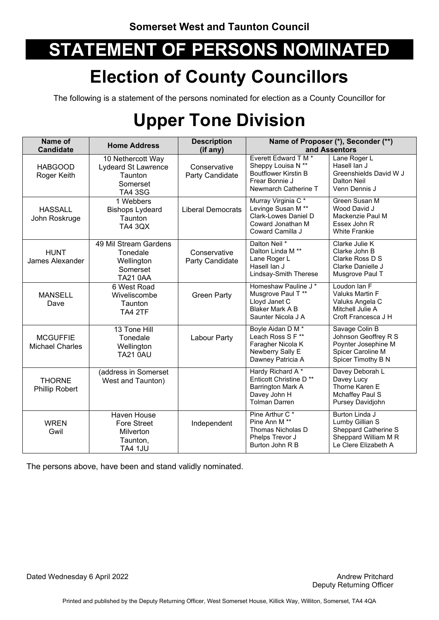### **Election of County Councillors**

The following is a statement of the persons nominated for election as a County Councillor for

## **Upper Tone Division**

| Name of<br><b>Candidate</b>               | <b>Home Address</b>                                                                      | <b>Description</b><br>(if any)  | Name of Proposer (*), Seconder (**)<br>and Assentors                                                                 |                                                                                                           |
|-------------------------------------------|------------------------------------------------------------------------------------------|---------------------------------|----------------------------------------------------------------------------------------------------------------------|-----------------------------------------------------------------------------------------------------------|
| <b>HABGOOD</b><br>Roger Keith             | 10 Nethercott Way<br><b>Lydeard St Lawrence</b><br>Taunton<br>Somerset<br><b>TA4 3SG</b> | Conservative<br>Party Candidate | Everett Edward T M *<br>Sheppy Louisa N **<br><b>Boutflower Kirstin B</b><br>Frear Bonnie J<br>Newmarch Catherine T  | Lane Roger L<br>Hasell Ian J<br>Greenshields David W J<br>Dalton Neil<br>Venn Dennis J                    |
| <b>HASSALL</b><br>John Roskruge           | 1 Webbers<br><b>Bishops Lydeard</b><br>Taunton<br><b>TA4 3QX</b>                         | <b>Liberal Democrats</b>        | Murray Virginia C*<br>Levinge Susan M <sup>**</sup><br>Clark-Lowes Daniel D<br>Coward Jonathan M<br>Coward Camilla J | <b>Green Susan M</b><br>Wood David J<br>Mackenzie Paul M<br>Essex John R<br><b>White Frankie</b>          |
| <b>HUNT</b><br>James Alexander            | 49 Mil Stream Gardens<br>Tonedale<br>Wellington<br>Somerset<br><b>TA21 0AA</b>           | Conservative<br>Party Candidate | Dalton Neil *<br>Dalton Linda M <sup>**</sup><br>Lane Roger L<br>Hasell Ian J<br>Lindsay-Smith Therese               | Clarke Julie K<br>Clarke John B<br>Clarke Ross D S<br>Clarke Danielle J<br>Musgrove Paul T                |
| <b>MANSELL</b><br>Dave                    | 6 West Road<br>Wiveliscombe<br>Taunton<br>TA4 2TF                                        | <b>Green Party</b>              | Homeshaw Pauline J *<br>Musgrove Paul T**<br>Lloyd Janet C<br><b>Blaker Mark A B</b><br>Saunter Nicola J A           | Loudon Ian F<br>Valuks Martin F<br>Valuks Angela C<br>Mitchell Julie A<br>Croft Francesca J H             |
| <b>MCGUFFIE</b><br><b>Michael Charles</b> | 13 Tone Hill<br>Tonedale<br>Wellington<br><b>TA21 0AU</b>                                | Labour Party                    | Boyle Aidan D M *<br>Leach Ross S F**<br>Faragher Nicola K<br>Newberry Sally E<br>Dawney Patricia A                  | Savage Colin B<br>Johnson Geoffrey R S<br>Poynter Josephine M<br>Spicer Caroline M<br>Spicer Timothy B N  |
| <b>THORNE</b><br>Phillip Robert           | (address in Somerset<br>West and Taunton)                                                |                                 | Hardy Richard A*<br>Enticott Christine D**<br><b>Barrington Mark A</b><br>Davey John H<br><b>Tolman Darren</b>       | Davey Deborah L<br>Davey Lucy<br>Thorne Karen E<br>Mchaffey Paul S<br>Pursey Davidjohn                    |
| <b>WREN</b><br>Gwil                       | <b>Haven House</b><br><b>Fore Street</b><br>Milverton<br>Taunton,<br><b>TA4 1JU</b>      | Independent                     | Pine Arthur C <sup>*</sup><br>Pine Ann M **<br>Thomas Nicholas D<br>Phelps Trevor J<br>Burton John R B               | Burton Linda J<br>Lumby Gillian S<br>Sheppard Catherine S<br>Sheppard William M R<br>Le Clere Elizabeth A |

The persons above, have been and stand validly nominated.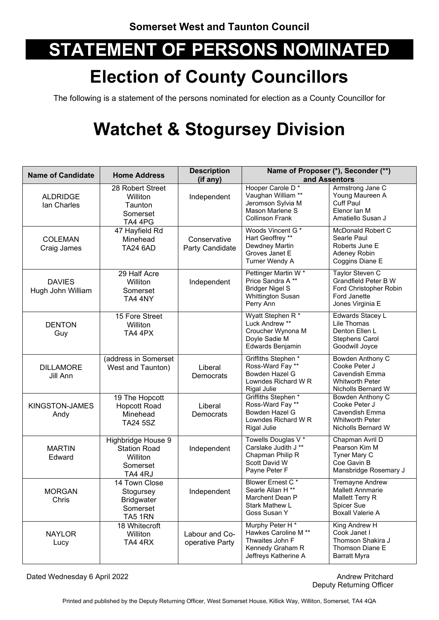## **Election of County Councillors**

The following is a statement of the persons nominated for election as a County Councillor for

## **Watchet & Stogursey Division**

| <b>Name of Candidate</b>           | <b>Home Address</b>                                                          | <b>Description</b><br>(if any)    | Name of Proposer (*), Seconder (**)<br>and Assentors                                                         |                                                                                                               |
|------------------------------------|------------------------------------------------------------------------------|-----------------------------------|--------------------------------------------------------------------------------------------------------------|---------------------------------------------------------------------------------------------------------------|
| <b>ALDRIDGE</b><br>lan Charles     | 28 Robert Street<br>Williton<br>Taunton<br>Somerset<br>TA4 4PG               | Independent                       | Hooper Carole D*<br>Vaughan William **<br>Jeromson Sylvia M<br>Mason Marlene S<br><b>Collinson Frank</b>     | Armstrong Jane C<br>Young Maureen A<br><b>Cuff Paul</b><br>Elenor Ian M<br>Amatiello Susan J                  |
| <b>COLEMAN</b><br>Craig James      | 47 Hayfield Rd<br>Minehead<br><b>TA24 6AD</b>                                | Conservative<br>Party Candidate   | Woods Vincent G*<br>Hart Geoffrey **<br>Dewdney Martin<br>Groves Janet E<br>Turner Wendy A                   | McDonald Robert C<br>Searle Paul<br>Roberts June E<br>Adeney Robin<br>Coggins Diane E                         |
| <b>DAVIES</b><br>Hugh John William | 29 Half Acre<br>Williton<br>Somerset<br>TA4 4NY                              | Independent                       | Pettinger Martin W*<br>Price Sandra A**<br><b>Bridger Nigel S</b><br><b>Whittington Susan</b><br>Perry Ann   | Taylor Steven C<br>Grandfield Peter B W<br>Ford Christopher Robin<br>Ford Janette<br>Jones Virginia E         |
| <b>DENTON</b><br>Guy               | 15 Fore Street<br>Williton<br>TA4 4PX                                        |                                   | Wyatt Stephen R*<br>Luck Andrew **<br>Croucher Wynona M<br>Doyle Sadie M<br>Edwards Benjamin                 | Edwards Stacey L<br>Lile Thomas<br>Denton Ellen L<br><b>Stephens Carol</b><br>Goodwill Joyce                  |
| <b>DILLAMORE</b><br>Jill Ann       | (address in Somerset<br>West and Taunton)                                    | Liberal<br>Democrats              | Griffiths Stephen*<br>Ross-Ward Fay **<br>Bowden Hazel G<br>Lowndes Richard W R<br><b>Rigal Julie</b>        | Bowden Anthony C<br>Cooke Peter J<br>Cavendish Emma<br><b>Whitworth Peter</b><br>Nicholls Bernard W           |
| KINGSTON-JAMES<br>Andy             | 19 The Hopcott<br><b>Hopcott Road</b><br>Minehead<br><b>TA24 5SZ</b>         | Liberal<br>Democrats              | Griffiths Stephen*<br>Ross-Ward Fay **<br>Bowden Hazel G<br>Lowndes Richard W R<br>Rigal Julie               | Bowden Anthony C<br>Cooke Peter J<br>Cavendish Emma<br><b>Whitworth Peter</b><br>Nicholls Bernard W           |
| <b>MARTIN</b><br>Edward            | Highbridge House 9<br><b>Station Road</b><br>Williton<br>Somerset<br>TA4 4RJ | Independent                       | Towells Douglas V *<br>Carslake Judith J **<br>Chapman Philip R<br>Scott David W<br>Payne Peter F            | Chapman Avril D<br>Pearson Kim M<br>Tyner Mary C<br>Coe Gavin B<br>Mansbridge Rosemary J                      |
| <b>MORGAN</b><br>Chris             | 14 Town Close<br>Stogursey<br><b>Bridgwater</b><br>Somerset<br>TA5 1RN       | Independent                       | Blower Ernest C*<br>Searle Allan H <sup>**</sup><br>Marchent Dean P<br><b>Stark Mathew L</b><br>Goss Susan Y | <b>Tremayne Andrew</b><br><b>Mallett Annmarie</b><br>Mallett Terry R<br>Spicer Sue<br><b>Boxall Valerie A</b> |
| <b>NAYLOR</b><br>Lucy              | 18 Whitecroft<br>Williton<br>TA4 4RX                                         | Labour and Co-<br>operative Party | Murphy Peter H*<br>Hawkes Caroline M **<br>Thwaites John F<br>Kennedy Graham R<br>Jeffreys Katherine A       | King Andrew H<br>Cook Janet I<br>Thomson Shakira J<br>Thomson Diane E<br><b>Barratt Myra</b>                  |

Dated Wednesday 6 April 2022 **Andrew Pritchard Andrew Pritchard**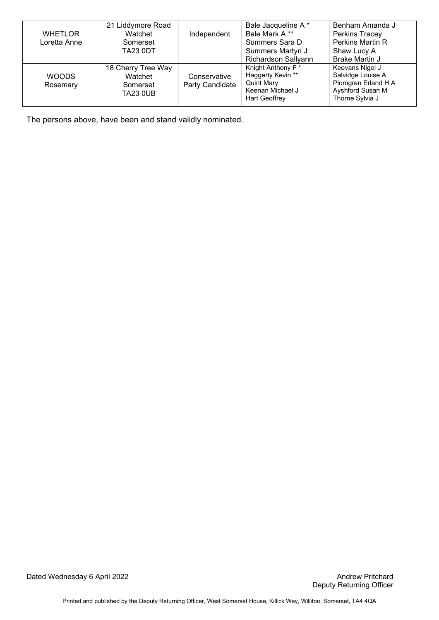|                | 21 Liddymore Road  |                 | Bale Jacqueline A *        | Benham Amanda J     |
|----------------|--------------------|-----------------|----------------------------|---------------------|
| <b>WHETLOR</b> | Watchet            | Independent     | Bale Mark A**              | Perkins Tracey      |
| Loretta Anne   | Somerset           |                 | Summers Sara D             | Perkins Martin R    |
|                | <b>TA23 0DT</b>    |                 | Summers Martyn J           | Shaw Lucy A         |
|                |                    |                 | <b>Richardson Sallyann</b> | Brake Martin J      |
|                | 18 Cherry Tree Way |                 | Knight Anthony F *         | Keevans Nigel J     |
| <b>WOODS</b>   | Watchet            | Conservative    | Haggerty Kevin **          | Salvidge Louise A   |
| Rosemary       | Somerset           | Party Candidate | <b>Quint Mary</b>          | Plomgren Erland H A |
|                | <b>TA23 0UB</b>    |                 | Keenan Michael J           | Ayshford Susan M    |
|                |                    |                 | <b>Hart Geoffrey</b>       | Thorne Sylvia J     |

The persons above, have been and stand validly nominated.